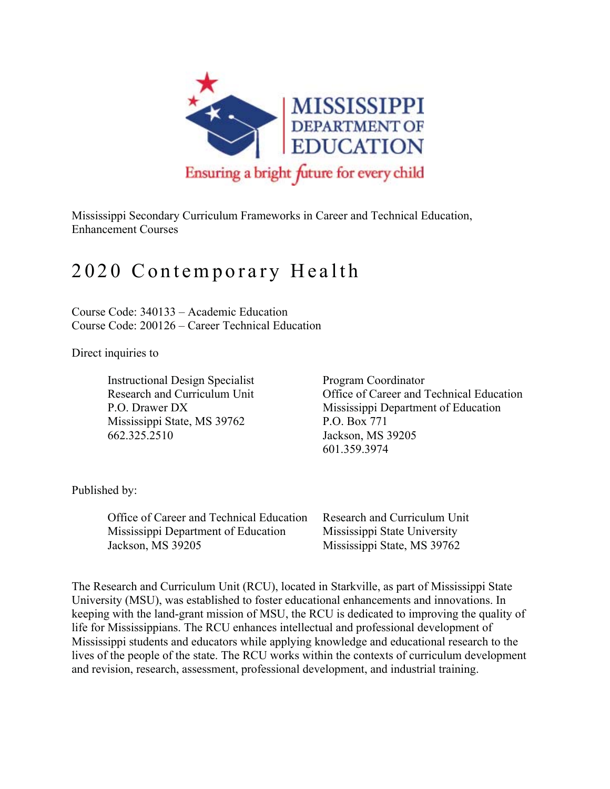

 Mississippi Secondary Curriculum Frameworks in Career and Technical Education, Enhancement Courses

## 2020 Contemporary Health

Course Code: 340133 – Academic Education Course Code: 200126 – Career Technical Education

Direct inquiries to

Instructional Design Specialist Program Coordinator Mississippi State, MS 39762 P.O. Box 771 662.325.2510 Jackson, MS 39205

Research and Curriculum Unit **Office of Career and Technical Education** P.O. Drawer DX Mississippi Department of Education 601.359.3974

#### Published by:

| Office of Career and Technical Education | Research and Curriculum Unit |
|------------------------------------------|------------------------------|
| Mississippi Department of Education      | Mississippi State University |
| Jackson, MS 39205                        | Mississippi State, MS 39762  |

The Research and Curriculum Unit (RCU), located in Starkville, as part of Mississippi State University (MSU), was established to foster educational enhancements and innovations. In keeping with the land-grant mission of MSU, the RCU is dedicated to improving the quality of life for Mississippians. The RCU enhances intellectual and professional development of Mississippi students and educators while applying knowledge and educational research to the lives of the people of the state. The RCU works within the contexts of curriculum development and revision, research, assessment, professional development, and industrial training.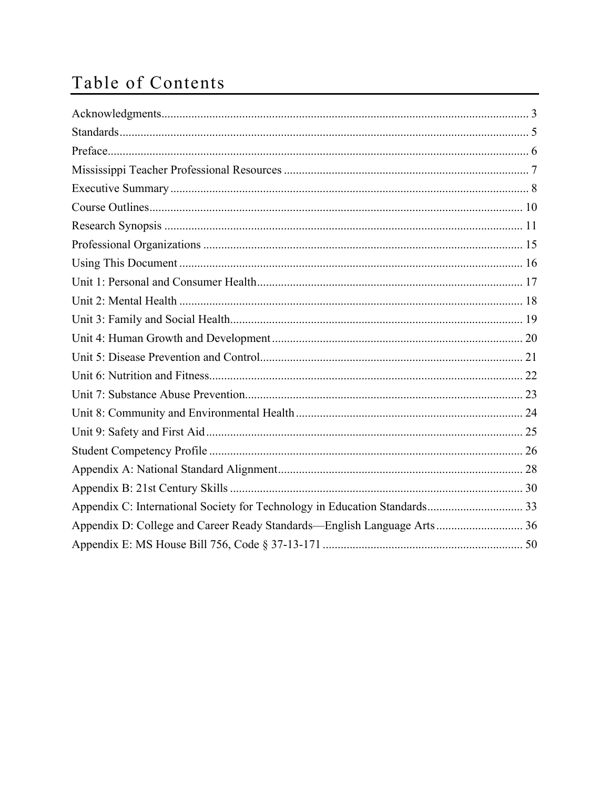# Table of Contents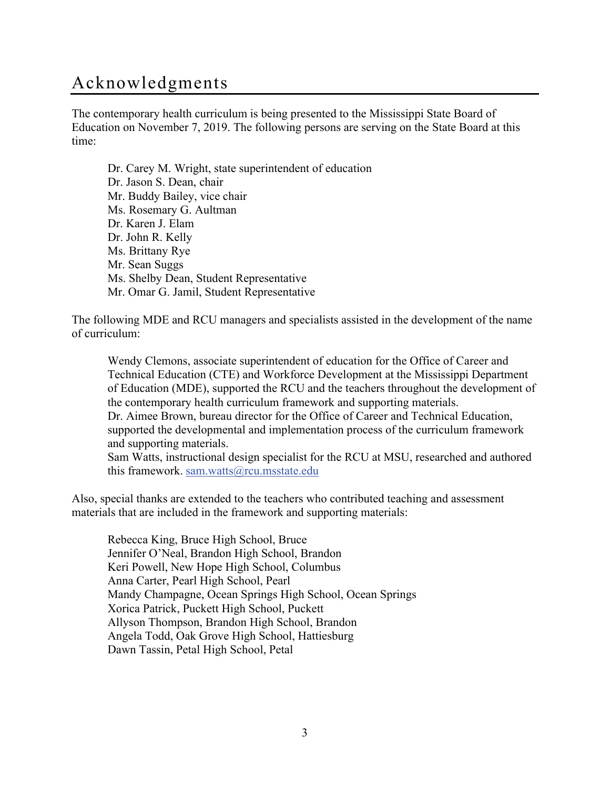## Acknowledgments

The contemporary health curriculum is being presented to the Mississippi State Board of Education on November 7, 2019. The following persons are serving on the State Board at this time:

Dr. Carey M. Wright, state superintendent of education Dr. Jason S. Dean, chair Mr. Buddy Bailey, vice chair Ms. Rosemary G. Aultman Dr. Karen J. Elam Dr. John R. Kelly Ms. Brittany Rye Mr. Sean Suggs Ms. Shelby Dean, Student Representative Mr. Omar G. Jamil, Student Representative

The following MDE and RCU managers and specialists assisted in the development of the name of curriculum:

Wendy Clemons, associate superintendent of education for the Office of Career and Technical Education (CTE) and Workforce Development at the Mississippi Department of Education (MDE), supported the RCU and the teachers throughout the development of the contemporary health curriculum framework and supporting materials. Dr. Aimee Brown, bureau director for the Office of Career and Technical Education, supported the developmental and implementation process of the curriculum framework and supporting materials. Sam Watts, instructional design specialist for the RCU at MSU, researched and authored

this framework. sam.watts@rcu.msstate.edu

Also, special thanks are extended to the teachers who contributed teaching and assessment materials that are included in the framework and supporting materials:

Rebecca King, Bruce High School, Bruce Jennifer O'Neal, Brandon High School, Brandon Keri Powell, New Hope High School, Columbus Anna Carter, Pearl High School, Pearl Mandy Champagne, Ocean Springs High School, Ocean Springs Xorica Patrick, Puckett High School, Puckett Allyson Thompson, Brandon High School, Brandon Angela Todd, Oak Grove High School, Hattiesburg Dawn Tassin, Petal High School, Petal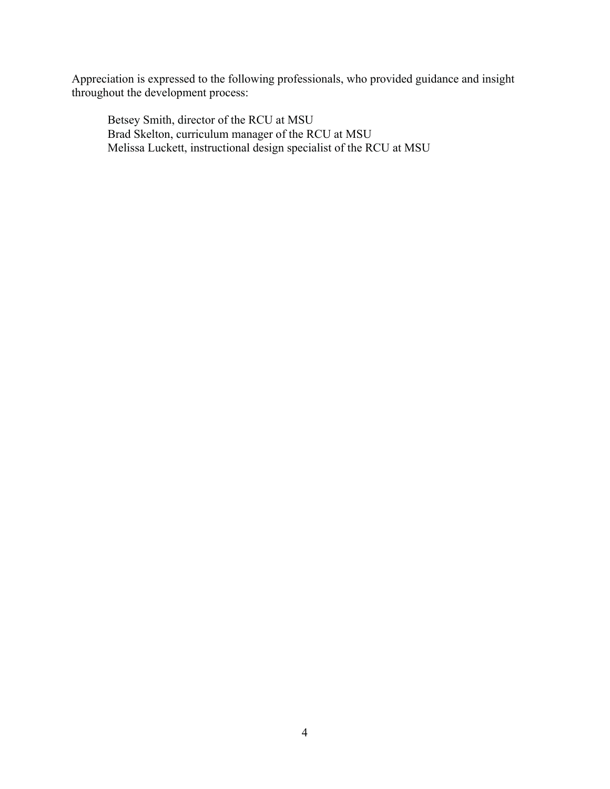Appreciation is expressed to the following professionals, who provided guidance and insight throughout the development process:

Betsey Smith, director of the RCU at MSU Brad Skelton, curriculum manager of the RCU at MSU Melissa Luckett, instructional design specialist of the RCU at MSU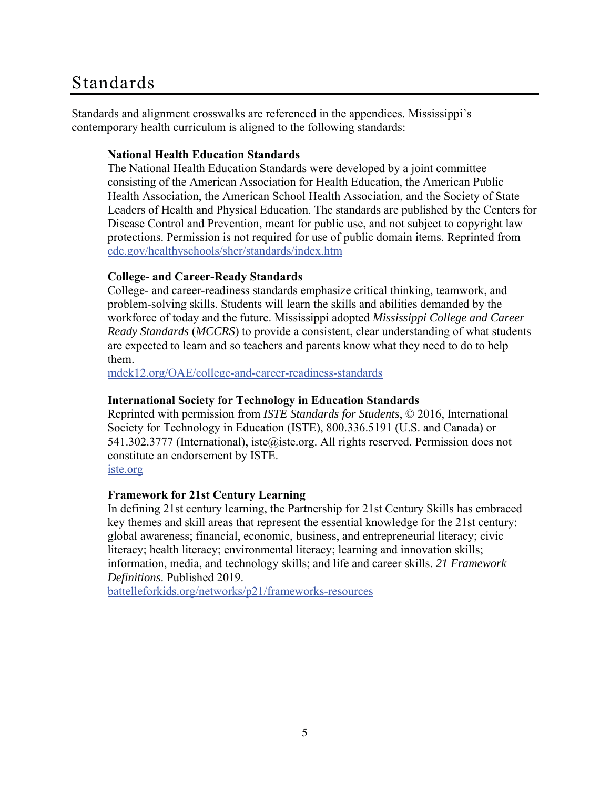## Standards

Standards and alignment crosswalks are referenced in the appendices. Mississippi's contemporary health curriculum is aligned to the following standards:

#### **National Health Education Standards**

The National Health Education Standards were developed by a joint committee consisting of the American Association for Health Education, the American Public Health Association, the American School Health Association, and the Society of State Leaders of Health and Physical Education. The standards are published by the Centers for Disease Control and Prevention, meant for public use, and not subject to copyright law protections. Permission is not required for use of public domain items. Reprinted from cdc.gov/healthyschools/sher/standards/index.htm

#### **College- and Career-Ready Standards**

College- and career-readiness standards emphasize critical thinking, teamwork, and problem-solving skills. Students will learn the skills and abilities demanded by the workforce of today and the future. Mississippi adopted *Mississippi College and Career Ready Standards* (*MCCRS*) to provide a consistent, clear understanding of what students are expected to learn and so teachers and parents know what they need to do to help them.

mdek12.org/OAE/college-and-career-readiness-standards

#### **International Society for Technology in Education Standards**

Reprinted with permission from *ISTE Standards for Students*, © 2016, International Society for Technology in Education (ISTE), 800.336.5191 (U.S. and Canada) or 541.302.3777 (International), iste@iste.org. All rights reserved. Permission does not constitute an endorsement by ISTE.

iste.org

#### **Framework for 21st Century Learning**

In defining 21st century learning, the Partnership for 21st Century Skills has embraced key themes and skill areas that represent the essential knowledge for the 21st century: global awareness; financial, economic, business, and entrepreneurial literacy; civic literacy; health literacy; environmental literacy; learning and innovation skills; information, media, and technology skills; and life and career skills. *21 Framework Definitions*. Published 2019.

battelleforkids.org/networks/p21/frameworks-resources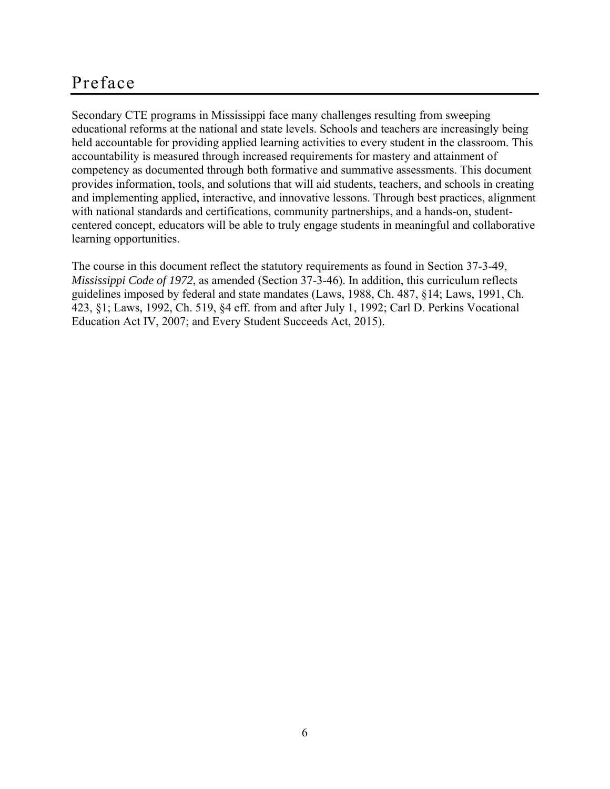## Preface

Secondary CTE programs in Mississippi face many challenges resulting from sweeping educational reforms at the national and state levels. Schools and teachers are increasingly being held accountable for providing applied learning activities to every student in the classroom. This accountability is measured through increased requirements for mastery and attainment of competency as documented through both formative and summative assessments. This document provides information, tools, and solutions that will aid students, teachers, and schools in creating and implementing applied, interactive, and innovative lessons. Through best practices, alignment with national standards and certifications, community partnerships, and a hands-on, studentcentered concept, educators will be able to truly engage students in meaningful and collaborative learning opportunities.

The course in this document reflect the statutory requirements as found in Section 37-3-49, *Mississippi Code of 1972*, as amended (Section 37-3-46). In addition, this curriculum reflects guidelines imposed by federal and state mandates (Laws, 1988, Ch. 487, §14; Laws, 1991, Ch. 423, §1; Laws, 1992, Ch. 519, §4 eff. from and after July 1, 1992; Carl D. Perkins Vocational Education Act IV, 2007; and Every Student Succeeds Act, 2015).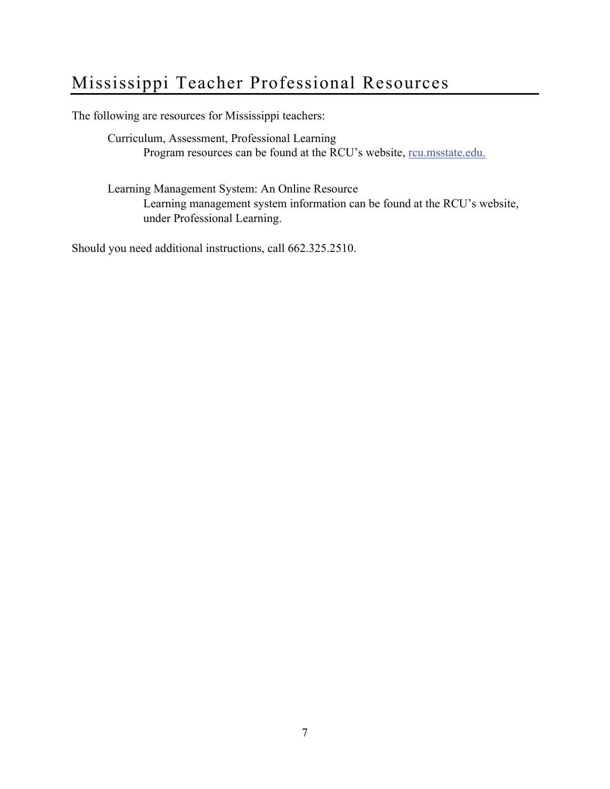# Mississippi Teacher Professional Resources

The following are resources for Mississippi teachers:

Curriculum, Assessment, Professional Learning Program resources can be found at the RCU's website, rou.msstate.edu.

Learning Management System: An Online Resource Learning management system information can be found at the RCU's website, under Professional Learning.

Should you need additional instructions, call 662.325.2510.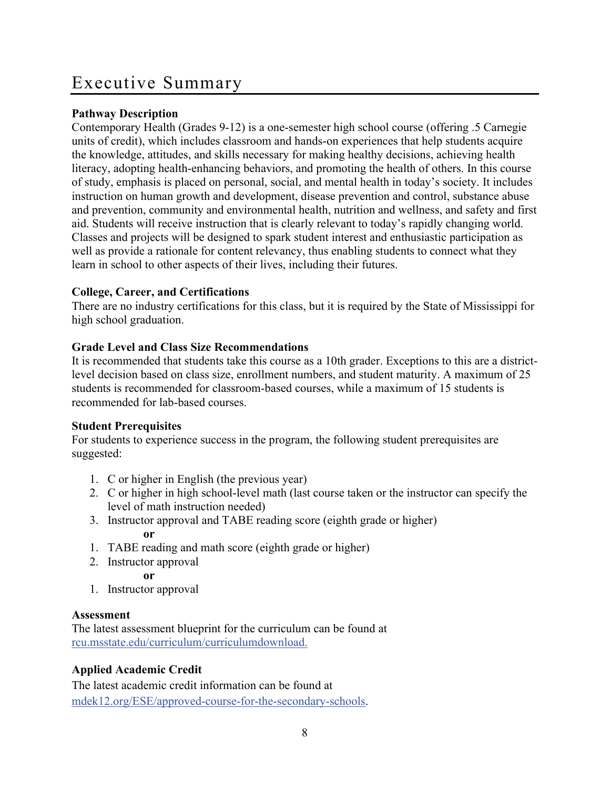## Executive Summary

#### **Pathway Description**

Contemporary Health (Grades 9-12) is a one-semester high school course (offering .5 Carnegie units of credit), which includes classroom and hands-on experiences that help students acquire the knowledge, attitudes, and skills necessary for making healthy decisions, achieving health literacy, adopting health-enhancing behaviors, and promoting the health of others. In this course of study, emphasis is placed on personal, social, and mental health in today's society. It includes instruction on human growth and development, disease prevention and control, substance abuse and prevention, community and environmental health, nutrition and wellness, and safety and first aid. Students will receive instruction that is clearly relevant to today's rapidly changing world. Classes and projects will be designed to spark student interest and enthusiastic participation as well as provide a rationale for content relevancy, thus enabling students to connect what they learn in school to other aspects of their lives, including their futures.

#### **College, Career, and Certifications**

There are no industry certifications for this class, but it is required by the State of Mississippi for high school graduation.

#### **Grade Level and Class Size Recommendations**

It is recommended that students take this course as a 10th grader. Exceptions to this are a districtlevel decision based on class size, enrollment numbers, and student maturity. A maximum of 25 students is recommended for classroom-based courses, while a maximum of 15 students is recommended for lab-based courses.

#### **Student Prerequisites**

For students to experience success in the program, the following student prerequisites are suggested:

- 1. C or higher in English (the previous year)
- 2. C or higher in high school-level math (last course taken or the instructor can specify the level of math instruction needed)
- 3. Instructor approval and TABE reading score (eighth grade or higher)

**or**

- 1. TABE reading and math score (eighth grade or higher)
- 2. Instructor approval

**or**

1. Instructor approval

#### **Assessment**

The latest assessment blueprint for the curriculum can be found at rcu.msstate.edu/curriculum/curriculumdownload.

#### **Applied Academic Credit**

The latest academic credit information can be found at mdek12.org/ESE/approved-course-for-the-secondary-schools.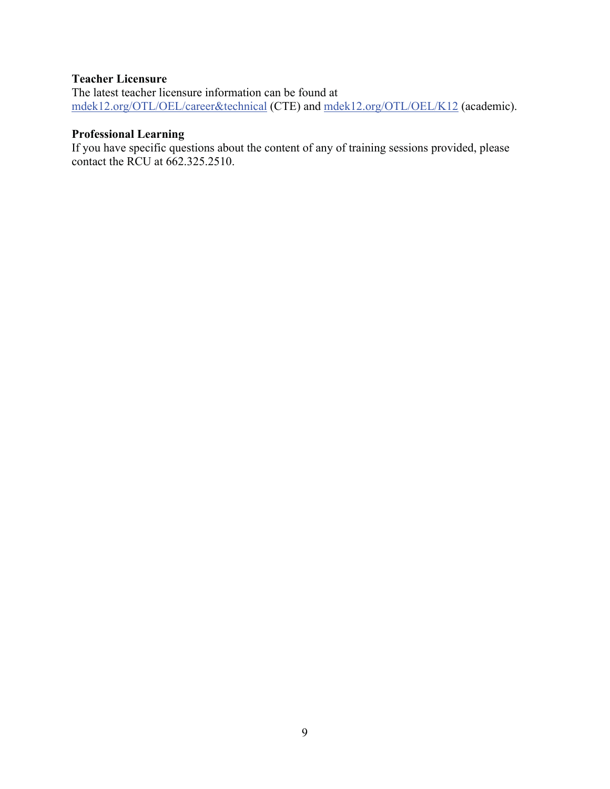#### **Teacher Licensure**

The latest teacher licensure information can be found at mdek12.org/OTL/OEL/career&technical (CTE) and mdek12.org/OTL/OEL/K12 (academic).

## **Professional Learning**

If you have specific questions about the content of any of training sessions provided, please contact the RCU at 662.325.2510.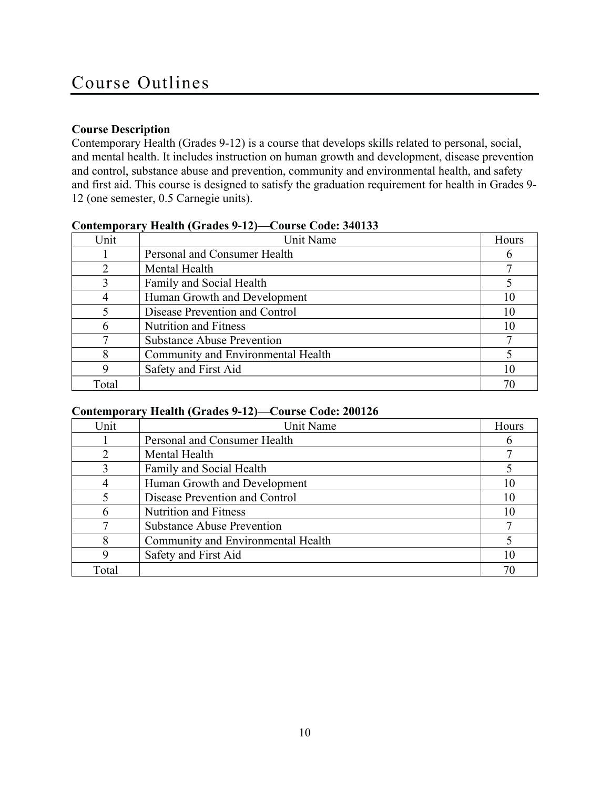## Course Outlines

#### **Course Description**

Contemporary Health (Grades 9-12) is a course that develops skills related to personal, social, and mental health. It includes instruction on human growth and development, disease prevention and control, substance abuse and prevention, community and environmental health, and safety and first aid. This course is designed to satisfy the graduation requirement for health in Grades 9- 12 (one semester, 0.5 Carnegie units).

| Unit  | Unit Name                          | Hours |
|-------|------------------------------------|-------|
|       | Personal and Consumer Health       |       |
|       | Mental Health                      |       |
|       | Family and Social Health           |       |
|       | Human Growth and Development       | 10    |
|       | Disease Prevention and Control     | 10    |
|       | <b>Nutrition and Fitness</b>       | 10    |
|       | <b>Substance Abuse Prevention</b>  |       |
|       | Community and Environmental Health |       |
|       | Safety and First Aid               |       |
| Total |                                    |       |

#### **Contemporary Health (Grades 9-12)—Course Code: 340133**

#### **Contemporary Health (Grades 9-12)—Course Code: 200126**

| Unit  | Unit Name                          | Hours |
|-------|------------------------------------|-------|
|       | Personal and Consumer Health       |       |
|       | Mental Health                      |       |
|       | Family and Social Health           |       |
|       | Human Growth and Development       | 10    |
|       | Disease Prevention and Control     | 10    |
|       | <b>Nutrition and Fitness</b>       | 10    |
|       | <b>Substance Abuse Prevention</b>  |       |
|       | Community and Environmental Health |       |
|       | Safety and First Aid               | 10    |
| Total |                                    | 7()   |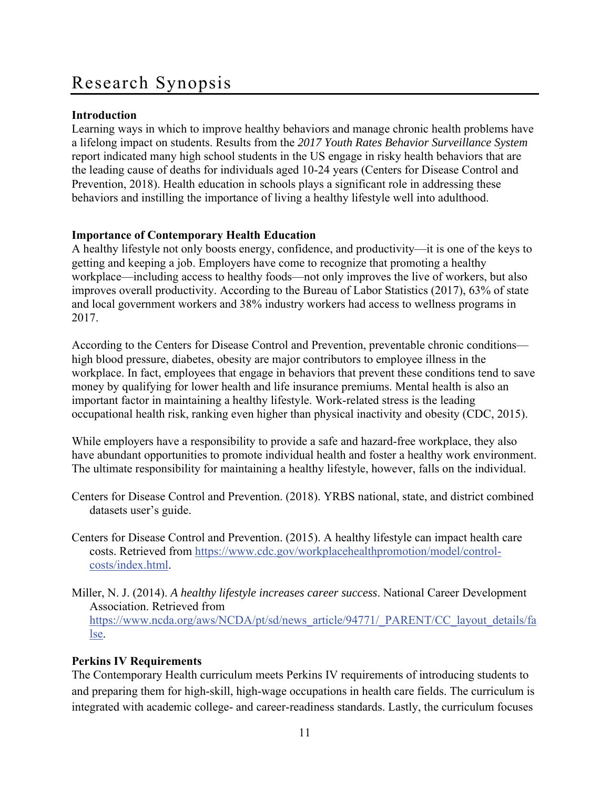# Research Synopsis

### **Introduction**

Learning ways in which to improve healthy behaviors and manage chronic health problems have a lifelong impact on students. Results from the *2017 Youth Rates Behavior Surveillance System* report indicated many high school students in the US engage in risky health behaviors that are the leading cause of deaths for individuals aged 10-24 years (Centers for Disease Control and Prevention, 2018). Health education in schools plays a significant role in addressing these behaviors and instilling the importance of living a healthy lifestyle well into adulthood.

### **Importance of Contemporary Health Education**

A healthy lifestyle not only boosts energy, confidence, and productivity—it is one of the keys to getting and keeping a job. Employers have come to recognize that promoting a healthy workplace—including access to healthy foods—not only improves the live of workers, but also improves overall productivity. According to the Bureau of Labor Statistics (2017), 63% of state and local government workers and 38% industry workers had access to wellness programs in 2017.

According to the Centers for Disease Control and Prevention, preventable chronic conditions high blood pressure, diabetes, obesity are major contributors to employee illness in the workplace. In fact, employees that engage in behaviors that prevent these conditions tend to save money by qualifying for lower health and life insurance premiums. Mental health is also an important factor in maintaining a healthy lifestyle. Work-related stress is the leading occupational health risk, ranking even higher than physical inactivity and obesity (CDC, 2015).

While employers have a responsibility to provide a safe and hazard-free workplace, they also have abundant opportunities to promote individual health and foster a healthy work environment. The ultimate responsibility for maintaining a healthy lifestyle, however, falls on the individual.

- Centers for Disease Control and Prevention. (2018). YRBS national, state, and district combined datasets user's guide.
- Centers for Disease Control and Prevention. (2015). A healthy lifestyle can impact health care costs. Retrieved from https://www.cdc.gov/workplacehealthpromotion/model/controlcosts/index.html.
- Miller, N. J. (2014). *A healthy lifestyle increases career success*. National Career Development Association. Retrieved from https://www.ncda.org/aws/NCDA/pt/sd/news\_article/94771/\_PARENT/CC\_layout\_details/fa lse.

## **Perkins IV Requirements**

The Contemporary Health curriculum meets Perkins IV requirements of introducing students to and preparing them for high-skill, high-wage occupations in health care fields. The curriculum is integrated with academic college- and career-readiness standards. Lastly, the curriculum focuses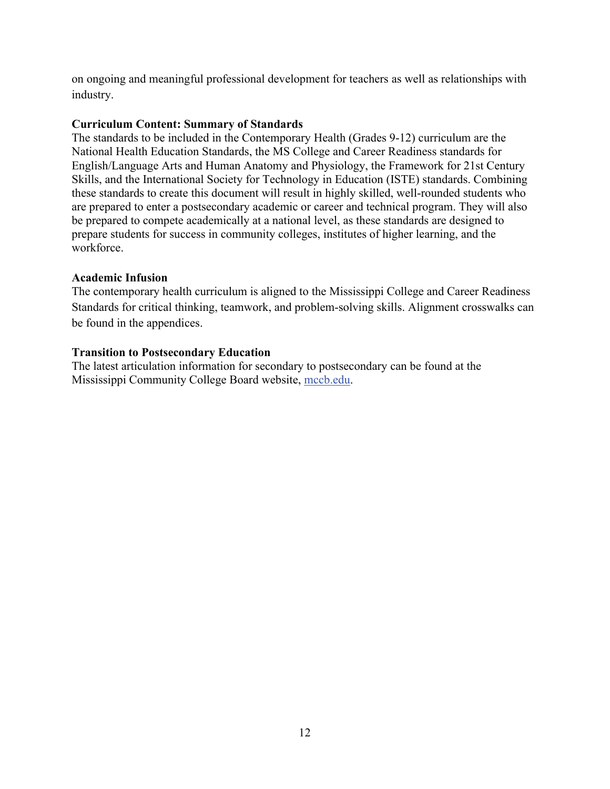on ongoing and meaningful professional development for teachers as well as relationships with industry.

#### **Curriculum Content: Summary of Standards**

The standards to be included in the Contemporary Health (Grades 9-12) curriculum are the National Health Education Standards, the MS College and Career Readiness standards for English/Language Arts and Human Anatomy and Physiology, the Framework for 21st Century Skills, and the International Society for Technology in Education (ISTE) standards. Combining these standards to create this document will result in highly skilled, well-rounded students who are prepared to enter a postsecondary academic or career and technical program. They will also be prepared to compete academically at a national level, as these standards are designed to prepare students for success in community colleges, institutes of higher learning, and the workforce.

#### **Academic Infusion**

The contemporary health curriculum is aligned to the Mississippi College and Career Readiness Standards for critical thinking, teamwork, and problem-solving skills. Alignment crosswalks can be found in the appendices.

#### **Transition to Postsecondary Education**

The latest articulation information for secondary to postsecondary can be found at the Mississippi Community College Board website, mccb.edu.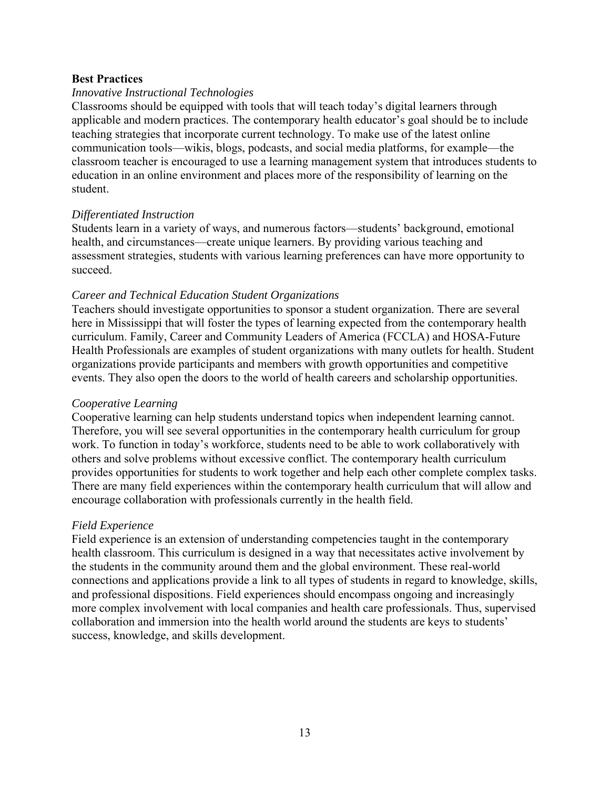#### **Best Practices**

#### *Innovative Instructional Technologies*

Classrooms should be equipped with tools that will teach today's digital learners through applicable and modern practices. The contemporary health educator's goal should be to include teaching strategies that incorporate current technology. To make use of the latest online communication tools—wikis, blogs, podcasts, and social media platforms, for example—the classroom teacher is encouraged to use a learning management system that introduces students to education in an online environment and places more of the responsibility of learning on the student.

#### *Differentiated Instruction*

Students learn in a variety of ways, and numerous factors—students' background, emotional health, and circumstances—create unique learners. By providing various teaching and assessment strategies, students with various learning preferences can have more opportunity to succeed.

#### *Career and Technical Education Student Organizations*

Teachers should investigate opportunities to sponsor a student organization. There are several here in Mississippi that will foster the types of learning expected from the contemporary health curriculum. Family, Career and Community Leaders of America (FCCLA) and HOSA-Future Health Professionals are examples of student organizations with many outlets for health. Student organizations provide participants and members with growth opportunities and competitive events. They also open the doors to the world of health careers and scholarship opportunities.

#### *Cooperative Learning*

Cooperative learning can help students understand topics when independent learning cannot. Therefore, you will see several opportunities in the contemporary health curriculum for group work. To function in today's workforce, students need to be able to work collaboratively with others and solve problems without excessive conflict. The contemporary health curriculum provides opportunities for students to work together and help each other complete complex tasks. There are many field experiences within the contemporary health curriculum that will allow and encourage collaboration with professionals currently in the health field.

#### *Field Experience*

Field experience is an extension of understanding competencies taught in the contemporary health classroom. This curriculum is designed in a way that necessitates active involvement by the students in the community around them and the global environment. These real-world connections and applications provide a link to all types of students in regard to knowledge, skills, and professional dispositions. Field experiences should encompass ongoing and increasingly more complex involvement with local companies and health care professionals. Thus, supervised collaboration and immersion into the health world around the students are keys to students' success, knowledge, and skills development.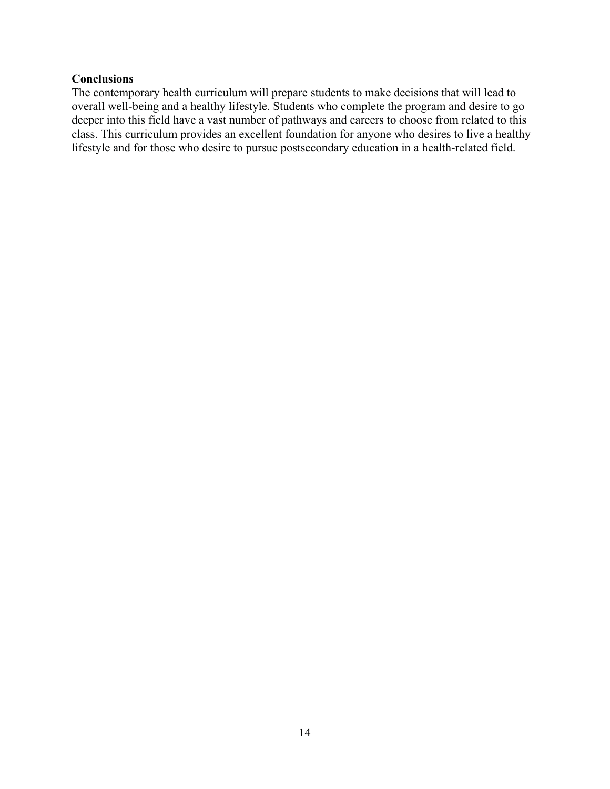#### **Conclusions**

The contemporary health curriculum will prepare students to make decisions that will lead to overall well-being and a healthy lifestyle. Students who complete the program and desire to go deeper into this field have a vast number of pathways and careers to choose from related to this class. This curriculum provides an excellent foundation for anyone who desires to live a healthy lifestyle and for those who desire to pursue postsecondary education in a health-related field.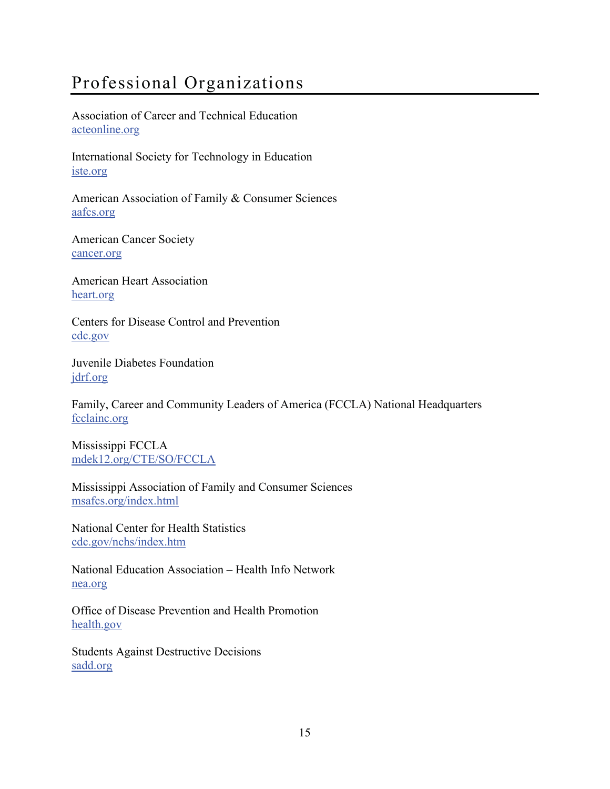## Professional Organizations

Association of Career and Technical Education acteonline.org

International Society for Technology in Education iste.org

American Association of Family & Consumer Sciences aafcs.org

American Cancer Society cancer.org

American Heart Association heart.org

Centers for Disease Control and Prevention cdc.gov

Juvenile Diabetes Foundation jdrf.org

Family, Career and Community Leaders of America (FCCLA) National Headquarters fcclainc.org

Mississippi FCCLA mdek12.org/CTE/SO/FCCLA

Mississippi Association of Family and Consumer Sciences msafcs.org/index.html

National Center for Health Statistics cdc.gov/nchs/index.htm

National Education Association – Health Info Network nea.org

Office of Disease Prevention and Health Promotion health.gov

Students Against Destructive Decisions sadd.org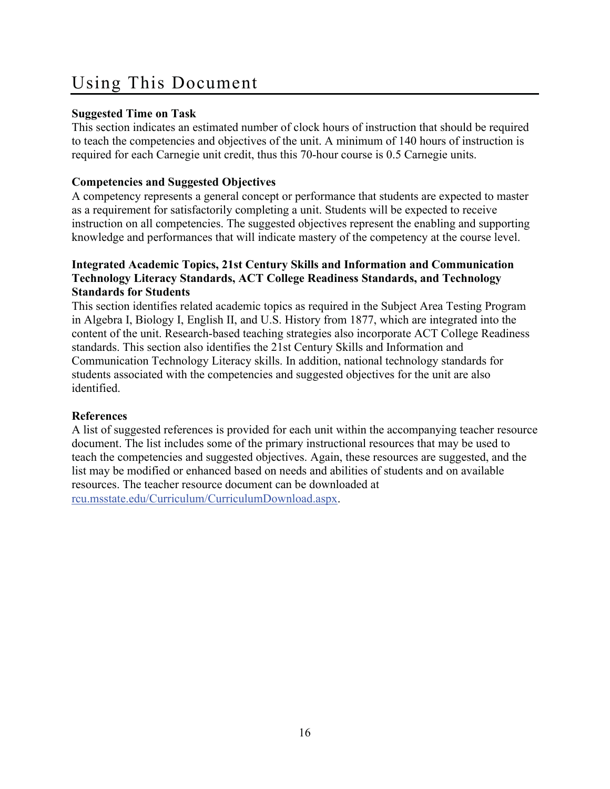# Using This Document

## **Suggested Time on Task**

This section indicates an estimated number of clock hours of instruction that should be required to teach the competencies and objectives of the unit. A minimum of 140 hours of instruction is required for each Carnegie unit credit, thus this 70-hour course is 0.5 Carnegie units.

### **Competencies and Suggested Objectives**

A competency represents a general concept or performance that students are expected to master as a requirement for satisfactorily completing a unit. Students will be expected to receive instruction on all competencies. The suggested objectives represent the enabling and supporting knowledge and performances that will indicate mastery of the competency at the course level.

#### **Integrated Academic Topics, 21st Century Skills and Information and Communication Technology Literacy Standards, ACT College Readiness Standards, and Technology Standards for Students**

This section identifies related academic topics as required in the Subject Area Testing Program in Algebra I, Biology I, English II, and U.S. History from 1877, which are integrated into the content of the unit. Research-based teaching strategies also incorporate ACT College Readiness standards. This section also identifies the 21st Century Skills and Information and Communication Technology Literacy skills. In addition, national technology standards for students associated with the competencies and suggested objectives for the unit are also identified.

#### **References**

A list of suggested references is provided for each unit within the accompanying teacher resource document. The list includes some of the primary instructional resources that may be used to teach the competencies and suggested objectives. Again, these resources are suggested, and the list may be modified or enhanced based on needs and abilities of students and on available resources. The teacher resource document can be downloaded at rcu.msstate.edu/Curriculum/CurriculumDownload.aspx.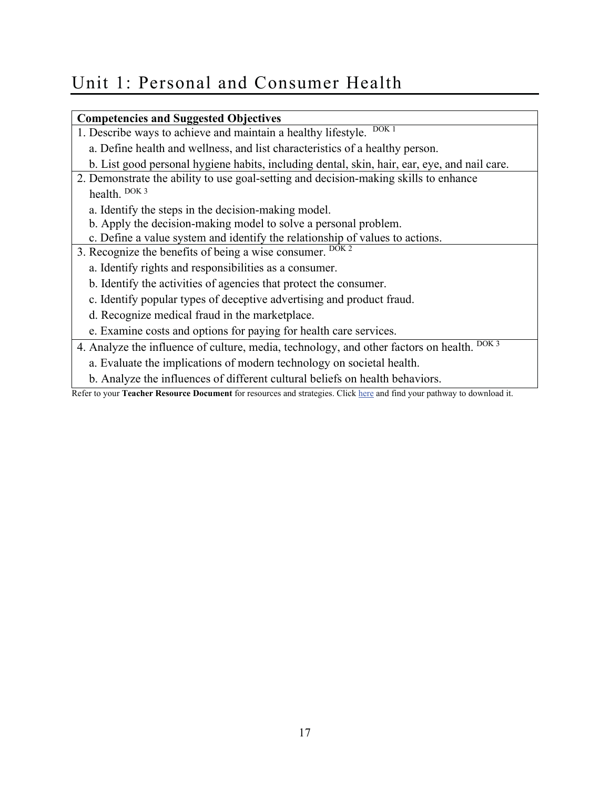## Unit 1: Personal and Consumer Health

## **Competencies and Suggested Objectives**

1. Describe ways to achieve and maintain a healthy lifestyle. <sup>DOK 1</sup>

a. Define health and wellness, and list characteristics of a healthy person.

b. List good personal hygiene habits, including dental, skin, hair, ear, eye, and nail care.

2. Demonstrate the ability to use goal-setting and decision-making skills to enhance health. DOK 3

a. Identify the steps in the decision-making model.

- b. Apply the decision-making model to solve a personal problem.
- c. Define a value system and identify the relationship of values to actions.
- 3. Recognize the benefits of being a wise consumer.  $\frac{DOK2}{DOK2}$ 
	- a. Identify rights and responsibilities as a consumer.
	- b. Identify the activities of agencies that protect the consumer.
	- c. Identify popular types of deceptive advertising and product fraud.
	- d. Recognize medical fraud in the marketplace.
	- e. Examine costs and options for paying for health care services.

4. Analyze the influence of culture, media, technology, and other factors on health. DOK 3

- a. Evaluate the implications of modern technology on societal health.
- b. Analyze the influences of different cultural beliefs on health behaviors.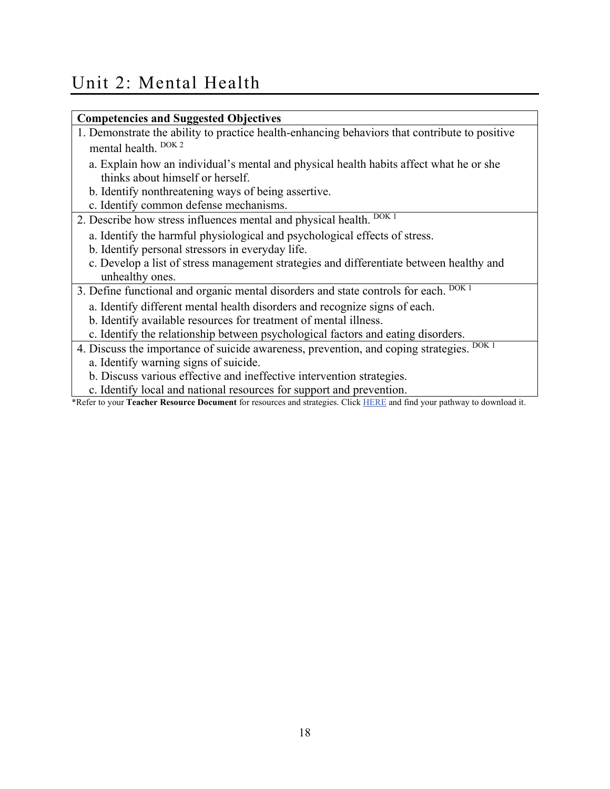# Unit 2: Mental Health

## **Competencies and Suggested Objectives**

- 1. Demonstrate the ability to practice health-enhancing behaviors that contribute to positive mental health. DOK 2
	- a. Explain how an individual's mental and physical health habits affect what he or she thinks about himself or herself.
	- b. Identify nonthreatening ways of being assertive.
	- c. Identify common defense mechanisms.
- 2. Describe how stress influences mental and physical health. DOK 1
	- a. Identify the harmful physiological and psychological effects of stress.
	- b. Identify personal stressors in everyday life.
	- c. Develop a list of stress management strategies and differentiate between healthy and unhealthy ones.
- 3. Define functional and organic mental disorders and state controls for each. <sup>DOK 1</sup>
	- a. Identify different mental health disorders and recognize signs of each.
	- b. Identify available resources for treatment of mental illness.

c. Identify the relationship between psychological factors and eating disorders.

- 4. Discuss the importance of suicide awareness, prevention, and coping strategies. <sup>DOK 1</sup>
	- a. Identify warning signs of suicide.
	- b. Discuss various effective and ineffective intervention strategies.
	- c. Identify local and national resources for support and prevention.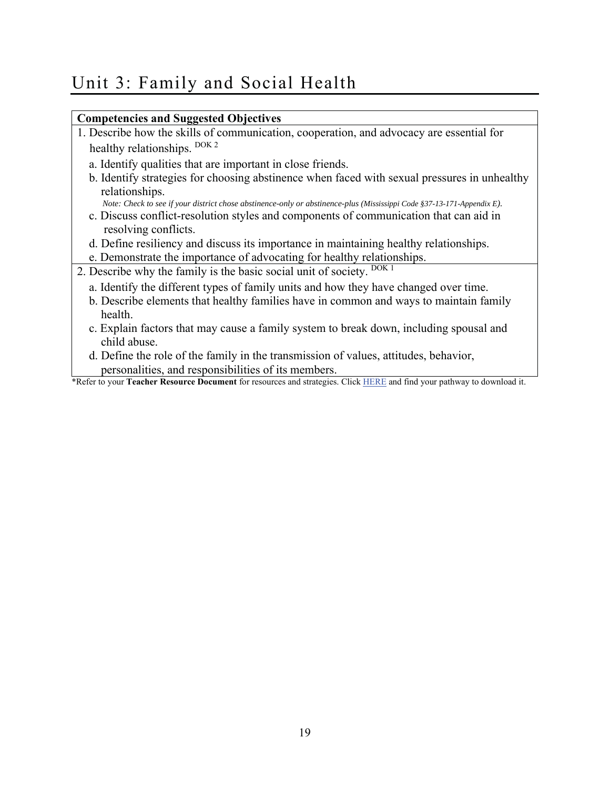## Unit 3: Family and Social Health

#### **Competencies and Suggested Objectives**

- 1. Describe how the skills of communication, cooperation, and advocacy are essential for healthy relationships. DOK 2
	- a. Identify qualities that are important in close friends.
	- b. Identify strategies for choosing abstinence when faced with sexual pressures in unhealthy relationships.

 *Note: Check to see if your district chose abstinence-only or abstinence-plus (Mississippi Code §37-13-171-Appendix E).*

- c. Discuss conflict-resolution styles and components of communication that can aid in resolving conflicts.
- d. Define resiliency and discuss its importance in maintaining healthy relationships.
- e. Demonstrate the importance of advocating for healthy relationships.
- 2. Describe why the family is the basic social unit of society.  $^{DOK 1}$ 
	- a. Identify the different types of family units and how they have changed over time.
	- b. Describe elements that healthy families have in common and ways to maintain family health.
	- c. Explain factors that may cause a family system to break down, including spousal and child abuse.
	- d. Define the role of the family in the transmission of values, attitudes, behavior, personalities, and responsibilities of its members.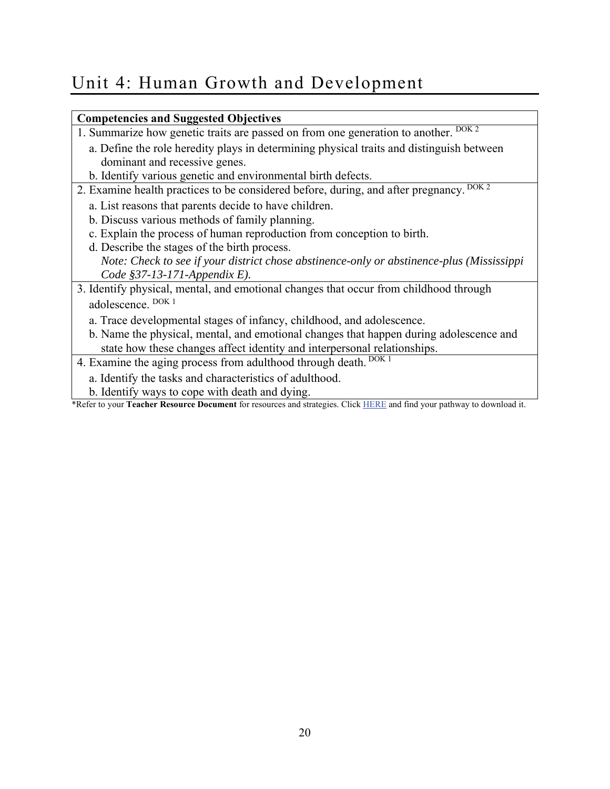## Unit 4: Human Growth and Development

### **Competencies and Suggested Objectives**

1. Summarize how genetic traits are passed on from one generation to another. <sup>DOK 2</sup>

- a. Define the role heredity plays in determining physical traits and distinguish between dominant and recessive genes.
- b. Identify various genetic and environmental birth defects.
- 2. Examine health practices to be considered before, during, and after pregnancy. DOK 2
	- a. List reasons that parents decide to have children.
	- b. Discuss various methods of family planning.
	- c. Explain the process of human reproduction from conception to birth.
	- d. Describe the stages of the birth process. *Note: Check to see if your district chose abstinence-only or abstinence-plus (Mississippi Code §37-13-171-Appendix E).*
- 3. Identify physical, mental, and emotional changes that occur from childhood through adolescence. DOK 1

a. Trace developmental stages of infancy, childhood, and adolescence.

- b. Name the physical, mental, and emotional changes that happen during adolescence and state how these changes affect identity and interpersonal relationships.
- 4. Examine the aging process from adulthood through death. <sup>DOK 1</sup>
	- a. Identify the tasks and characteristics of adulthood.
- b. Identify ways to cope with death and dying.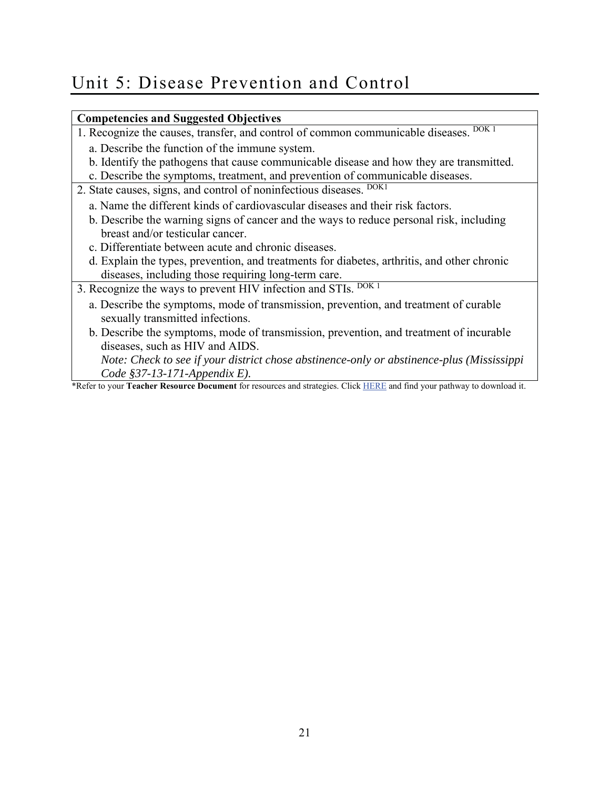# Unit 5: Disease Prevention and Control

### **Competencies and Suggested Objectives**

- 1. Recognize the causes, transfer, and control of common communicable diseases. <sup>DOK 1</sup>
	- a. Describe the function of the immune system.
	- b. Identify the pathogens that cause communicable disease and how they are transmitted.
	- c. Describe the symptoms, treatment, and prevention of communicable diseases.
- 2. State causes, signs, and control of noninfectious diseases. <sup>DOK1</sup>
	- a. Name the different kinds of cardiovascular diseases and their risk factors.
	- b. Describe the warning signs of cancer and the ways to reduce personal risk, including breast and/or testicular cancer.
	- c. Differentiate between acute and chronic diseases.
	- d. Explain the types, prevention, and treatments for diabetes, arthritis, and other chronic diseases, including those requiring long-term care.
- 3. Recognize the ways to prevent HIV infection and STIs.  $\frac{DOK}{1}$ 
	- a. Describe the symptoms, mode of transmission, prevention, and treatment of curable sexually transmitted infections.
	- b. Describe the symptoms, mode of transmission, prevention, and treatment of incurable diseases, such as HIV and AIDS.

*Note: Check to see if your district chose abstinence-only or abstinence-plus (Mississippi Code §37-13-171-Appendix E).*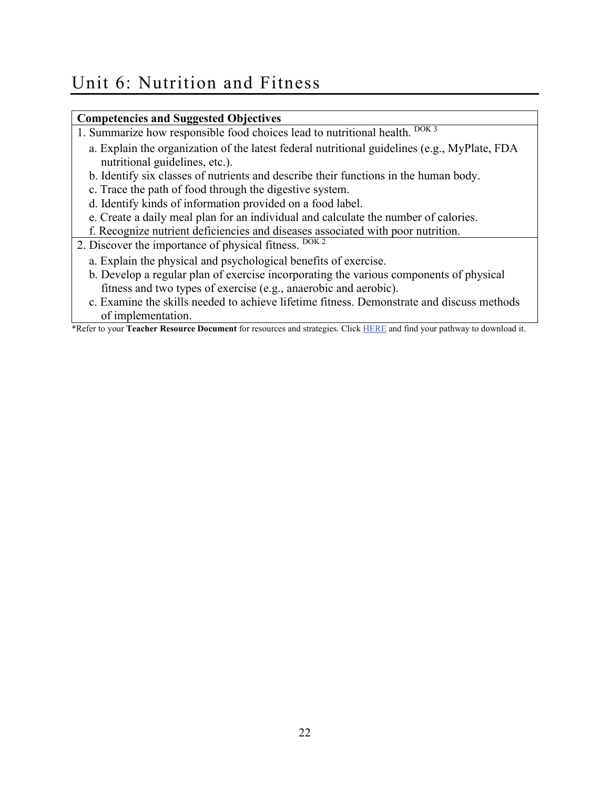## Unit 6: Nutrition and Fitness

### **Competencies and Suggested Objectives**

- 1. Summarize how responsible food choices lead to nutritional health. DOK 3
	- a. Explain the organization of the latest federal nutritional guidelines (e.g., MyPlate, FDA nutritional guidelines, etc.).
	- b. Identify six classes of nutrients and describe their functions in the human body.
	- c. Trace the path of food through the digestive system.
	- d. Identify kinds of information provided on a food label.
	- e. Create a daily meal plan for an individual and calculate the number of calories.
	- f. Recognize nutrient deficiencies and diseases associated with poor nutrition.
- 2. Discover the importance of physical fitness. DOK 2
	- a. Explain the physical and psychological benefits of exercise.
	- b. Develop a regular plan of exercise incorporating the various components of physical fitness and two types of exercise (e.g., anaerobic and aerobic).
	- c. Examine the skills needed to achieve lifetime fitness. Demonstrate and discuss methods of implementation.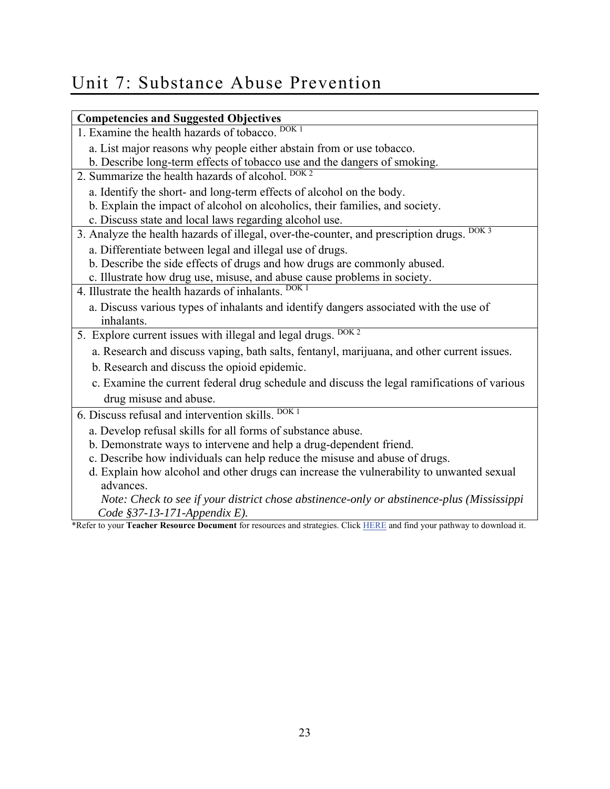# Unit 7: Substance Abuse Prevention

| <b>Competencies and Suggested Objectives</b>                                                                                                     |
|--------------------------------------------------------------------------------------------------------------------------------------------------|
| 1. Examine the health hazards of tobacco. DOK 1                                                                                                  |
| a. List major reasons why people either abstain from or use tobacco.<br>b. Describe long-term effects of tobacco use and the dangers of smoking. |
| 2. Summarize the health hazards of alcohol. DOK 2                                                                                                |
| a. Identify the short- and long-term effects of alcohol on the body.                                                                             |
| b. Explain the impact of alcohol on alcoholics, their families, and society.                                                                     |
| c. Discuss state and local laws regarding alcohol use.                                                                                           |
| 3. Analyze the health hazards of illegal, over-the-counter, and prescription drugs. DOK 3                                                        |
| a. Differentiate between legal and illegal use of drugs.                                                                                         |
| b. Describe the side effects of drugs and how drugs are commonly abused.                                                                         |
| c. Illustrate how drug use, misuse, and abuse cause problems in society.                                                                         |
| 4. Illustrate the health hazards of inhalants. DOK 1                                                                                             |
| a. Discuss various types of inhalants and identify dangers associated with the use of<br>inhalants.                                              |
| 5. Explore current issues with illegal and legal drugs. DOK 2                                                                                    |
|                                                                                                                                                  |
| a. Research and discuss vaping, bath salts, fentanyl, marijuana, and other current issues.                                                       |
| b. Research and discuss the opioid epidemic.                                                                                                     |
| c. Examine the current federal drug schedule and discuss the legal ramifications of various<br>drug misuse and abuse.                            |
| 6. Discuss refusal and intervention skills. DOK 1                                                                                                |
| a. Develop refusal skills for all forms of substance abuse.                                                                                      |
| b. Demonstrate ways to intervene and help a drug-dependent friend.                                                                               |
| c. Describe how individuals can help reduce the misuse and abuse of drugs.                                                                       |
| d. Explain how alcohol and other drugs can increase the vulnerability to unwanted sexual<br>advances.                                            |
| Note: Check to see if your district chose abstinence-only or abstinence-plus (Mississippi<br>Code $$37-13-171$ -Appendix E).                     |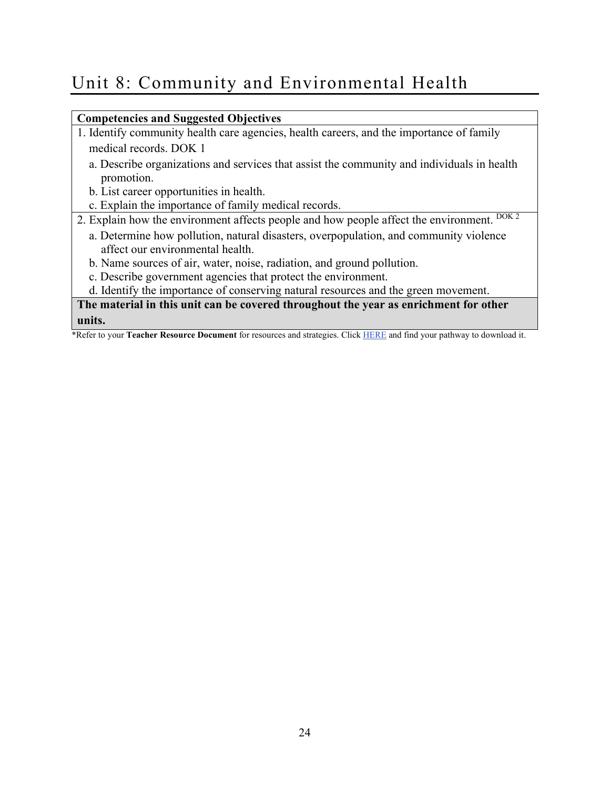# Unit 8: Community and Environmental Health

#### **Competencies and Suggested Objectives**

- 1. Identify community health care agencies, health careers, and the importance of family medical records. DOK 1
	- a. Describe organizations and services that assist the community and individuals in health promotion.
	- b. List career opportunities in health.
	- c. Explain the importance of family medical records.
- 2. Explain how the environment affects people and how people affect the environment. <sup>DOK 2</sup>
	- a. Determine how pollution, natural disasters, overpopulation, and community violence affect our environmental health.
	- b. Name sources of air, water, noise, radiation, and ground pollution.
	- c. Describe government agencies that protect the environment.
	- d. Identify the importance of conserving natural resources and the green movement.

#### **The material in this unit can be covered throughout the year as enrichment for other units.**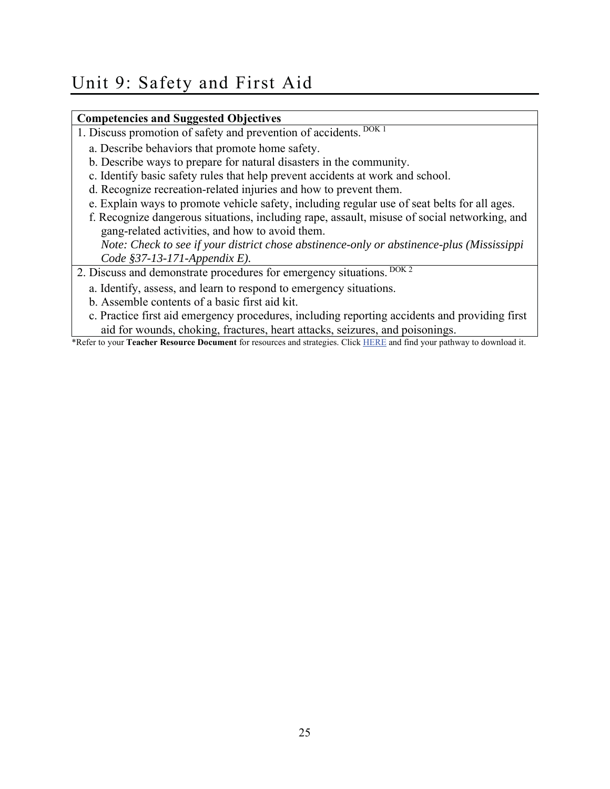## Unit 9: Safety and First Aid

### **Competencies and Suggested Objectives**

- 1. Discuss promotion of safety and prevention of accidents. DOK 1
	- a. Describe behaviors that promote home safety.
	- b. Describe ways to prepare for natural disasters in the community.
	- c. Identify basic safety rules that help prevent accidents at work and school.
	- d. Recognize recreation-related injuries and how to prevent them.
	- e. Explain ways to promote vehicle safety, including regular use of seat belts for all ages.
	- f. Recognize dangerous situations, including rape, assault, misuse of social networking, and gang-related activities, and how to avoid them.
		- *Note: Check to see if your district chose abstinence-only or abstinence-plus (Mississippi Code §37-13-171-Appendix E).*
- 2. Discuss and demonstrate procedures for emergency situations. DOK 2
	- a. Identify, assess, and learn to respond to emergency situations.
	- b. Assemble contents of a basic first aid kit.
	- c. Practice first aid emergency procedures, including reporting accidents and providing first aid for wounds, choking, fractures, heart attacks, seizures, and poisonings.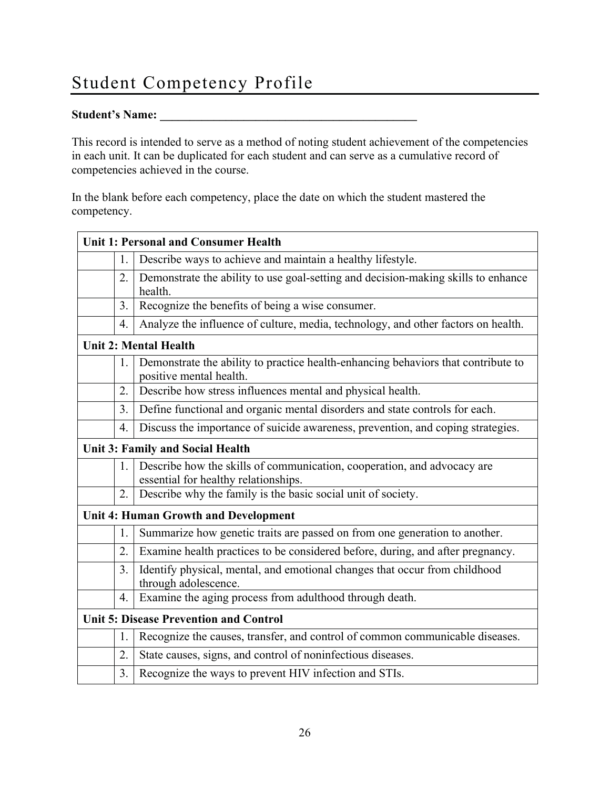# Student Competency Profile

## **Student's Name: \_\_\_\_\_\_\_\_\_\_\_\_\_\_\_\_\_\_\_\_\_\_\_\_\_\_\_\_\_\_\_\_\_\_\_\_\_\_\_\_\_\_\_**

This record is intended to serve as a method of noting student achievement of the competencies in each unit. It can be duplicated for each student and can serve as a cumulative record of competencies achieved in the course.

In the blank before each competency, place the date on which the student mastered the competency.

|    | <b>Unit 1: Personal and Consumer Health</b>                                                                     |
|----|-----------------------------------------------------------------------------------------------------------------|
| 1. | Describe ways to achieve and maintain a healthy lifestyle.                                                      |
| 2. | Demonstrate the ability to use goal-setting and decision-making skills to enhance<br>health.                    |
| 3. | Recognize the benefits of being a wise consumer.                                                                |
| 4. | Analyze the influence of culture, media, technology, and other factors on health.                               |
|    | <b>Unit 2: Mental Health</b>                                                                                    |
| 1. | Demonstrate the ability to practice health-enhancing behaviors that contribute to<br>positive mental health.    |
| 2. | Describe how stress influences mental and physical health.                                                      |
| 3. | Define functional and organic mental disorders and state controls for each.                                     |
| 4. | Discuss the importance of suicide awareness, prevention, and coping strategies.                                 |
|    | Unit 3: Family and Social Health                                                                                |
| 1. | Describe how the skills of communication, cooperation, and advocacy are<br>essential for healthy relationships. |
| 2. | Describe why the family is the basic social unit of society.                                                    |
|    | <b>Unit 4: Human Growth and Development</b>                                                                     |
| 1. | Summarize how genetic traits are passed on from one generation to another.                                      |
| 2. | Examine health practices to be considered before, during, and after pregnancy.                                  |
| 3. | Identify physical, mental, and emotional changes that occur from childhood<br>through adolescence.              |
| 4. | Examine the aging process from adulthood through death.                                                         |
|    | <b>Unit 5: Disease Prevention and Control</b>                                                                   |
| 1. | Recognize the causes, transfer, and control of common communicable diseases.                                    |
| 2. | State causes, signs, and control of noninfectious diseases.                                                     |
| 3. | Recognize the ways to prevent HIV infection and STIs.                                                           |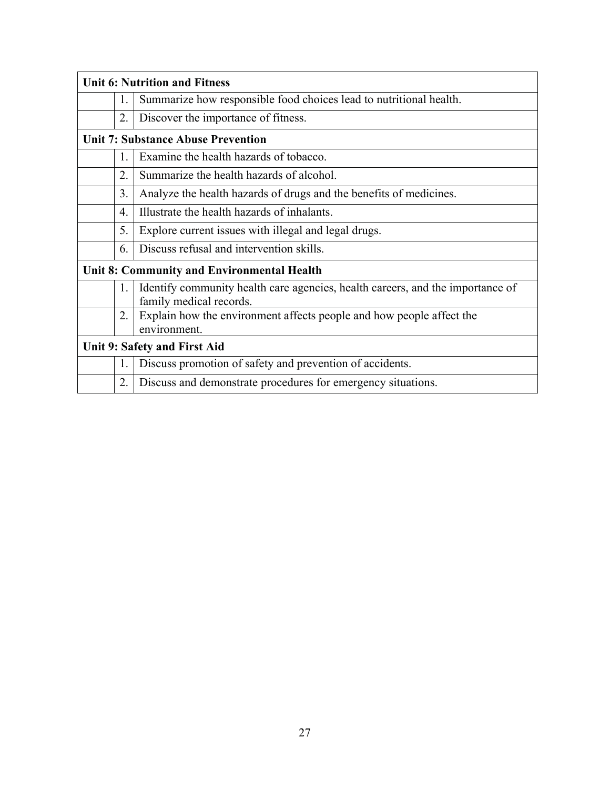|    | <b>Unit 6: Nutrition and Fitness</b>                                                                      |
|----|-----------------------------------------------------------------------------------------------------------|
| 1. | Summarize how responsible food choices lead to nutritional health.                                        |
| 2. | Discover the importance of fitness.                                                                       |
|    | <b>Unit 7: Substance Abuse Prevention</b>                                                                 |
| 1. | Examine the health hazards of tobacco.                                                                    |
| 2. | Summarize the health hazards of alcohol.                                                                  |
| 3. | Analyze the health hazards of drugs and the benefits of medicines.                                        |
| 4. | Illustrate the health hazards of inhalants.                                                               |
| 5. | Explore current issues with illegal and legal drugs.                                                      |
| 6. | Discuss refusal and intervention skills.                                                                  |
|    | <b>Unit 8: Community and Environmental Health</b>                                                         |
| 1. | Identify community health care agencies, health careers, and the importance of<br>family medical records. |
| 2. | Explain how the environment affects people and how people affect the<br>environment.                      |
|    | Unit 9: Safety and First Aid                                                                              |
| 1. | Discuss promotion of safety and prevention of accidents.                                                  |
| 2. | Discuss and demonstrate procedures for emergency situations.                                              |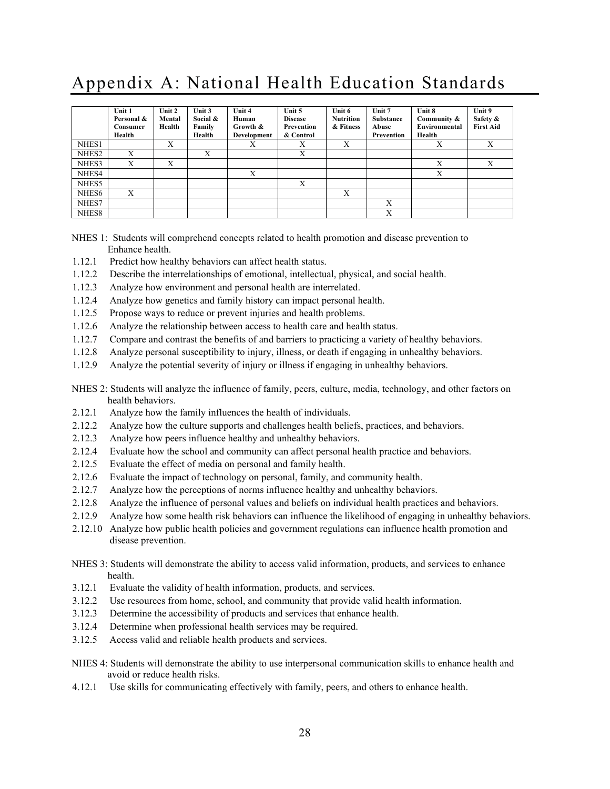# Appendix A: National Health Education Standards

|                   | Unit 1<br>Personal &<br>Consumer<br>Health | Unit 2<br>Mental<br>Health | Unit 3<br>Social &<br>Family<br>Health | Unit 4<br>Human<br>Growth &<br>Development | Unit 5<br><b>Disease</b><br>Prevention<br>& Control | Unit 6<br><b>Nutrition</b><br>& Fitness | Unit 7<br><b>Substance</b><br>Abuse<br>Prevention | Unit 8<br>Community &<br>Environmental<br>Health | Unit 9<br>Safety &<br><b>First Aid</b> |
|-------------------|--------------------------------------------|----------------------------|----------------------------------------|--------------------------------------------|-----------------------------------------------------|-----------------------------------------|---------------------------------------------------|--------------------------------------------------|----------------------------------------|
| NHES1             |                                            | X                          |                                        | X                                          | X                                                   | X                                       |                                                   | X                                                | X                                      |
| NHES <sub>2</sub> | X                                          |                            | X                                      |                                            | X                                                   |                                         |                                                   |                                                  |                                        |
| NHES3             | X                                          | X                          |                                        |                                            |                                                     |                                         |                                                   | X                                                | X                                      |
| NHES4             |                                            |                            |                                        | X                                          |                                                     |                                         |                                                   | X                                                |                                        |
| NHES5             |                                            |                            |                                        |                                            | X                                                   |                                         |                                                   |                                                  |                                        |
| NHES6             | X                                          |                            |                                        |                                            |                                                     | X                                       |                                                   |                                                  |                                        |
| NHES7             |                                            |                            |                                        |                                            |                                                     |                                         | X                                                 |                                                  |                                        |
| NHES8             |                                            |                            |                                        |                                            |                                                     |                                         | X                                                 |                                                  |                                        |

NHES 1: Students will comprehend concepts related to health promotion and disease prevention to Enhance health.

- 1.12.1 Predict how healthy behaviors can affect health status.
- 1.12.2 Describe the interrelationships of emotional, intellectual, physical, and social health.
- 1.12.3 Analyze how environment and personal health are interrelated.
- 1.12.4 Analyze how genetics and family history can impact personal health.
- 1.12.5 Propose ways to reduce or prevent injuries and health problems.
- 1.12.6 Analyze the relationship between access to health care and health status.
- 1.12.7 Compare and contrast the benefits of and barriers to practicing a variety of healthy behaviors.
- 1.12.8 Analyze personal susceptibility to injury, illness, or death if engaging in unhealthy behaviors.
- 1.12.9 Analyze the potential severity of injury or illness if engaging in unhealthy behaviors.
- NHES 2: Students will analyze the influence of family, peers, culture, media, technology, and other factors on health behaviors.
- 2.12.1 Analyze how the family influences the health of individuals.
- 2.12.2 Analyze how the culture supports and challenges health beliefs, practices, and behaviors.
- 2.12.3 Analyze how peers influence healthy and unhealthy behaviors.
- 2.12.4 Evaluate how the school and community can affect personal health practice and behaviors.
- 2.12.5 Evaluate the effect of media on personal and family health.
- 2.12.6 Evaluate the impact of technology on personal, family, and community health.
- 2.12.7 Analyze how the perceptions of norms influence healthy and unhealthy behaviors.
- 2.12.8 Analyze the influence of personal values and beliefs on individual health practices and behaviors.
- 2.12.9 Analyze how some health risk behaviors can influence the likelihood of engaging in unhealthy behaviors.
- 2.12.10 Analyze how public health policies and government regulations can influence health promotion and disease prevention.
- NHES 3: Students will demonstrate the ability to access valid information, products, and services to enhance health.
- 3.12.1 Evaluate the validity of health information, products, and services.
- 3.12.2 Use resources from home, school, and community that provide valid health information.
- 3.12.3 Determine the accessibility of products and services that enhance health.
- 3.12.4 Determine when professional health services may be required.
- 3.12.5 Access valid and reliable health products and services.
- NHES 4: Students will demonstrate the ability to use interpersonal communication skills to enhance health and avoid or reduce health risks.
- 4.12.1 Use skills for communicating effectively with family, peers, and others to enhance health.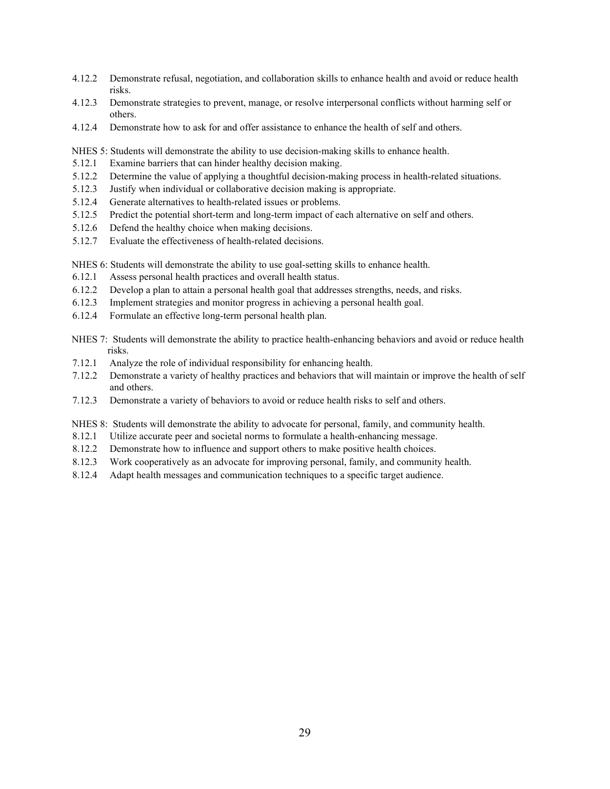- 4.12.2 Demonstrate refusal, negotiation, and collaboration skills to enhance health and avoid or reduce health risks.
- 4.12.3 Demonstrate strategies to prevent, manage, or resolve interpersonal conflicts without harming self or others.
- 4.12.4 Demonstrate how to ask for and offer assistance to enhance the health of self and others.

NHES 5: Students will demonstrate the ability to use decision-making skills to enhance health.

- 5.12.1 Examine barriers that can hinder healthy decision making.
- 5.12.2 Determine the value of applying a thoughtful decision-making process in health-related situations.
- 5.12.3 Justify when individual or collaborative decision making is appropriate.
- 5.12.4 Generate alternatives to health-related issues or problems.
- 5.12.5 Predict the potential short-term and long-term impact of each alternative on self and others.
- 5.12.6 Defend the healthy choice when making decisions.
- 5.12.7 Evaluate the effectiveness of health-related decisions.

NHES 6: Students will demonstrate the ability to use goal-setting skills to enhance health.

- 6.12.1 Assess personal health practices and overall health status.
- 6.12.2 Develop a plan to attain a personal health goal that addresses strengths, needs, and risks.
- 6.12.3 Implement strategies and monitor progress in achieving a personal health goal.
- 6.12.4 Formulate an effective long-term personal health plan.
- NHES 7: Students will demonstrate the ability to practice health-enhancing behaviors and avoid or reduce health risks.
- 7.12.1 Analyze the role of individual responsibility for enhancing health.
- 7.12.2 Demonstrate a variety of healthy practices and behaviors that will maintain or improve the health of self and others.
- 7.12.3 Demonstrate a variety of behaviors to avoid or reduce health risks to self and others.
- NHES 8: Students will demonstrate the ability to advocate for personal, family, and community health.
- 8.12.1 Utilize accurate peer and societal norms to formulate a health-enhancing message.
- 8.12.2 Demonstrate how to influence and support others to make positive health choices.
- 8.12.3 Work cooperatively as an advocate for improving personal, family, and community health.
- 8.12.4 Adapt health messages and communication techniques to a specific target audience.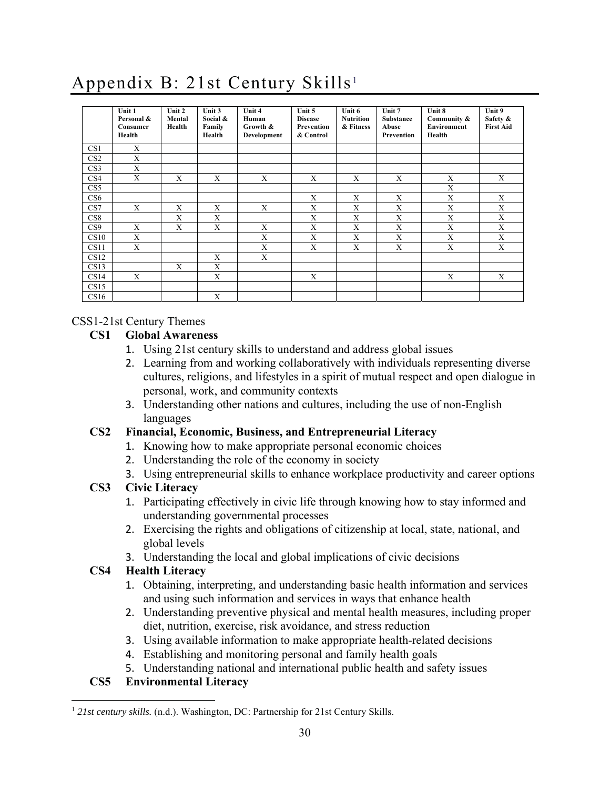Appendix B: 21st Century Skills <sup>1</sup>

|                 | Unit 1<br>Personal &<br>Consumer<br>Health | Unit 2<br>Mental<br>Health | Unit 3<br>Social &<br>Family<br>Health | Unit 4<br>Human<br>Growth &<br>Development | Unit 5<br><b>Disease</b><br>Prevention<br>& Control | Unit 6<br><b>Nutrition</b><br>& Fitness | Unit 7<br><b>Substance</b><br>Abuse<br>Prevention | Unit 8<br>Community &<br><b>Environment</b><br>Health | Unit 9<br>Safety &<br><b>First Aid</b> |
|-----------------|--------------------------------------------|----------------------------|----------------------------------------|--------------------------------------------|-----------------------------------------------------|-----------------------------------------|---------------------------------------------------|-------------------------------------------------------|----------------------------------------|
| CS <sub>1</sub> | X                                          |                            |                                        |                                            |                                                     |                                         |                                                   |                                                       |                                        |
| CS <sub>2</sub> | X                                          |                            |                                        |                                            |                                                     |                                         |                                                   |                                                       |                                        |
| CS <sub>3</sub> | X                                          |                            |                                        |                                            |                                                     |                                         |                                                   |                                                       |                                        |
| CS <sub>4</sub> | X                                          | X                          | X                                      | X                                          | X                                                   | X                                       | X                                                 | X                                                     | X                                      |
| CS <sub>5</sub> |                                            |                            |                                        |                                            |                                                     |                                         |                                                   | X                                                     |                                        |
| CS <sub>6</sub> |                                            |                            |                                        |                                            | X                                                   | X                                       | X                                                 | X                                                     | $\mathbf{X}$                           |
| CS7             | X                                          | X                          | X                                      | X                                          | X                                                   | X                                       | X                                                 | X                                                     | X                                      |
| CS8             |                                            | X                          | X                                      |                                            | X                                                   | X                                       | X                                                 | X                                                     | X                                      |
| CS9             | X                                          | X                          | X                                      | X                                          | X                                                   | $\mathbf{X}$                            | X                                                 | X                                                     | X                                      |
| CS10            | X                                          |                            |                                        | X                                          | X                                                   | X                                       | X                                                 | $\mathbf x$                                           | $\mathbf{X}$                           |
| CS11            | X                                          |                            |                                        | X                                          | X                                                   | X                                       | X                                                 | X                                                     | X                                      |
| CS12            |                                            |                            | X                                      | X                                          |                                                     |                                         |                                                   |                                                       |                                        |
| CS13            |                                            | X                          | X                                      |                                            |                                                     |                                         |                                                   |                                                       |                                        |
| CS14            | X                                          |                            | $\mathbf{X}$                           |                                            | X                                                   |                                         |                                                   | X                                                     | X                                      |
| CS15            |                                            |                            |                                        |                                            |                                                     |                                         |                                                   |                                                       |                                        |
| CS16            |                                            |                            | X                                      |                                            |                                                     |                                         |                                                   |                                                       |                                        |

### CSS1-21st Century Themes

### **CS1 Global Awareness**

- 1. Using 21st century skills to understand and address global issues
- 2. Learning from and working collaboratively with individuals representing diverse cultures, religions, and lifestyles in a spirit of mutual respect and open dialogue in personal, work, and community contexts
- 3. Understanding other nations and cultures, including the use of non-English languages

## **CS2 Financial, Economic, Business, and Entrepreneurial Literacy**

- 1. Knowing how to make appropriate personal economic choices
- 2. Understanding the role of the economy in society
- 3. Using entrepreneurial skills to enhance workplace productivity and career options

## **CS3 Civic Literacy**

- 1. Participating effectively in civic life through knowing how to stay informed and understanding governmental processes
- 2. Exercising the rights and obligations of citizenship at local, state, national, and global levels
- 3. Understanding the local and global implications of civic decisions

## **CS4 Health Literacy**

- 1. Obtaining, interpreting, and understanding basic health information and services and using such information and services in ways that enhance health
- 2. Understanding preventive physical and mental health measures, including proper diet, nutrition, exercise, risk avoidance, and stress reduction
- 3. Using available information to make appropriate health-related decisions
- 4. Establishing and monitoring personal and family health goals
- 5. Understanding national and international public health and safety issues

## **CS5 Environmental Literacy**

<sup>&</sup>lt;sup>1</sup> 21st century skills. (n.d.). Washington, DC: Partnership for 21st Century Skills.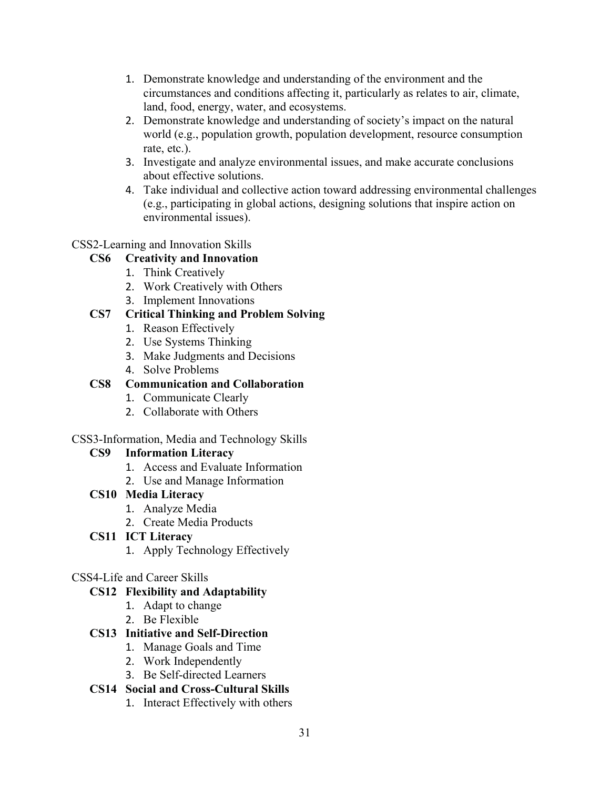- 1. Demonstrate knowledge and understanding of the environment and the circumstances and conditions affecting it, particularly as relates to air, climate, land, food, energy, water, and ecosystems.
- 2. Demonstrate knowledge and understanding of society's impact on the natural world (e.g., population growth, population development, resource consumption rate, etc.).
- 3. Investigate and analyze environmental issues, and make accurate conclusions about effective solutions.
- 4. Take individual and collective action toward addressing environmental challenges (e.g., participating in global actions, designing solutions that inspire action on environmental issues).

### CSS2-Learning and Innovation Skills

## **CS6 Creativity and Innovation**

- 1. Think Creatively
- 2. Work Creatively with Others
- 3. Implement Innovations

## **CS7 Critical Thinking and Problem Solving**

- 1. Reason Effectively
- 2. Use Systems Thinking
- 3. Make Judgments and Decisions
- 4. Solve Problems

## **CS8 Communication and Collaboration**

- 1. Communicate Clearly
- 2. Collaborate with Others

## CSS3-Information, Media and Technology Skills

#### **CS9 Information Literacy**

- 1. Access and Evaluate Information
- 2. Use and Manage Information

## **CS10 Media Literacy**

- 1. Analyze Media
- 2. Create Media Products

## **CS11 ICT Literacy**

1. Apply Technology Effectively

#### CSS4-Life and Career Skills

#### **CS12 Flexibility and Adaptability**

- 1. Adapt to change
- 2. Be Flexible

## **CS13 Initiative and Self-Direction**

- 1. Manage Goals and Time
- 2. Work Independently
- 3. Be Self-directed Learners

## **CS14 Social and Cross-Cultural Skills**

1. Interact Effectively with others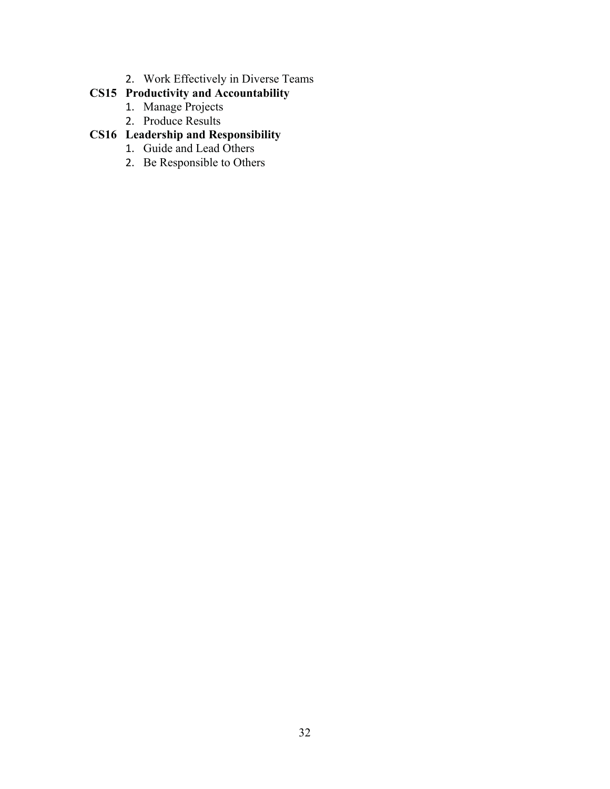- 2. Work Effectively in Diverse Teams
- **CS15 Productivity and Accountability**
	- 1. Manage Projects
	- 2. Produce Results

## **CS16 Leadership and Responsibility**

- 1. Guide and Lead Others
- 2. Be Responsible to Others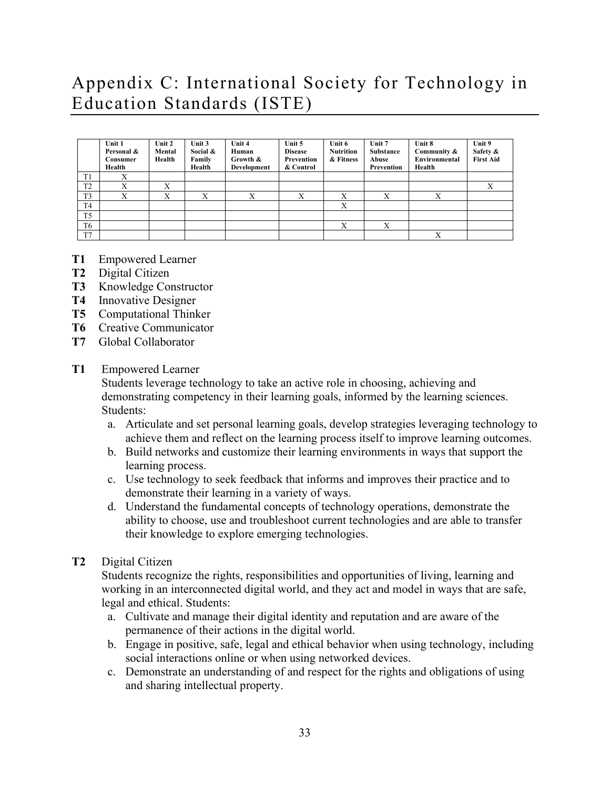# Appendix C: International Society for Technology in Education Standards (ISTE)

|                | Unit 1<br>Personal &<br>Consumer<br>Health | Unit 2<br>Mental<br>Health | Unit 3<br>Social &<br>Family<br>Health | Unit 4<br>Human<br>Growth &<br>Development | Unit 5<br><b>Disease</b><br>Prevention<br>& Control | Unit 6<br><b>Nutrition</b><br>& Fitness | Unit 7<br><b>Substance</b><br>Abuse<br>Prevention | Unit 8<br>Community &<br><b>Environmental</b><br>Health | Unit 9<br>Safety &<br><b>First Aid</b> |
|----------------|--------------------------------------------|----------------------------|----------------------------------------|--------------------------------------------|-----------------------------------------------------|-----------------------------------------|---------------------------------------------------|---------------------------------------------------------|----------------------------------------|
| T1             | Х                                          |                            |                                        |                                            |                                                     |                                         |                                                   |                                                         |                                        |
| T <sub>2</sub> | Х                                          | X                          |                                        |                                            |                                                     |                                         |                                                   |                                                         | X                                      |
| T <sub>3</sub> | Х                                          | X                          | X                                      | X                                          | Х                                                   | X                                       | X                                                 | X                                                       |                                        |
| T <sub>4</sub> |                                            |                            |                                        |                                            |                                                     | X                                       |                                                   |                                                         |                                        |
| T <sub>5</sub> |                                            |                            |                                        |                                            |                                                     |                                         |                                                   |                                                         |                                        |
| T <sub>6</sub> |                                            |                            |                                        |                                            |                                                     | X                                       | X                                                 |                                                         |                                        |
| T7             |                                            |                            |                                        |                                            |                                                     |                                         |                                                   | X                                                       |                                        |

- **T1** Empowered Learner
- **T2** Digital Citizen
- **T3** Knowledge Constructor
- **T4** Innovative Designer
- **T5** Computational Thinker
- **T6** Creative Communicator
- **T7** Global Collaborator

#### **T1** Empowered Learner

Students leverage technology to take an active role in choosing, achieving and demonstrating competency in their learning goals, informed by the learning sciences. Students:

- a. Articulate and set personal learning goals, develop strategies leveraging technology to achieve them and reflect on the learning process itself to improve learning outcomes.
- b. Build networks and customize their learning environments in ways that support the learning process.
- c. Use technology to seek feedback that informs and improves their practice and to demonstrate their learning in a variety of ways.
- d. Understand the fundamental concepts of technology operations, demonstrate the ability to choose, use and troubleshoot current technologies and are able to transfer their knowledge to explore emerging technologies.

#### **T2** Digital Citizen

Students recognize the rights, responsibilities and opportunities of living, learning and working in an interconnected digital world, and they act and model in ways that are safe, legal and ethical. Students:

- a. Cultivate and manage their digital identity and reputation and are aware of the permanence of their actions in the digital world.
- b. Engage in positive, safe, legal and ethical behavior when using technology, including social interactions online or when using networked devices.
- c. Demonstrate an understanding of and respect for the rights and obligations of using and sharing intellectual property.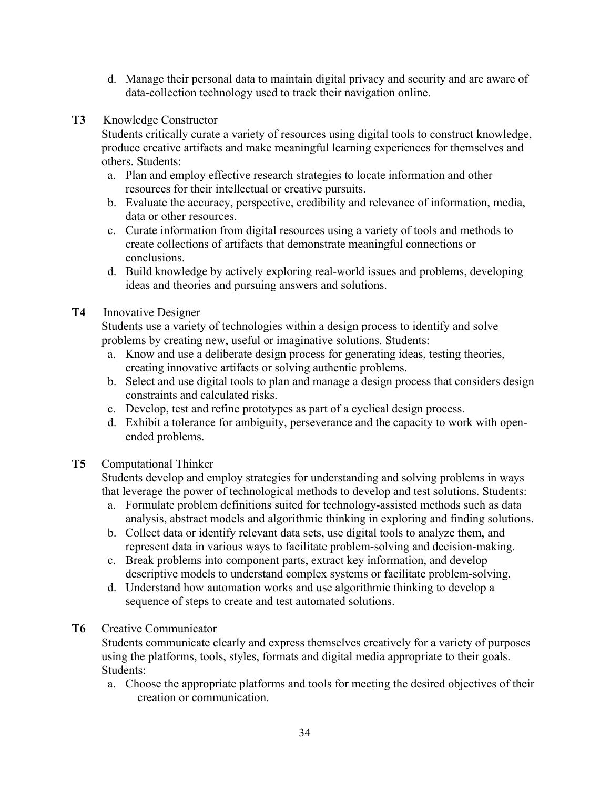- d. Manage their personal data to maintain digital privacy and security and are aware of data-collection technology used to track their navigation online.
- **T3** Knowledge Constructor

Students critically curate a variety of resources using digital tools to construct knowledge, produce creative artifacts and make meaningful learning experiences for themselves and others. Students:

- a. Plan and employ effective research strategies to locate information and other resources for their intellectual or creative pursuits.
- b. Evaluate the accuracy, perspective, credibility and relevance of information, media, data or other resources.
- c. Curate information from digital resources using a variety of tools and methods to create collections of artifacts that demonstrate meaningful connections or conclusions.
- d. Build knowledge by actively exploring real-world issues and problems, developing ideas and theories and pursuing answers and solutions.
- **T4** Innovative Designer

Students use a variety of technologies within a design process to identify and solve problems by creating new, useful or imaginative solutions. Students:

- a. Know and use a deliberate design process for generating ideas, testing theories, creating innovative artifacts or solving authentic problems.
- b. Select and use digital tools to plan and manage a design process that considers design constraints and calculated risks.
- c. Develop, test and refine prototypes as part of a cyclical design process.
- d. Exhibit a tolerance for ambiguity, perseverance and the capacity to work with openended problems.

#### **T5** Computational Thinker

Students develop and employ strategies for understanding and solving problems in ways that leverage the power of technological methods to develop and test solutions. Students:

- a. Formulate problem definitions suited for technology-assisted methods such as data analysis, abstract models and algorithmic thinking in exploring and finding solutions.
- b. Collect data or identify relevant data sets, use digital tools to analyze them, and represent data in various ways to facilitate problem-solving and decision-making.
- c. Break problems into component parts, extract key information, and develop descriptive models to understand complex systems or facilitate problem-solving.
- d. Understand how automation works and use algorithmic thinking to develop a sequence of steps to create and test automated solutions.
- **T6** Creative Communicator

Students communicate clearly and express themselves creatively for a variety of purposes using the platforms, tools, styles, formats and digital media appropriate to their goals. Students:

a. Choose the appropriate platforms and tools for meeting the desired objectives of their creation or communication.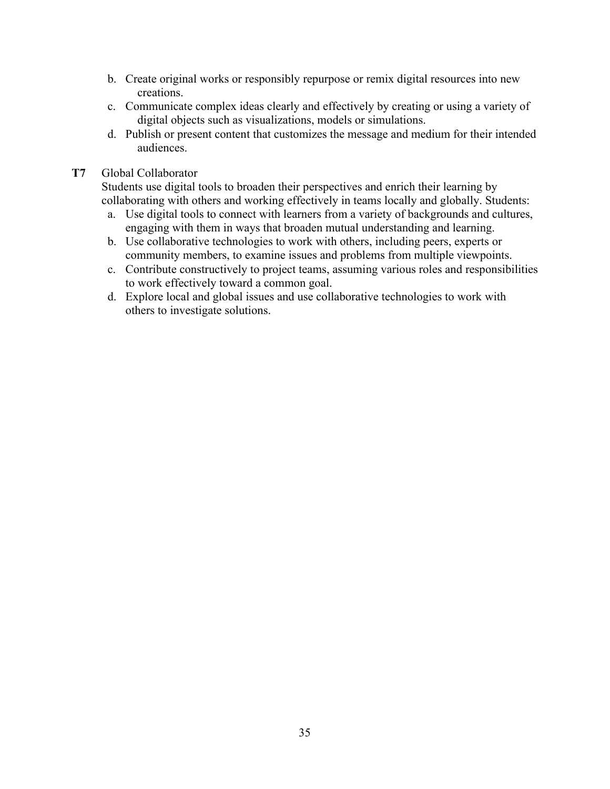- b. Create original works or responsibly repurpose or remix digital resources into new creations.
- c. Communicate complex ideas clearly and effectively by creating or using a variety of digital objects such as visualizations, models or simulations.
- d. Publish or present content that customizes the message and medium for their intended audiences.

#### **T7** Global Collaborator

Students use digital tools to broaden their perspectives and enrich their learning by collaborating with others and working effectively in teams locally and globally. Students:

- a. Use digital tools to connect with learners from a variety of backgrounds and cultures, engaging with them in ways that broaden mutual understanding and learning.
- b. Use collaborative technologies to work with others, including peers, experts or community members, to examine issues and problems from multiple viewpoints.
- c. Contribute constructively to project teams, assuming various roles and responsibilities to work effectively toward a common goal.
- d. Explore local and global issues and use collaborative technologies to work with others to investigate solutions.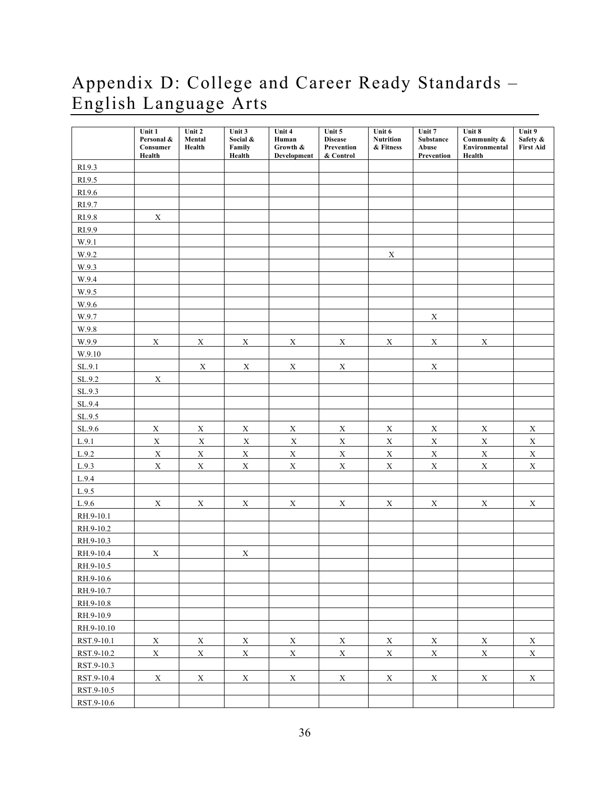# Appendix D: College and Career Ready Standards – English Language Arts

|                                | Unit 1<br>Personal &<br>Consumer<br>Health | Unit 2<br>Mental<br>Health | Unit 3<br>Social &<br>Family<br>Health | Unit 4<br>Human<br>Growth &<br>Development | Unit 5<br><b>Disease</b><br>Prevention<br>& Control | Unit 6<br><b>Nutrition</b><br>& Fitness | Unit 7<br>Substance<br>Abuse<br>Prevention | Unit 8<br>Community &<br>Environmental<br>Health | Unit 9<br>Safety &<br><b>First Aid</b> |
|--------------------------------|--------------------------------------------|----------------------------|----------------------------------------|--------------------------------------------|-----------------------------------------------------|-----------------------------------------|--------------------------------------------|--------------------------------------------------|----------------------------------------|
| RI.9.3                         |                                            |                            |                                        |                                            |                                                     |                                         |                                            |                                                  |                                        |
| RI.9.5                         |                                            |                            |                                        |                                            |                                                     |                                         |                                            |                                                  |                                        |
| RI.9.6                         |                                            |                            |                                        |                                            |                                                     |                                         |                                            |                                                  |                                        |
| RI.9.7                         |                                            |                            |                                        |                                            |                                                     |                                         |                                            |                                                  |                                        |
| RI.9.8                         | $\mathbf X$                                |                            |                                        |                                            |                                                     |                                         |                                            |                                                  |                                        |
| RI.9.9                         |                                            |                            |                                        |                                            |                                                     |                                         |                                            |                                                  |                                        |
| W.9.1                          |                                            |                            |                                        |                                            |                                                     |                                         |                                            |                                                  |                                        |
| W.9.2                          |                                            |                            |                                        |                                            |                                                     | $\mathbf X$                             |                                            |                                                  |                                        |
| W.9.3                          |                                            |                            |                                        |                                            |                                                     |                                         |                                            |                                                  |                                        |
| W.9.4                          |                                            |                            |                                        |                                            |                                                     |                                         |                                            |                                                  |                                        |
| W.9.5                          |                                            |                            |                                        |                                            |                                                     |                                         |                                            |                                                  |                                        |
| $\,$ W.9.6 $\,$                |                                            |                            |                                        |                                            |                                                     |                                         |                                            |                                                  |                                        |
| W.9.7                          |                                            |                            |                                        |                                            |                                                     |                                         | $\mathbf X$                                |                                                  |                                        |
| W.9.8                          |                                            |                            |                                        |                                            |                                                     |                                         |                                            |                                                  |                                        |
| W.9.9                          | $\mathbf X$                                | $\mathbf X$                | $\mathbf X$                            | $\mathbf X$                                | $\mathbf X$                                         | $\mathbf X$                             | $\mathbf X$                                | $\mathbf X$                                      |                                        |
| W.9.10                         |                                            |                            |                                        |                                            |                                                     |                                         |                                            |                                                  |                                        |
| SL.9.1                         |                                            | $\mathbf X$                | $\mathbf X$                            | $\mathbf X$                                | $\mathbf X$                                         |                                         | $\mathbf X$                                |                                                  |                                        |
| $\ensuremath{\mathrm{SL}}.9.2$ | $\mathbf X$                                |                            |                                        |                                            |                                                     |                                         |                                            |                                                  |                                        |
| SL.9.3                         |                                            |                            |                                        |                                            |                                                     |                                         |                                            |                                                  |                                        |
| SL.9.4                         |                                            |                            |                                        |                                            |                                                     |                                         |                                            |                                                  |                                        |
| SL.9.5                         |                                            |                            |                                        |                                            |                                                     |                                         |                                            |                                                  |                                        |
| SL.9.6                         | $\mathbf X$                                | $\mathbf X$                | $\mathbf X$                            | $\mathbf X$                                | $\mathbf X$                                         | $\mathbf X$                             | $\mathbf X$                                | $\mathbf X$                                      | $\mathbf X$                            |
| L.9.1                          | $\mathbf X$                                | $\mathbf X$                | $\mathbf X$                            | $\mathbf X$                                | $\mathbf X$                                         | $\mathbf X$                             | $\mathbf X$                                | $\mathbf X$                                      | $\mathbf X$                            |
| $_{\rm L.9.2}$                 | $\mathbf X$                                | $\mathbf X$                | $\mathbf X$                            | $\mathbf X$                                | $\mathbf X$                                         | $\mathbf X$                             | $\mathbf X$                                | $\mathbf X$                                      | $\mathbf X$                            |
| L.9.3                          | $\mathbf X$                                | $\mathbf X$                | $\mathbf X$                            | $\mathbf X$                                | $\mathbf X$                                         | $\mathbf X$                             | $\mathbf X$                                | $\mathbf X$                                      | $\mathbf X$                            |
| L.9.4                          |                                            |                            |                                        |                                            |                                                     |                                         |                                            |                                                  |                                        |
| $L.9.5$                        |                                            |                            |                                        |                                            |                                                     |                                         |                                            |                                                  |                                        |
| L.9.6                          | $\mathbf X$                                | $\mathbf X$                | $\mathbf X$                            | $\mathbf X$                                | $\mathbf X$                                         | $\mathbf X$                             | $\mathbf X$                                | $\mathbf X$                                      | $\mathbf X$                            |
| RH.9-10.1                      |                                            |                            |                                        |                                            |                                                     |                                         |                                            |                                                  |                                        |
| RH.9-10.2                      |                                            |                            |                                        |                                            |                                                     |                                         |                                            |                                                  |                                        |
| RH.9-10.3                      |                                            |                            |                                        |                                            |                                                     |                                         |                                            |                                                  |                                        |
| RH.9-10.4                      | $\mathbf X$                                |                            | $\mathbf X$                            |                                            |                                                     |                                         |                                            |                                                  |                                        |
| RH.9-10.5                      |                                            |                            |                                        |                                            |                                                     |                                         |                                            |                                                  |                                        |
| RH.9-10.6                      |                                            |                            |                                        |                                            |                                                     |                                         |                                            |                                                  |                                        |
| RH.9-10.7                      |                                            |                            |                                        |                                            |                                                     |                                         |                                            |                                                  |                                        |
| RH.9-10.8                      |                                            |                            |                                        |                                            |                                                     |                                         |                                            |                                                  |                                        |
| RH.9-10.9                      |                                            |                            |                                        |                                            |                                                     |                                         |                                            |                                                  |                                        |
| RH.9-10.10                     |                                            |                            |                                        |                                            |                                                     |                                         |                                            |                                                  |                                        |
| RST.9-10.1                     | X                                          | $\mathbf X$                | $\mathbf X$                            | $\mathbf X$                                | $\mathbf X$                                         | $\mathbf X$                             | $\mathbf X$                                | $\mathbf X$                                      | $\mathbf X$                            |
| RST.9-10.2                     | $\mathbf X$                                | $\mathbf X$                | $\mathbf X$                            | $X_{\mathcal{L}}$                          | $\mathbf X$                                         | $\mathbf X$                             | $\mathbf X$                                | $\mathbf X$                                      | $\mathbf X$                            |
| RST.9-10.3                     |                                            |                            |                                        |                                            |                                                     |                                         |                                            |                                                  |                                        |
| RST.9-10.4                     | $\mathbf X$                                | $\mathbf X$                | $\mathbf X$                            | $\mathbf X$                                | $\mathbf X$                                         | $\mathbf X$                             | $\mathbf X$                                | $\mathbf X$                                      | $\mathbf X$                            |
| RST.9-10.5<br>RST.9-10.6       |                                            |                            |                                        |                                            |                                                     |                                         |                                            |                                                  |                                        |
|                                |                                            |                            |                                        |                                            |                                                     |                                         |                                            |                                                  |                                        |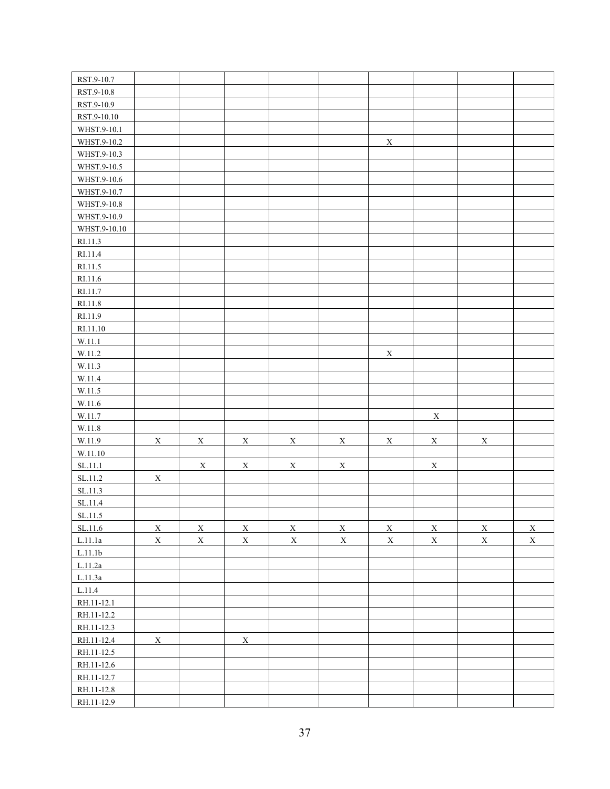| RST.9-10.7   |             |              |             |             |              |             |              |              |             |
|--------------|-------------|--------------|-------------|-------------|--------------|-------------|--------------|--------------|-------------|
| RST.9-10.8   |             |              |             |             |              |             |              |              |             |
| RST.9-10.9   |             |              |             |             |              |             |              |              |             |
| RST.9-10.10  |             |              |             |             |              |             |              |              |             |
| WHST.9-10.1  |             |              |             |             |              |             |              |              |             |
| WHST.9-10.2  |             |              |             |             |              | $\mathbf X$ |              |              |             |
| WHST.9-10.3  |             |              |             |             |              |             |              |              |             |
| WHST.9-10.5  |             |              |             |             |              |             |              |              |             |
| WHST.9-10.6  |             |              |             |             |              |             |              |              |             |
| WHST.9-10.7  |             |              |             |             |              |             |              |              |             |
| WHST.9-10.8  |             |              |             |             |              |             |              |              |             |
| WHST.9-10.9  |             |              |             |             |              |             |              |              |             |
| WHST.9-10.10 |             |              |             |             |              |             |              |              |             |
| RI.11.3      |             |              |             |             |              |             |              |              |             |
| RI.11.4      |             |              |             |             |              |             |              |              |             |
| RI.11.5      |             |              |             |             |              |             |              |              |             |
| RI.11.6      |             |              |             |             |              |             |              |              |             |
| RI.11.7      |             |              |             |             |              |             |              |              |             |
| RI.11.8      |             |              |             |             |              |             |              |              |             |
| RI.11.9      |             |              |             |             |              |             |              |              |             |
| RI.11.10     |             |              |             |             |              |             |              |              |             |
| W.11.1       |             |              |             |             |              |             |              |              |             |
| W.11.2       |             |              |             |             |              | $\mathbf X$ |              |              |             |
| W.11.3       |             |              |             |             |              |             |              |              |             |
| W.11.4       |             |              |             |             |              |             |              |              |             |
|              |             |              |             |             |              |             |              |              |             |
| W.11.5       |             |              |             |             |              |             |              |              |             |
| W.11.6       |             |              |             |             |              |             |              |              |             |
| W.11.7       |             |              |             |             |              |             | $\mathbf X$  |              |             |
| W.11.8       |             |              |             |             |              |             |              |              |             |
| W.11.9       | $\mathbf X$ | $\mathbf X$  | $\mathbf X$ | $\mathbf X$ | $\mathbf X$  | $\mathbf X$ | $\mathbf X$  | $\mathbf X$  |             |
| W.11.10      |             |              |             |             |              |             |              |              |             |
| SL.11.1      |             | $\mathbf X$  | $\mathbf X$ | $\mathbf X$ | $\mathbf X$  |             | $\mathbf X$  |              |             |
| SL.11.2      | $\mathbf X$ |              |             |             |              |             |              |              |             |
| SL.11.3      |             |              |             |             |              |             |              |              |             |
| SL.11.4      |             |              |             |             |              |             |              |              |             |
| SL.11.5      |             |              |             |             |              |             |              |              |             |
| SL.11.6      | $\mathbf X$ | $\mathbf{X}$ | $\mathbf X$ | $\mathbf X$ | $\mathbf{X}$ | $\mathbf X$ | $\mathbf{X}$ | $\mathbf{X}$ | $\mathbf X$ |
| L.11.1a      | $\mathbf X$ | $\mathbf X$  | $\mathbf X$ | $\mathbf X$ | $\mathbf X$  | $\mathbf X$ | $\mathbf X$  | $\mathbf{X}$ | $\mathbf X$ |
| L.11.1b      |             |              |             |             |              |             |              |              |             |
| L.11.2a      |             |              |             |             |              |             |              |              |             |
| L.11.3a      |             |              |             |             |              |             |              |              |             |
| L.11.4       |             |              |             |             |              |             |              |              |             |
| RH.11-12.1   |             |              |             |             |              |             |              |              |             |
| RH.11-12.2   |             |              |             |             |              |             |              |              |             |
| RH.11-12.3   |             |              |             |             |              |             |              |              |             |
| RH.11-12.4   | $\mathbf X$ |              | $\mathbf X$ |             |              |             |              |              |             |
| RH.11-12.5   |             |              |             |             |              |             |              |              |             |
| RH.11-12.6   |             |              |             |             |              |             |              |              |             |
| RH.11-12.7   |             |              |             |             |              |             |              |              |             |
| RH.11-12.8   |             |              |             |             |              |             |              |              |             |
| RH.11-12.9   |             |              |             |             |              |             |              |              |             |
|              |             |              |             |             |              |             |              |              |             |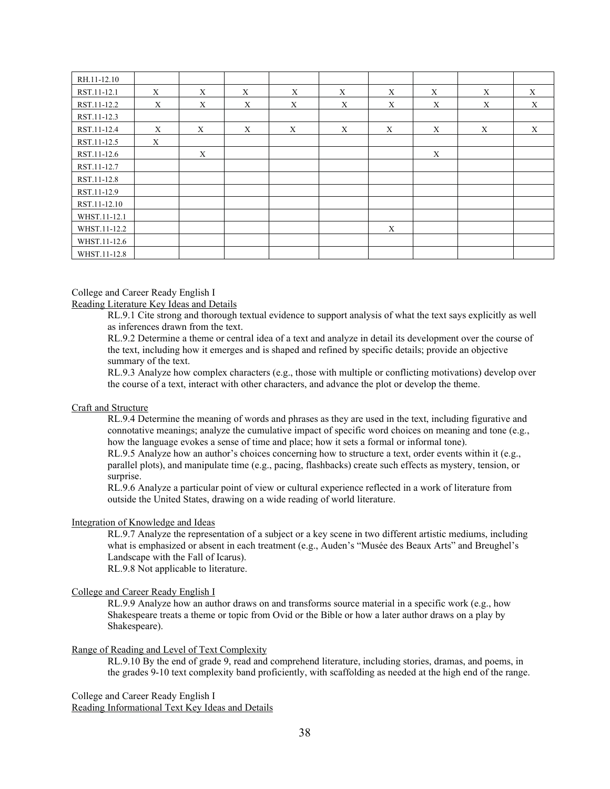| RH.11-12.10  |   |   |   |   |   |   |   |   |              |
|--------------|---|---|---|---|---|---|---|---|--------------|
| RST.11-12.1  | X | X | X | X | X | X | X | X | $\mathbf{X}$ |
| RST.11-12.2  | X | X | X | X | X | X | X | X | X            |
| RST.11-12.3  |   |   |   |   |   |   |   |   |              |
| RST.11-12.4  | X | X | X | X | X | X | X | X | X            |
| RST.11-12.5  | X |   |   |   |   |   |   |   |              |
| RST.11-12.6  |   | X |   |   |   |   | X |   |              |
| RST.11-12.7  |   |   |   |   |   |   |   |   |              |
| RST.11-12.8  |   |   |   |   |   |   |   |   |              |
| RST.11-12.9  |   |   |   |   |   |   |   |   |              |
| RST.11-12.10 |   |   |   |   |   |   |   |   |              |
| WHST.11-12.1 |   |   |   |   |   |   |   |   |              |
| WHST.11-12.2 |   |   |   |   |   | X |   |   |              |
| WHST.11-12.6 |   |   |   |   |   |   |   |   |              |
| WHST.11-12.8 |   |   |   |   |   |   |   |   |              |

# College and Career Ready English I

Reading Literature Key Ideas and Details

RL.9.1 Cite strong and thorough textual evidence to support analysis of what the text says explicitly as well as inferences drawn from the text.

RL.9.2 Determine a theme or central idea of a text and analyze in detail its development over the course of the text, including how it emerges and is shaped and refined by specific details; provide an objective summary of the text.

RL.9.3 Analyze how complex characters (e.g., those with multiple or conflicting motivations) develop over the course of a text, interact with other characters, and advance the plot or develop the theme.

# Craft and Structure

RL.9.4 Determine the meaning of words and phrases as they are used in the text, including figurative and connotative meanings; analyze the cumulative impact of specific word choices on meaning and tone (e.g., how the language evokes a sense of time and place; how it sets a formal or informal tone).

RL.9.5 Analyze how an author's choices concerning how to structure a text, order events within it (e.g., parallel plots), and manipulate time (e.g., pacing, flashbacks) create such effects as mystery, tension, or surprise.

RL.9.6 Analyze a particular point of view or cultural experience reflected in a work of literature from outside the United States, drawing on a wide reading of world literature.

#### Integration of Knowledge and Ideas

RL.9.7 Analyze the representation of a subject or a key scene in two different artistic mediums, including what is emphasized or absent in each treatment (e.g., Auden's "Musée des Beaux Arts" and Breughel's Landscape with the Fall of Icarus).

RL.9.8 Not applicable to literature.

# College and Career Ready English I

RL.9.9 Analyze how an author draws on and transforms source material in a specific work (e.g., how Shakespeare treats a theme or topic from Ovid or the Bible or how a later author draws on a play by Shakespeare).

#### Range of Reading and Level of Text Complexity

RL.9.10 By the end of grade 9, read and comprehend literature, including stories, dramas, and poems, in the grades 9-10 text complexity band proficiently, with scaffolding as needed at the high end of the range.

College and Career Ready English I Reading Informational Text Key Ideas and Details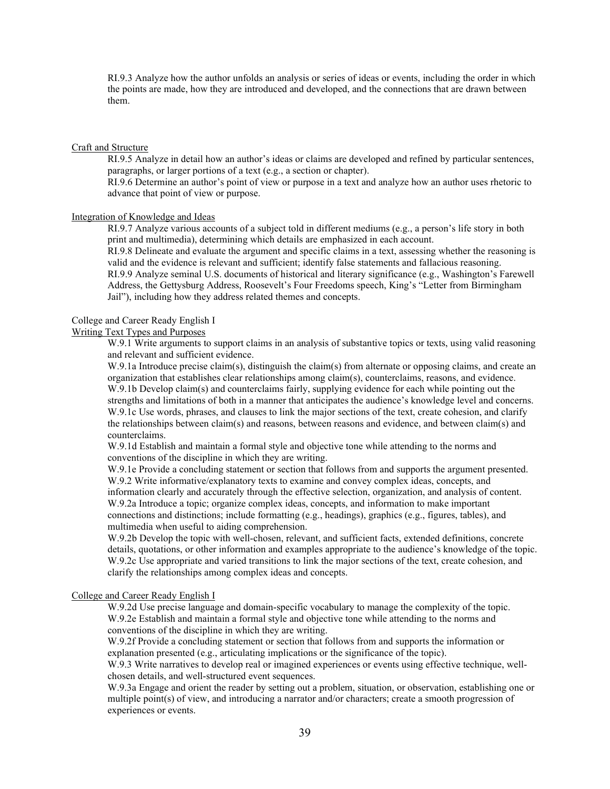RI.9.3 Analyze how the author unfolds an analysis or series of ideas or events, including the order in which the points are made, how they are introduced and developed, and the connections that are drawn between them.

#### Craft and Structure

RI.9.5 Analyze in detail how an author's ideas or claims are developed and refined by particular sentences, paragraphs, or larger portions of a text (e.g., a section or chapter).

RI.9.6 Determine an author's point of view or purpose in a text and analyze how an author uses rhetoric to advance that point of view or purpose.

#### Integration of Knowledge and Ideas

RI.9.7 Analyze various accounts of a subject told in different mediums (e.g., a person's life story in both print and multimedia), determining which details are emphasized in each account.

RI.9.8 Delineate and evaluate the argument and specific claims in a text, assessing whether the reasoning is valid and the evidence is relevant and sufficient; identify false statements and fallacious reasoning. RI.9.9 Analyze seminal U.S. documents of historical and literary significance (e.g., Washington's Farewell Address, the Gettysburg Address, Roosevelt's Four Freedoms speech, King's "Letter from Birmingham Jail"), including how they address related themes and concepts.

#### College and Career Ready English I

#### Writing Text Types and Purposes

W.9.1 Write arguments to support claims in an analysis of substantive topics or texts, using valid reasoning and relevant and sufficient evidence.

W.9.1a Introduce precise claim(s), distinguish the claim(s) from alternate or opposing claims, and create an organization that establishes clear relationships among claim(s), counterclaims, reasons, and evidence. W.9.1b Develop claim(s) and counterclaims fairly, supplying evidence for each while pointing out the strengths and limitations of both in a manner that anticipates the audience's knowledge level and concerns. W.9.1c Use words, phrases, and clauses to link the major sections of the text, create cohesion, and clarify the relationships between claim(s) and reasons, between reasons and evidence, and between claim(s) and counterclaims.

W.9.1d Establish and maintain a formal style and objective tone while attending to the norms and conventions of the discipline in which they are writing.

W.9.1e Provide a concluding statement or section that follows from and supports the argument presented. W.9.2 Write informative/explanatory texts to examine and convey complex ideas, concepts, and information clearly and accurately through the effective selection, organization, and analysis of content. W.9.2a Introduce a topic; organize complex ideas, concepts, and information to make important connections and distinctions; include formatting (e.g., headings), graphics (e.g., figures, tables), and multimedia when useful to aiding comprehension.

W.9.2b Develop the topic with well-chosen, relevant, and sufficient facts, extended definitions, concrete details, quotations, or other information and examples appropriate to the audience's knowledge of the topic. W.9.2c Use appropriate and varied transitions to link the major sections of the text, create cohesion, and clarify the relationships among complex ideas and concepts.

#### College and Career Ready English I

W.9.2d Use precise language and domain-specific vocabulary to manage the complexity of the topic. W.9.2e Establish and maintain a formal style and objective tone while attending to the norms and conventions of the discipline in which they are writing.

W.9.2f Provide a concluding statement or section that follows from and supports the information or explanation presented (e.g., articulating implications or the significance of the topic).

W.9.3 Write narratives to develop real or imagined experiences or events using effective technique, wellchosen details, and well-structured event sequences.

W.9.3a Engage and orient the reader by setting out a problem, situation, or observation, establishing one or multiple point(s) of view, and introducing a narrator and/or characters; create a smooth progression of experiences or events.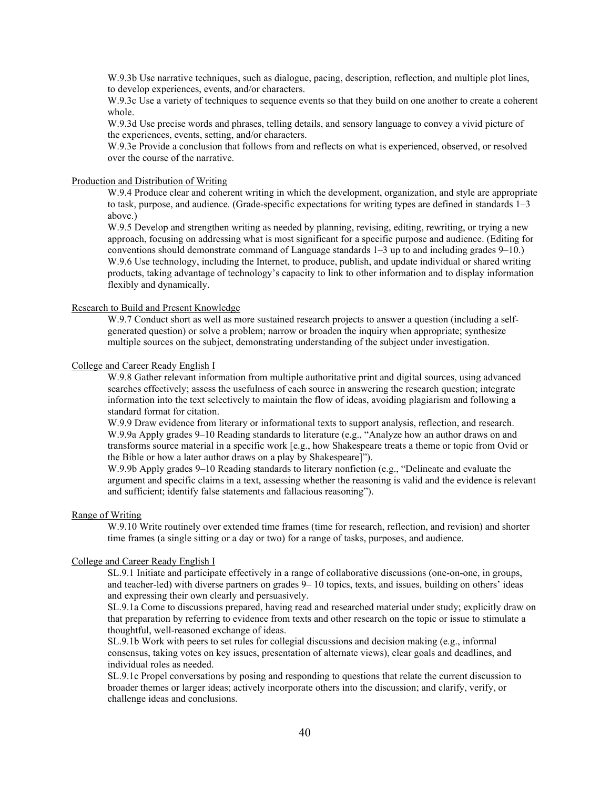W.9.3b Use narrative techniques, such as dialogue, pacing, description, reflection, and multiple plot lines, to develop experiences, events, and/or characters.

W.9.3c Use a variety of techniques to sequence events so that they build on one another to create a coherent whole.

W.9.3d Use precise words and phrases, telling details, and sensory language to convey a vivid picture of the experiences, events, setting, and/or characters.

W.9.3e Provide a conclusion that follows from and reflects on what is experienced, observed, or resolved over the course of the narrative.

#### Production and Distribution of Writing

W.9.4 Produce clear and coherent writing in which the development, organization, and style are appropriate to task, purpose, and audience. (Grade-specific expectations for writing types are defined in standards 1–3 above.)

W.9.5 Develop and strengthen writing as needed by planning, revising, editing, rewriting, or trying a new approach, focusing on addressing what is most significant for a specific purpose and audience. (Editing for conventions should demonstrate command of Language standards 1–3 up to and including grades 9–10.) W.9.6 Use technology, including the Internet, to produce, publish, and update individual or shared writing products, taking advantage of technology's capacity to link to other information and to display information flexibly and dynamically.

# Research to Build and Present Knowledge

W.9.7 Conduct short as well as more sustained research projects to answer a question (including a selfgenerated question) or solve a problem; narrow or broaden the inquiry when appropriate; synthesize multiple sources on the subject, demonstrating understanding of the subject under investigation.

#### College and Career Ready English I

W.9.8 Gather relevant information from multiple authoritative print and digital sources, using advanced searches effectively; assess the usefulness of each source in answering the research question; integrate information into the text selectively to maintain the flow of ideas, avoiding plagiarism and following a standard format for citation.

W.9.9 Draw evidence from literary or informational texts to support analysis, reflection, and research. W.9.9a Apply grades 9–10 Reading standards to literature (e.g., "Analyze how an author draws on and transforms source material in a specific work [e.g., how Shakespeare treats a theme or topic from Ovid or the Bible or how a later author draws on a play by Shakespeare]").

W.9.9b Apply grades 9–10 Reading standards to literary nonfiction (e.g., "Delineate and evaluate the argument and specific claims in a text, assessing whether the reasoning is valid and the evidence is relevant and sufficient; identify false statements and fallacious reasoning").

# Range of Writing

W.9.10 Write routinely over extended time frames (time for research, reflection, and revision) and shorter time frames (a single sitting or a day or two) for a range of tasks, purposes, and audience.

#### College and Career Ready English I

SL.9.1 Initiate and participate effectively in a range of collaborative discussions (one-on-one, in groups, and teacher-led) with diverse partners on grades 9– 10 topics, texts, and issues, building on others' ideas and expressing their own clearly and persuasively.

SL.9.1a Come to discussions prepared, having read and researched material under study; explicitly draw on that preparation by referring to evidence from texts and other research on the topic or issue to stimulate a thoughtful, well-reasoned exchange of ideas.

SL.9.1b Work with peers to set rules for collegial discussions and decision making (e.g., informal consensus, taking votes on key issues, presentation of alternate views), clear goals and deadlines, and individual roles as needed.

SL.9.1c Propel conversations by posing and responding to questions that relate the current discussion to broader themes or larger ideas; actively incorporate others into the discussion; and clarify, verify, or challenge ideas and conclusions.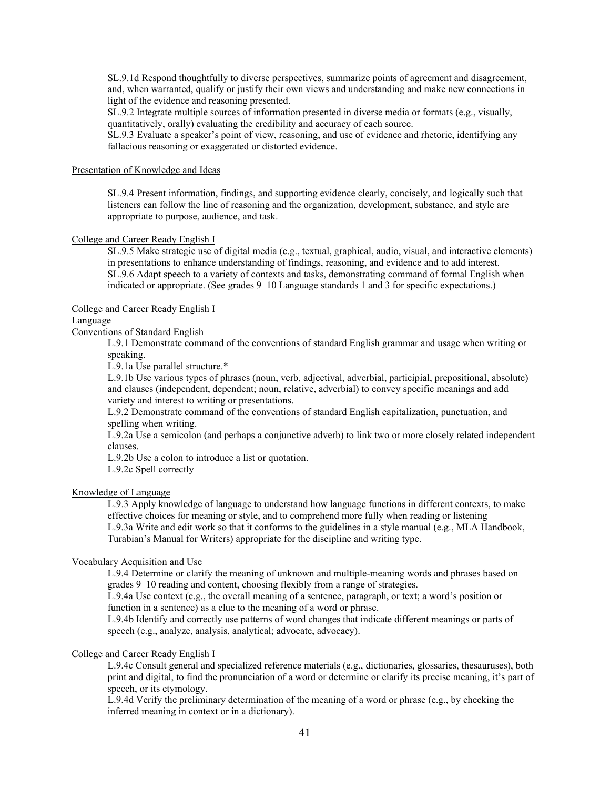SL.9.1d Respond thoughtfully to diverse perspectives, summarize points of agreement and disagreement, and, when warranted, qualify or justify their own views and understanding and make new connections in light of the evidence and reasoning presented.

SL.9.2 Integrate multiple sources of information presented in diverse media or formats (e.g., visually, quantitatively, orally) evaluating the credibility and accuracy of each source.

SL.9.3 Evaluate a speaker's point of view, reasoning, and use of evidence and rhetoric, identifying any fallacious reasoning or exaggerated or distorted evidence.

#### Presentation of Knowledge and Ideas

SL.9.4 Present information, findings, and supporting evidence clearly, concisely, and logically such that listeners can follow the line of reasoning and the organization, development, substance, and style are appropriate to purpose, audience, and task.

#### College and Career Ready English I

SL.9.5 Make strategic use of digital media (e.g., textual, graphical, audio, visual, and interactive elements) in presentations to enhance understanding of findings, reasoning, and evidence and to add interest. SL.9.6 Adapt speech to a variety of contexts and tasks, demonstrating command of formal English when indicated or appropriate. (See grades 9–10 Language standards 1 and 3 for specific expectations.)

#### College and Career Ready English I

#### Language

Conventions of Standard English

L.9.1 Demonstrate command of the conventions of standard English grammar and usage when writing or speaking.

L.9.1a Use parallel structure.\*

L.9.1b Use various types of phrases (noun, verb, adjectival, adverbial, participial, prepositional, absolute) and clauses (independent, dependent; noun, relative, adverbial) to convey specific meanings and add variety and interest to writing or presentations.

L.9.2 Demonstrate command of the conventions of standard English capitalization, punctuation, and spelling when writing.

L.9.2a Use a semicolon (and perhaps a conjunctive adverb) to link two or more closely related independent clauses.

L.9.2b Use a colon to introduce a list or quotation.

L.9.2c Spell correctly

# Knowledge of Language

L.9.3 Apply knowledge of language to understand how language functions in different contexts, to make effective choices for meaning or style, and to comprehend more fully when reading or listening L.9.3a Write and edit work so that it conforms to the guidelines in a style manual (e.g., MLA Handbook, Turabian's Manual for Writers) appropriate for the discipline and writing type.

# Vocabulary Acquisition and Use

L.9.4 Determine or clarify the meaning of unknown and multiple-meaning words and phrases based on grades 9–10 reading and content, choosing flexibly from a range of strategies.

L.9.4a Use context (e.g., the overall meaning of a sentence, paragraph, or text; a word's position or function in a sentence) as a clue to the meaning of a word or phrase.

L.9.4b Identify and correctly use patterns of word changes that indicate different meanings or parts of speech (e.g., analyze, analysis, analytical; advocate, advocacy).

# College and Career Ready English I

L.9.4c Consult general and specialized reference materials (e.g., dictionaries, glossaries, thesauruses), both print and digital, to find the pronunciation of a word or determine or clarify its precise meaning, it's part of speech, or its etymology.

L.9.4d Verify the preliminary determination of the meaning of a word or phrase (e.g., by checking the inferred meaning in context or in a dictionary).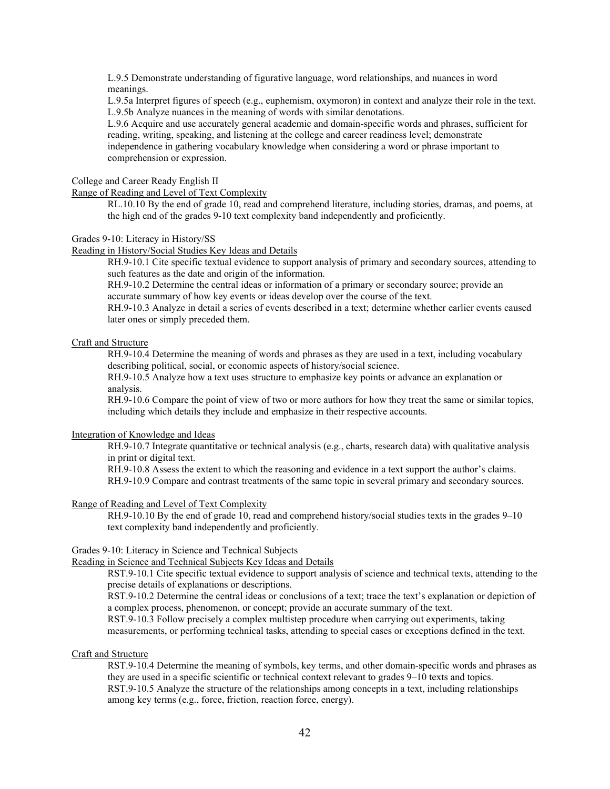L.9.5 Demonstrate understanding of figurative language, word relationships, and nuances in word meanings.

L.9.5a Interpret figures of speech (e.g., euphemism, oxymoron) in context and analyze their role in the text. L.9.5b Analyze nuances in the meaning of words with similar denotations.

L.9.6 Acquire and use accurately general academic and domain-specific words and phrases, sufficient for reading, writing, speaking, and listening at the college and career readiness level; demonstrate independence in gathering vocabulary knowledge when considering a word or phrase important to comprehension or expression.

College and Career Ready English II

Range of Reading and Level of Text Complexity

RL.10.10 By the end of grade 10, read and comprehend literature, including stories, dramas, and poems, at the high end of the grades 9-10 text complexity band independently and proficiently.

#### Grades 9-10: Literacy in History/SS

Reading in History/Social Studies Key Ideas and Details

RH.9-10.1 Cite specific textual evidence to support analysis of primary and secondary sources, attending to such features as the date and origin of the information.

RH.9-10.2 Determine the central ideas or information of a primary or secondary source; provide an accurate summary of how key events or ideas develop over the course of the text.

RH.9-10.3 Analyze in detail a series of events described in a text; determine whether earlier events caused later ones or simply preceded them.

# Craft and Structure

RH.9-10.4 Determine the meaning of words and phrases as they are used in a text, including vocabulary describing political, social, or economic aspects of history/social science.

RH.9-10.5 Analyze how a text uses structure to emphasize key points or advance an explanation or analysis.

RH.9-10.6 Compare the point of view of two or more authors for how they treat the same or similar topics, including which details they include and emphasize in their respective accounts.

#### Integration of Knowledge and Ideas

RH.9-10.7 Integrate quantitative or technical analysis (e.g., charts, research data) with qualitative analysis in print or digital text.

RH.9-10.8 Assess the extent to which the reasoning and evidence in a text support the author's claims. RH.9-10.9 Compare and contrast treatments of the same topic in several primary and secondary sources.

# Range of Reading and Level of Text Complexity

RH.9-10.10 By the end of grade 10, read and comprehend history/social studies texts in the grades 9–10 text complexity band independently and proficiently.

# Grades 9-10: Literacy in Science and Technical Subjects

Reading in Science and Technical Subjects Key Ideas and Details

RST.9-10.1 Cite specific textual evidence to support analysis of science and technical texts, attending to the precise details of explanations or descriptions.

RST.9-10.2 Determine the central ideas or conclusions of a text; trace the text's explanation or depiction of a complex process, phenomenon, or concept; provide an accurate summary of the text.

RST.9-10.3 Follow precisely a complex multistep procedure when carrying out experiments, taking measurements, or performing technical tasks, attending to special cases or exceptions defined in the text.

#### Craft and Structure

RST.9-10.4 Determine the meaning of symbols, key terms, and other domain-specific words and phrases as they are used in a specific scientific or technical context relevant to grades 9–10 texts and topics. RST.9-10.5 Analyze the structure of the relationships among concepts in a text, including relationships among key terms (e.g., force, friction, reaction force, energy).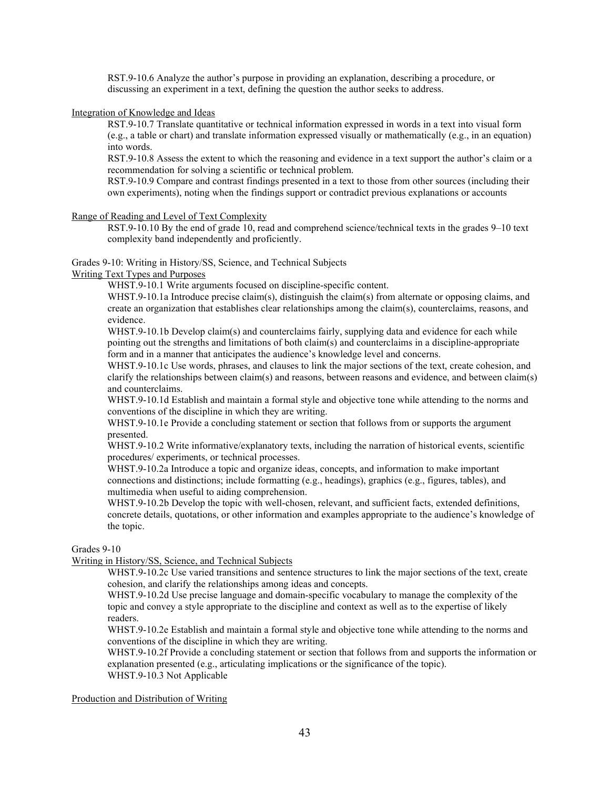RST.9-10.6 Analyze the author's purpose in providing an explanation, describing a procedure, or discussing an experiment in a text, defining the question the author seeks to address.

# Integration of Knowledge and Ideas

RST.9-10.7 Translate quantitative or technical information expressed in words in a text into visual form (e.g., a table or chart) and translate information expressed visually or mathematically (e.g., in an equation) into words.

RST.9-10.8 Assess the extent to which the reasoning and evidence in a text support the author's claim or a recommendation for solving a scientific or technical problem.

RST.9-10.9 Compare and contrast findings presented in a text to those from other sources (including their own experiments), noting when the findings support or contradict previous explanations or accounts

Range of Reading and Level of Text Complexity

RST.9-10.10 By the end of grade 10, read and comprehend science/technical texts in the grades 9–10 text complexity band independently and proficiently.

Grades 9-10: Writing in History/SS, Science, and Technical Subjects

Writing Text Types and Purposes

WHST.9-10.1 Write arguments focused on discipline-specific content.

WHST.9-10.1a Introduce precise claim(s), distinguish the claim(s) from alternate or opposing claims, and create an organization that establishes clear relationships among the claim(s), counterclaims, reasons, and evidence.

WHST.9-10.1b Develop claim(s) and counterclaims fairly, supplying data and evidence for each while pointing out the strengths and limitations of both claim(s) and counterclaims in a discipline-appropriate form and in a manner that anticipates the audience's knowledge level and concerns.

WHST.9-10.1c Use words, phrases, and clauses to link the major sections of the text, create cohesion, and clarify the relationships between claim(s) and reasons, between reasons and evidence, and between claim(s) and counterclaims.

WHST.9-10.1d Establish and maintain a formal style and objective tone while attending to the norms and conventions of the discipline in which they are writing.

WHST.9-10.1e Provide a concluding statement or section that follows from or supports the argument presented.

WHST.9-10.2 Write informative/explanatory texts, including the narration of historical events, scientific procedures/ experiments, or technical processes.

WHST.9-10.2a Introduce a topic and organize ideas, concepts, and information to make important connections and distinctions; include formatting (e.g., headings), graphics (e.g., figures, tables), and multimedia when useful to aiding comprehension.

WHST.9-10.2b Develop the topic with well-chosen, relevant, and sufficient facts, extended definitions, concrete details, quotations, or other information and examples appropriate to the audience's knowledge of the topic.

Grades 9-10

Writing in History/SS, Science, and Technical Subjects

WHST.9-10.2c Use varied transitions and sentence structures to link the major sections of the text, create cohesion, and clarify the relationships among ideas and concepts.

WHST.9-10.2d Use precise language and domain-specific vocabulary to manage the complexity of the topic and convey a style appropriate to the discipline and context as well as to the expertise of likely readers.

WHST.9-10.2e Establish and maintain a formal style and objective tone while attending to the norms and conventions of the discipline in which they are writing.

WHST.9-10.2f Provide a concluding statement or section that follows from and supports the information or explanation presented (e.g., articulating implications or the significance of the topic). WHST.9-10.3 Not Applicable

Production and Distribution of Writing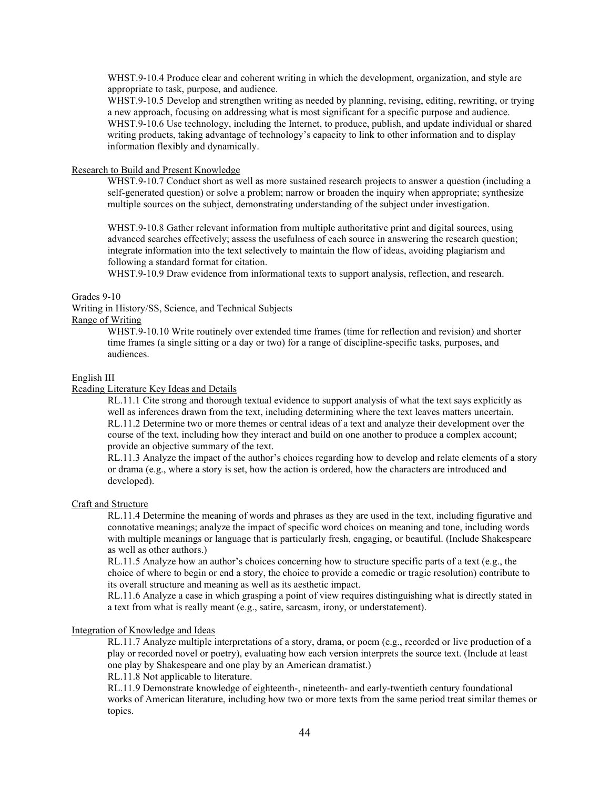WHST.9-10.4 Produce clear and coherent writing in which the development, organization, and style are appropriate to task, purpose, and audience.

WHST.9-10.5 Develop and strengthen writing as needed by planning, revising, editing, rewriting, or trying a new approach, focusing on addressing what is most significant for a specific purpose and audience. WHST.9-10.6 Use technology, including the Internet, to produce, publish, and update individual or shared writing products, taking advantage of technology's capacity to link to other information and to display information flexibly and dynamically.

# Research to Build and Present Knowledge

WHST.9-10.7 Conduct short as well as more sustained research projects to answer a question (including a self-generated question) or solve a problem; narrow or broaden the inquiry when appropriate; synthesize multiple sources on the subject, demonstrating understanding of the subject under investigation.

WHST.9-10.8 Gather relevant information from multiple authoritative print and digital sources, using advanced searches effectively; assess the usefulness of each source in answering the research question; integrate information into the text selectively to maintain the flow of ideas, avoiding plagiarism and following a standard format for citation.

WHST.9-10.9 Draw evidence from informational texts to support analysis, reflection, and research.

#### Grades 9-10

Writing in History/SS, Science, and Technical Subjects

# Range of Writing

WHST.9-10.10 Write routinely over extended time frames (time for reflection and revision) and shorter time frames (a single sitting or a day or two) for a range of discipline-specific tasks, purposes, and audiences.

#### English III

# Reading Literature Key Ideas and Details

RL.11.1 Cite strong and thorough textual evidence to support analysis of what the text says explicitly as well as inferences drawn from the text, including determining where the text leaves matters uncertain. RL.11.2 Determine two or more themes or central ideas of a text and analyze their development over the course of the text, including how they interact and build on one another to produce a complex account; provide an objective summary of the text.

RL.11.3 Analyze the impact of the author's choices regarding how to develop and relate elements of a story or drama (e.g., where a story is set, how the action is ordered, how the characters are introduced and developed).

#### Craft and Structure

RL.11.4 Determine the meaning of words and phrases as they are used in the text, including figurative and connotative meanings; analyze the impact of specific word choices on meaning and tone, including words with multiple meanings or language that is particularly fresh, engaging, or beautiful. (Include Shakespeare as well as other authors.)

RL.11.5 Analyze how an author's choices concerning how to structure specific parts of a text (e.g., the choice of where to begin or end a story, the choice to provide a comedic or tragic resolution) contribute to its overall structure and meaning as well as its aesthetic impact.

RL.11.6 Analyze a case in which grasping a point of view requires distinguishing what is directly stated in a text from what is really meant (e.g., satire, sarcasm, irony, or understatement).

## Integration of Knowledge and Ideas

RL.11.7 Analyze multiple interpretations of a story, drama, or poem (e.g., recorded or live production of a play or recorded novel or poetry), evaluating how each version interprets the source text. (Include at least one play by Shakespeare and one play by an American dramatist.)

RL.11.8 Not applicable to literature.

RL.11.9 Demonstrate knowledge of eighteenth-, nineteenth- and early-twentieth century foundational works of American literature, including how two or more texts from the same period treat similar themes or topics.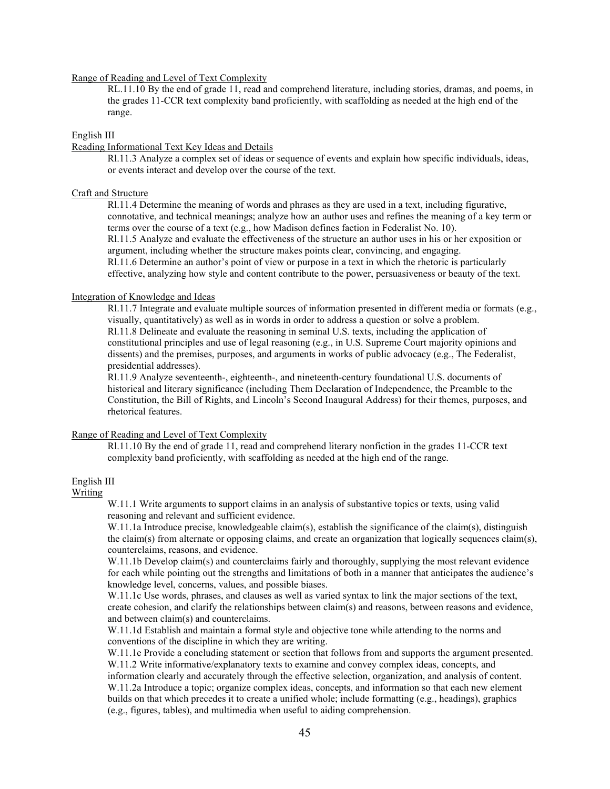# Range of Reading and Level of Text Complexity

RL.11.10 By the end of grade 11, read and comprehend literature, including stories, dramas, and poems, in the grades 11-CCR text complexity band proficiently, with scaffolding as needed at the high end of the range.

# English III

# Reading Informational Text Key Ideas and Details

Rl.11.3 Analyze a complex set of ideas or sequence of events and explain how specific individuals, ideas, or events interact and develop over the course of the text.

# Craft and Structure

Rl.11.4 Determine the meaning of words and phrases as they are used in a text, including figurative, connotative, and technical meanings; analyze how an author uses and refines the meaning of a key term or terms over the course of a text (e.g., how Madison defines faction in Federalist No. 10). Rl.11.5 Analyze and evaluate the effectiveness of the structure an author uses in his or her exposition or argument, including whether the structure makes points clear, convincing, and engaging. Rl.11.6 Determine an author's point of view or purpose in a text in which the rhetoric is particularly effective, analyzing how style and content contribute to the power, persuasiveness or beauty of the text.

#### Integration of Knowledge and Ideas

Rl.11.7 Integrate and evaluate multiple sources of information presented in different media or formats (e.g., visually, quantitatively) as well as in words in order to address a question or solve a problem. Rl.11.8 Delineate and evaluate the reasoning in seminal U.S. texts, including the application of constitutional principles and use of legal reasoning (e.g., in U.S. Supreme Court majority opinions and dissents) and the premises, purposes, and arguments in works of public advocacy (e.g., The Federalist, presidential addresses).

Rl.11.9 Analyze seventeenth-, eighteenth-, and nineteenth-century foundational U.S. documents of historical and literary significance (including Them Declaration of Independence, the Preamble to the Constitution, the Bill of Rights, and Lincoln's Second Inaugural Address) for their themes, purposes, and rhetorical features.

#### Range of Reading and Level of Text Complexity

Rl.11.10 By the end of grade 11, read and comprehend literary nonfiction in the grades 11-CCR text complexity band proficiently, with scaffolding as needed at the high end of the range.

# English III

# **Writing**

W.11.1 Write arguments to support claims in an analysis of substantive topics or texts, using valid reasoning and relevant and sufficient evidence.

W.11.1a Introduce precise, knowledgeable claim(s), establish the significance of the claim(s), distinguish the claim(s) from alternate or opposing claims, and create an organization that logically sequences claim(s), counterclaims, reasons, and evidence.

W.11.1b Develop claim(s) and counterclaims fairly and thoroughly, supplying the most relevant evidence for each while pointing out the strengths and limitations of both in a manner that anticipates the audience's knowledge level, concerns, values, and possible biases.

W.11.1c Use words, phrases, and clauses as well as varied syntax to link the major sections of the text, create cohesion, and clarify the relationships between claim(s) and reasons, between reasons and evidence, and between claim(s) and counterclaims.

W.11.1d Establish and maintain a formal style and objective tone while attending to the norms and conventions of the discipline in which they are writing.

W.11.1e Provide a concluding statement or section that follows from and supports the argument presented. W.11.2 Write informative/explanatory texts to examine and convey complex ideas, concepts, and information clearly and accurately through the effective selection, organization, and analysis of content. W.11.2a Introduce a topic; organize complex ideas, concepts, and information so that each new element builds on that which precedes it to create a unified whole; include formatting (e.g., headings), graphics (e.g., figures, tables), and multimedia when useful to aiding comprehension.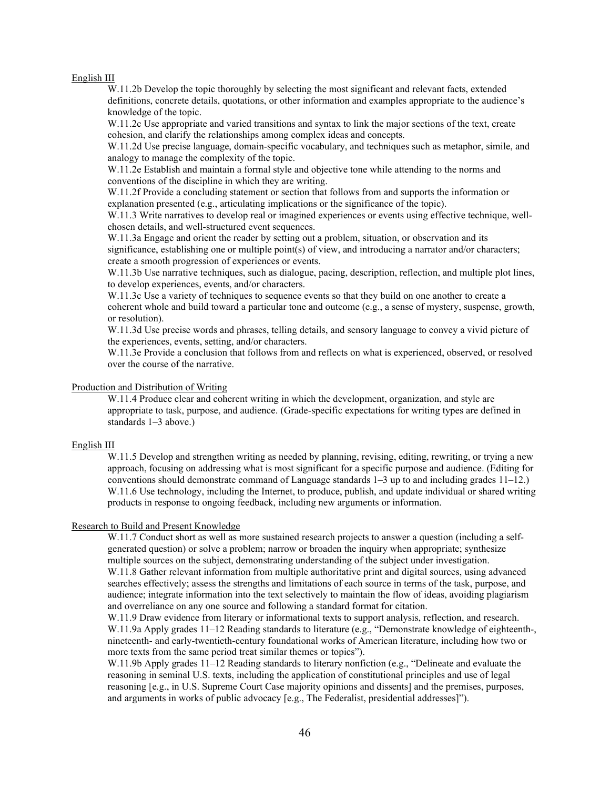#### English III

W.11.2b Develop the topic thoroughly by selecting the most significant and relevant facts, extended definitions, concrete details, quotations, or other information and examples appropriate to the audience's knowledge of the topic.

W.11.2c Use appropriate and varied transitions and syntax to link the major sections of the text, create cohesion, and clarify the relationships among complex ideas and concepts.

W.11.2d Use precise language, domain-specific vocabulary, and techniques such as metaphor, simile, and analogy to manage the complexity of the topic.

W.11.2e Establish and maintain a formal style and objective tone while attending to the norms and conventions of the discipline in which they are writing.

W.11.2f Provide a concluding statement or section that follows from and supports the information or explanation presented (e.g., articulating implications or the significance of the topic).

W.11.3 Write narratives to develop real or imagined experiences or events using effective technique, wellchosen details, and well-structured event sequences.

W.11.3a Engage and orient the reader by setting out a problem, situation, or observation and its significance, establishing one or multiple point(s) of view, and introducing a narrator and/or characters; create a smooth progression of experiences or events.

W.11.3b Use narrative techniques, such as dialogue, pacing, description, reflection, and multiple plot lines, to develop experiences, events, and/or characters.

W.11.3c Use a variety of techniques to sequence events so that they build on one another to create a coherent whole and build toward a particular tone and outcome (e.g., a sense of mystery, suspense, growth, or resolution).

W.11.3d Use precise words and phrases, telling details, and sensory language to convey a vivid picture of the experiences, events, setting, and/or characters.

W.11.3e Provide a conclusion that follows from and reflects on what is experienced, observed, or resolved over the course of the narrative.

#### Production and Distribution of Writing

W.11.4 Produce clear and coherent writing in which the development, organization, and style are appropriate to task, purpose, and audience. (Grade-specific expectations for writing types are defined in standards 1–3 above.)

#### English III

W.11.5 Develop and strengthen writing as needed by planning, revising, editing, rewriting, or trying a new approach, focusing on addressing what is most significant for a specific purpose and audience. (Editing for conventions should demonstrate command of Language standards 1–3 up to and including grades 11–12.) W.11.6 Use technology, including the Internet, to produce, publish, and update individual or shared writing products in response to ongoing feedback, including new arguments or information.

# Research to Build and Present Knowledge

W.11.7 Conduct short as well as more sustained research projects to answer a question (including a selfgenerated question) or solve a problem; narrow or broaden the inquiry when appropriate; synthesize multiple sources on the subject, demonstrating understanding of the subject under investigation. W.11.8 Gather relevant information from multiple authoritative print and digital sources, using advanced searches effectively; assess the strengths and limitations of each source in terms of the task, purpose, and audience; integrate information into the text selectively to maintain the flow of ideas, avoiding plagiarism

and overreliance on any one source and following a standard format for citation.

W.11.9 Draw evidence from literary or informational texts to support analysis, reflection, and research. W.11.9a Apply grades 11–12 Reading standards to literature (e.g., "Demonstrate knowledge of eighteenth-, nineteenth- and early-twentieth-century foundational works of American literature, including how two or more texts from the same period treat similar themes or topics").

W.11.9b Apply grades 11–12 Reading standards to literary nonfiction (e.g., "Delineate and evaluate the reasoning in seminal U.S. texts, including the application of constitutional principles and use of legal reasoning [e.g., in U.S. Supreme Court Case majority opinions and dissents] and the premises, purposes, and arguments in works of public advocacy [e.g., The Federalist, presidential addresses]").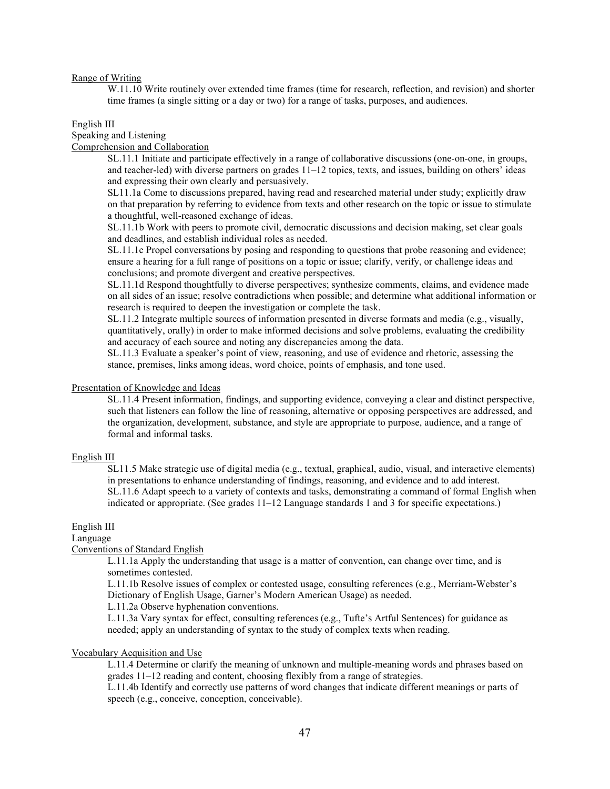# Range of Writing

W.11.10 Write routinely over extended time frames (time for research, reflection, and revision) and shorter time frames (a single sitting or a day or two) for a range of tasks, purposes, and audiences.

#### English III

# Speaking and Listening

# Comprehension and Collaboration

SL.11.1 Initiate and participate effectively in a range of collaborative discussions (one-on-one, in groups, and teacher-led) with diverse partners on grades 11–12 topics, texts, and issues, building on others' ideas and expressing their own clearly and persuasively.

SL11.1a Come to discussions prepared, having read and researched material under study; explicitly draw on that preparation by referring to evidence from texts and other research on the topic or issue to stimulate a thoughtful, well-reasoned exchange of ideas.

SL.11.1b Work with peers to promote civil, democratic discussions and decision making, set clear goals and deadlines, and establish individual roles as needed.

SL.11.1c Propel conversations by posing and responding to questions that probe reasoning and evidence; ensure a hearing for a full range of positions on a topic or issue; clarify, verify, or challenge ideas and conclusions; and promote divergent and creative perspectives.

SL.11.1d Respond thoughtfully to diverse perspectives; synthesize comments, claims, and evidence made on all sides of an issue; resolve contradictions when possible; and determine what additional information or research is required to deepen the investigation or complete the task.

SL.11.2 Integrate multiple sources of information presented in diverse formats and media (e.g., visually, quantitatively, orally) in order to make informed decisions and solve problems, evaluating the credibility and accuracy of each source and noting any discrepancies among the data.

SL.11.3 Evaluate a speaker's point of view, reasoning, and use of evidence and rhetoric, assessing the stance, premises, links among ideas, word choice, points of emphasis, and tone used.

# Presentation of Knowledge and Ideas

SL.11.4 Present information, findings, and supporting evidence, conveying a clear and distinct perspective, such that listeners can follow the line of reasoning, alternative or opposing perspectives are addressed, and the organization, development, substance, and style are appropriate to purpose, audience, and a range of formal and informal tasks.

#### English III

SL11.5 Make strategic use of digital media (e.g., textual, graphical, audio, visual, and interactive elements) in presentations to enhance understanding of findings, reasoning, and evidence and to add interest. SL.11.6 Adapt speech to a variety of contexts and tasks, demonstrating a command of formal English when indicated or appropriate. (See grades 11–12 Language standards 1 and 3 for specific expectations.)

# English III

#### Language

#### Conventions of Standard English

L.11.1a Apply the understanding that usage is a matter of convention, can change over time, and is sometimes contested.

L.11.1b Resolve issues of complex or contested usage, consulting references (e.g., Merriam-Webster's Dictionary of English Usage, Garner's Modern American Usage) as needed.

L.11.2a Observe hyphenation conventions.

L.11.3a Vary syntax for effect, consulting references (e.g., Tufte's Artful Sentences) for guidance as needed; apply an understanding of syntax to the study of complex texts when reading.

#### Vocabulary Acquisition and Use

L.11.4 Determine or clarify the meaning of unknown and multiple-meaning words and phrases based on grades 11–12 reading and content, choosing flexibly from a range of strategies.

L.11.4b Identify and correctly use patterns of word changes that indicate different meanings or parts of speech (e.g., conceive, conception, conceivable).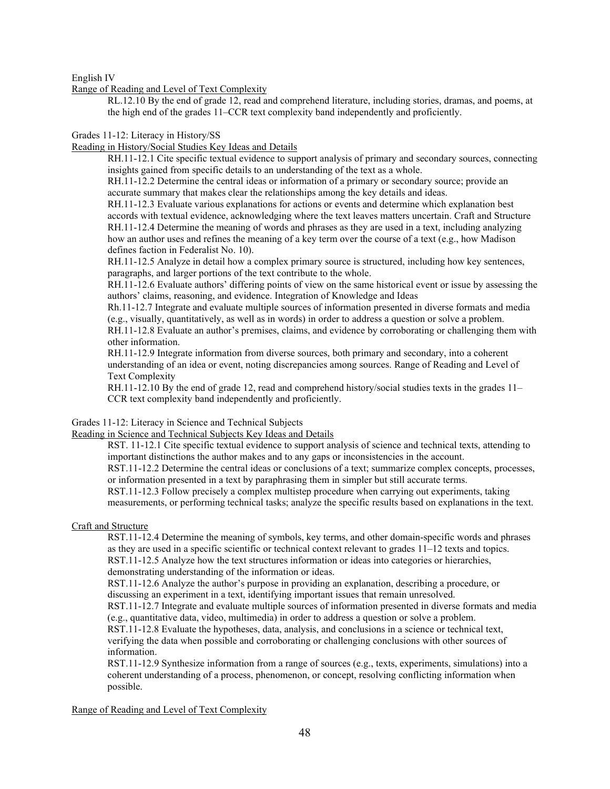English IV

Range of Reading and Level of Text Complexity

RL.12.10 By the end of grade 12, read and comprehend literature, including stories, dramas, and poems, at the high end of the grades 11–CCR text complexity band independently and proficiently.

#### Grades 11-12: Literacy in History/SS

Reading in History/Social Studies Key Ideas and Details

RH.11-12.1 Cite specific textual evidence to support analysis of primary and secondary sources, connecting insights gained from specific details to an understanding of the text as a whole.

RH.11-12.2 Determine the central ideas or information of a primary or secondary source; provide an accurate summary that makes clear the relationships among the key details and ideas.

RH.11-12.3 Evaluate various explanations for actions or events and determine which explanation best accords with textual evidence, acknowledging where the text leaves matters uncertain. Craft and Structure RH.11-12.4 Determine the meaning of words and phrases as they are used in a text, including analyzing how an author uses and refines the meaning of a key term over the course of a text (e.g., how Madison defines faction in Federalist No. 10).

RH.11-12.5 Analyze in detail how a complex primary source is structured, including how key sentences, paragraphs, and larger portions of the text contribute to the whole.

RH.11-12.6 Evaluate authors' differing points of view on the same historical event or issue by assessing the authors' claims, reasoning, and evidence. Integration of Knowledge and Ideas

Rh.11-12.7 Integrate and evaluate multiple sources of information presented in diverse formats and media (e.g., visually, quantitatively, as well as in words) in order to address a question or solve a problem.

RH.11-12.8 Evaluate an author's premises, claims, and evidence by corroborating or challenging them with other information.

RH.11-12.9 Integrate information from diverse sources, both primary and secondary, into a coherent understanding of an idea or event, noting discrepancies among sources. Range of Reading and Level of Text Complexity

RH.11-12.10 By the end of grade 12, read and comprehend history/social studies texts in the grades 11– CCR text complexity band independently and proficiently.

Grades 11-12: Literacy in Science and Technical Subjects

Reading in Science and Technical Subjects Key Ideas and Details

RST. 11-12.1 Cite specific textual evidence to support analysis of science and technical texts, attending to important distinctions the author makes and to any gaps or inconsistencies in the account.

RST.11-12.2 Determine the central ideas or conclusions of a text; summarize complex concepts, processes, or information presented in a text by paraphrasing them in simpler but still accurate terms.

RST.11-12.3 Follow precisely a complex multistep procedure when carrying out experiments, taking measurements, or performing technical tasks; analyze the specific results based on explanations in the text.

# Craft and Structure

RST.11-12.4 Determine the meaning of symbols, key terms, and other domain-specific words and phrases as they are used in a specific scientific or technical context relevant to grades 11–12 texts and topics. RST.11-12.5 Analyze how the text structures information or ideas into categories or hierarchies, demonstrating understanding of the information or ideas.

RST.11-12.6 Analyze the author's purpose in providing an explanation, describing a procedure, or discussing an experiment in a text, identifying important issues that remain unresolved.

RST.11-12.7 Integrate and evaluate multiple sources of information presented in diverse formats and media (e.g., quantitative data, video, multimedia) in order to address a question or solve a problem.

RST.11-12.8 Evaluate the hypotheses, data, analysis, and conclusions in a science or technical text, verifying the data when possible and corroborating or challenging conclusions with other sources of information.

RST.11-12.9 Synthesize information from a range of sources (e.g., texts, experiments, simulations) into a coherent understanding of a process, phenomenon, or concept, resolving conflicting information when possible.

Range of Reading and Level of Text Complexity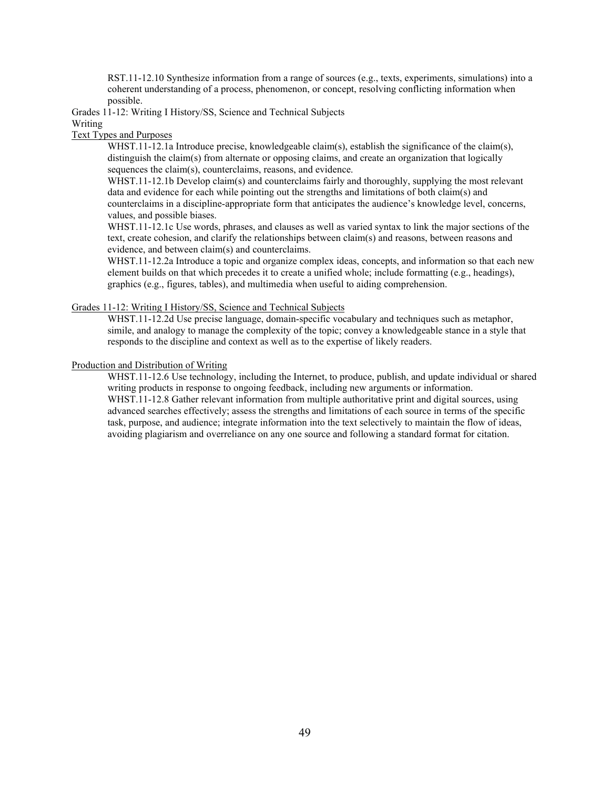RST.11-12.10 Synthesize information from a range of sources (e.g., texts, experiments, simulations) into a coherent understanding of a process, phenomenon, or concept, resolving conflicting information when possible.

Grades 11-12: Writing I History/SS, Science and Technical Subjects

Writing

Text Types and Purposes

WHST.11-12.1a Introduce precise, knowledgeable claim(s), establish the significance of the claim(s), distinguish the claim(s) from alternate or opposing claims, and create an organization that logically sequences the claim(s), counterclaims, reasons, and evidence.

WHST.11-12.1b Develop claim(s) and counterclaims fairly and thoroughly, supplying the most relevant data and evidence for each while pointing out the strengths and limitations of both claim(s) and counterclaims in a discipline-appropriate form that anticipates the audience's knowledge level, concerns, values, and possible biases.

WHST.11-12.1c Use words, phrases, and clauses as well as varied syntax to link the major sections of the text, create cohesion, and clarify the relationships between claim(s) and reasons, between reasons and evidence, and between claim(s) and counterclaims.

WHST.11-12.2a Introduce a topic and organize complex ideas, concepts, and information so that each new element builds on that which precedes it to create a unified whole; include formatting (e.g., headings), graphics (e.g., figures, tables), and multimedia when useful to aiding comprehension.

# Grades 11-12: Writing I History/SS, Science and Technical Subjects

WHST.11-12.2d Use precise language, domain-specific vocabulary and techniques such as metaphor, simile, and analogy to manage the complexity of the topic; convey a knowledgeable stance in a style that responds to the discipline and context as well as to the expertise of likely readers.

Production and Distribution of Writing

WHST.11-12.6 Use technology, including the Internet, to produce, publish, and update individual or shared writing products in response to ongoing feedback, including new arguments or information. WHST.11-12.8 Gather relevant information from multiple authoritative print and digital sources, using advanced searches effectively; assess the strengths and limitations of each source in terms of the specific task, purpose, and audience; integrate information into the text selectively to maintain the flow of ideas, avoiding plagiarism and overreliance on any one source and following a standard format for citation.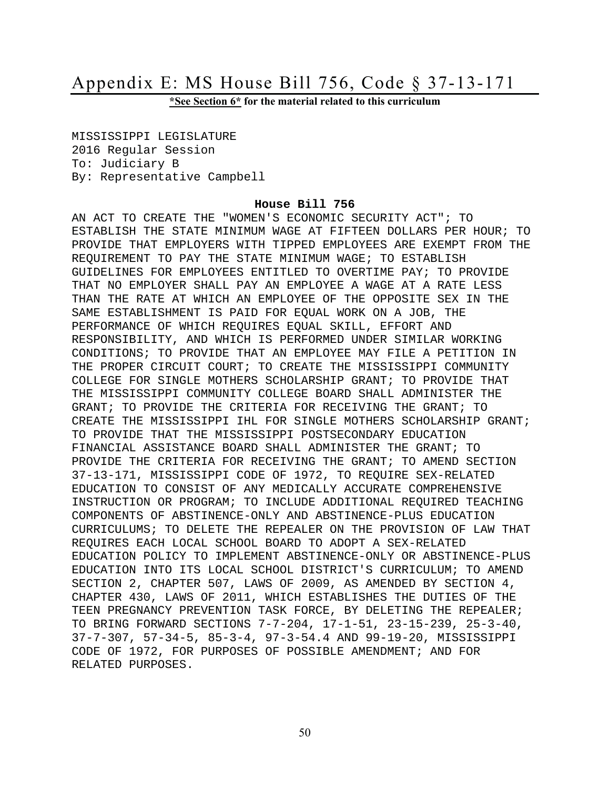# Appendix E: MS House Bill 756, Code § 37-13-171

**\*See Section 6\* for the material related to this curriculum**

MISSISSIPPI LEGISLATURE 2016 Regular Session To: Judiciary B By: Representative Campbell

# **House Bill 756**

AN ACT TO CREATE THE "WOMEN'S ECONOMIC SECURITY ACT"; TO ESTABLISH THE STATE MINIMUM WAGE AT FIFTEEN DOLLARS PER HOUR; TO PROVIDE THAT EMPLOYERS WITH TIPPED EMPLOYEES ARE EXEMPT FROM THE REQUIREMENT TO PAY THE STATE MINIMUM WAGE; TO ESTABLISH GUIDELINES FOR EMPLOYEES ENTITLED TO OVERTIME PAY; TO PROVIDE THAT NO EMPLOYER SHALL PAY AN EMPLOYEE A WAGE AT A RATE LESS THAN THE RATE AT WHICH AN EMPLOYEE OF THE OPPOSITE SEX IN THE SAME ESTABLISHMENT IS PAID FOR EQUAL WORK ON A JOB, THE PERFORMANCE OF WHICH REQUIRES EQUAL SKILL, EFFORT AND RESPONSIBILITY, AND WHICH IS PERFORMED UNDER SIMILAR WORKING CONDITIONS; TO PROVIDE THAT AN EMPLOYEE MAY FILE A PETITION IN THE PROPER CIRCUIT COURT; TO CREATE THE MISSISSIPPI COMMUNITY COLLEGE FOR SINGLE MOTHERS SCHOLARSHIP GRANT; TO PROVIDE THAT THE MISSISSIPPI COMMUNITY COLLEGE BOARD SHALL ADMINISTER THE GRANT; TO PROVIDE THE CRITERIA FOR RECEIVING THE GRANT; TO CREATE THE MISSISSIPPI IHL FOR SINGLE MOTHERS SCHOLARSHIP GRANT; TO PROVIDE THAT THE MISSISSIPPI POSTSECONDARY EDUCATION FINANCIAL ASSISTANCE BOARD SHALL ADMINISTER THE GRANT; TO PROVIDE THE CRITERIA FOR RECEIVING THE GRANT; TO AMEND SECTION 37-13-171, MISSISSIPPI CODE OF 1972, TO REQUIRE SEX-RELATED EDUCATION TO CONSIST OF ANY MEDICALLY ACCURATE COMPREHENSIVE INSTRUCTION OR PROGRAM; TO INCLUDE ADDITIONAL REQUIRED TEACHING COMPONENTS OF ABSTINENCE-ONLY AND ABSTINENCE-PLUS EDUCATION CURRICULUMS; TO DELETE THE REPEALER ON THE PROVISION OF LAW THAT REQUIRES EACH LOCAL SCHOOL BOARD TO ADOPT A SEX-RELATED EDUCATION POLICY TO IMPLEMENT ABSTINENCE-ONLY OR ABSTINENCE-PLUS EDUCATION INTO ITS LOCAL SCHOOL DISTRICT'S CURRICULUM; TO AMEND SECTION 2, CHAPTER 507, LAWS OF 2009, AS AMENDED BY SECTION 4, CHAPTER 430, LAWS OF 2011, WHICH ESTABLISHES THE DUTIES OF THE TEEN PREGNANCY PREVENTION TASK FORCE, BY DELETING THE REPEALER; TO BRING FORWARD SECTIONS 7-7-204, 17-1-51, 23-15-239, 25-3-40, 37-7-307, 57-34-5, 85-3-4, 97-3-54.4 AND 99-19-20, MISSISSIPPI CODE OF 1972, FOR PURPOSES OF POSSIBLE AMENDMENT; AND FOR RELATED PURPOSES.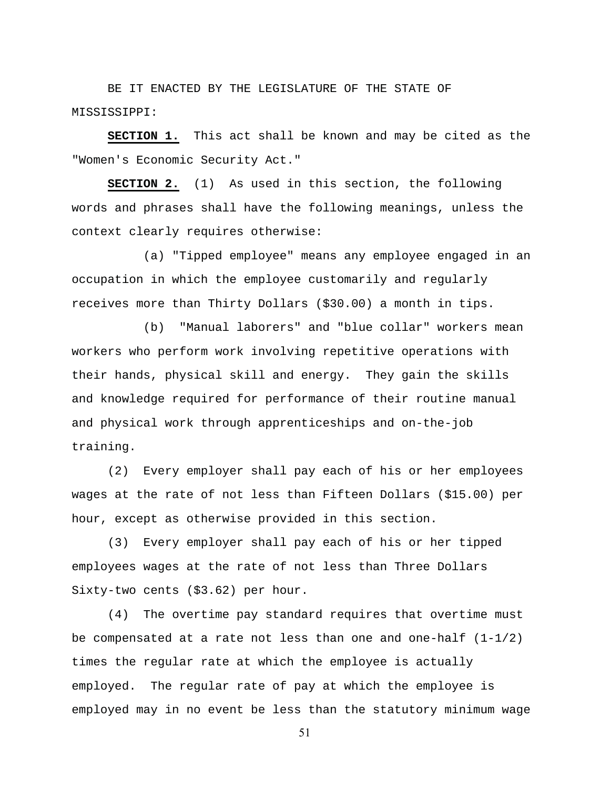BE IT ENACTED BY THE LEGISLATURE OF THE STATE OF MISSISSIPPI:

**SECTION 1.** This act shall be known and may be cited as the "Women's Economic Security Act."

**SECTION 2.** (1) As used in this section, the following words and phrases shall have the following meanings, unless the context clearly requires otherwise:

(a) "Tipped employee" means any employee engaged in an occupation in which the employee customarily and regularly receives more than Thirty Dollars (\$30.00) a month in tips.

(b) "Manual laborers" and "blue collar" workers mean workers who perform work involving repetitive operations with their hands, physical skill and energy. They gain the skills and knowledge required for performance of their routine manual and physical work through apprenticeships and on-the-job training.

(2) Every employer shall pay each of his or her employees wages at the rate of not less than Fifteen Dollars (\$15.00) per hour, except as otherwise provided in this section.

(3) Every employer shall pay each of his or her tipped employees wages at the rate of not less than Three Dollars Sixty-two cents (\$3.62) per hour.

(4) The overtime pay standard requires that overtime must be compensated at a rate not less than one and one-half  $(1-1/2)$ times the regular rate at which the employee is actually employed. The regular rate of pay at which the employee is employed may in no event be less than the statutory minimum wage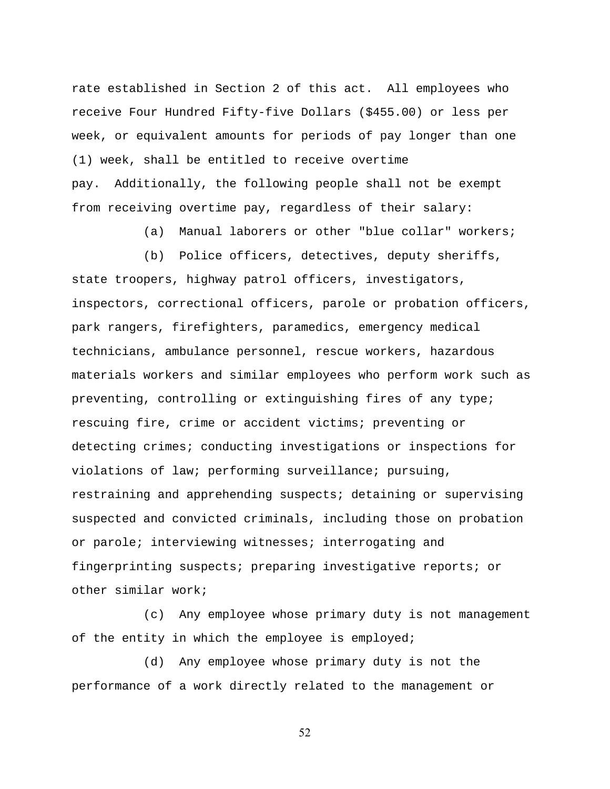rate established in Section 2 of this act. All employees who receive Four Hundred Fifty-five Dollars (\$455.00) or less per week, or equivalent amounts for periods of pay longer than one (1) week, shall be entitled to receive overtime pay. Additionally, the following people shall not be exempt from receiving overtime pay, regardless of their salary:

(a) Manual laborers or other "blue collar" workers;

(b) Police officers, detectives, deputy sheriffs,

state troopers, highway patrol officers, investigators, inspectors, correctional officers, parole or probation officers, park rangers, firefighters, paramedics, emergency medical technicians, ambulance personnel, rescue workers, hazardous materials workers and similar employees who perform work such as preventing, controlling or extinguishing fires of any type; rescuing fire, crime or accident victims; preventing or detecting crimes; conducting investigations or inspections for violations of law; performing surveillance; pursuing, restraining and apprehending suspects; detaining or supervising suspected and convicted criminals, including those on probation or parole; interviewing witnesses; interrogating and fingerprinting suspects; preparing investigative reports; or other similar work;

(c) Any employee whose primary duty is not management of the entity in which the employee is employed;

(d) Any employee whose primary duty is not the performance of a work directly related to the management or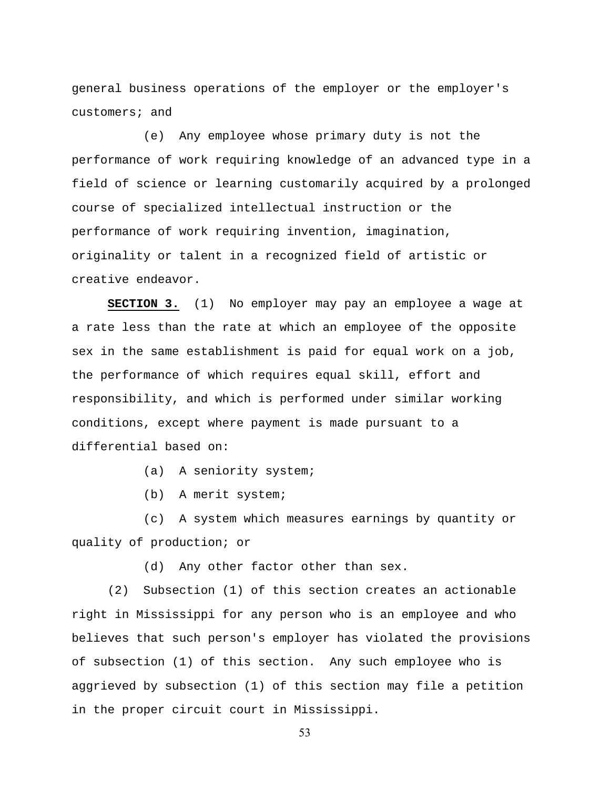general business operations of the employer or the employer's customers; and

(e) Any employee whose primary duty is not the performance of work requiring knowledge of an advanced type in a field of science or learning customarily acquired by a prolonged course of specialized intellectual instruction or the performance of work requiring invention, imagination, originality or talent in a recognized field of artistic or creative endeavor.

**SECTION 3.** (1) No employer may pay an employee a wage at a rate less than the rate at which an employee of the opposite sex in the same establishment is paid for equal work on a job, the performance of which requires equal skill, effort and responsibility, and which is performed under similar working conditions, except where payment is made pursuant to a differential based on:

(a) A seniority system;

(b) A merit system;

(c) A system which measures earnings by quantity or quality of production; or

(d) Any other factor other than sex.

(2) Subsection (1) of this section creates an actionable right in Mississippi for any person who is an employee and who believes that such person's employer has violated the provisions of subsection (1) of this section. Any such employee who is aggrieved by subsection (1) of this section may file a petition in the proper circuit court in Mississippi.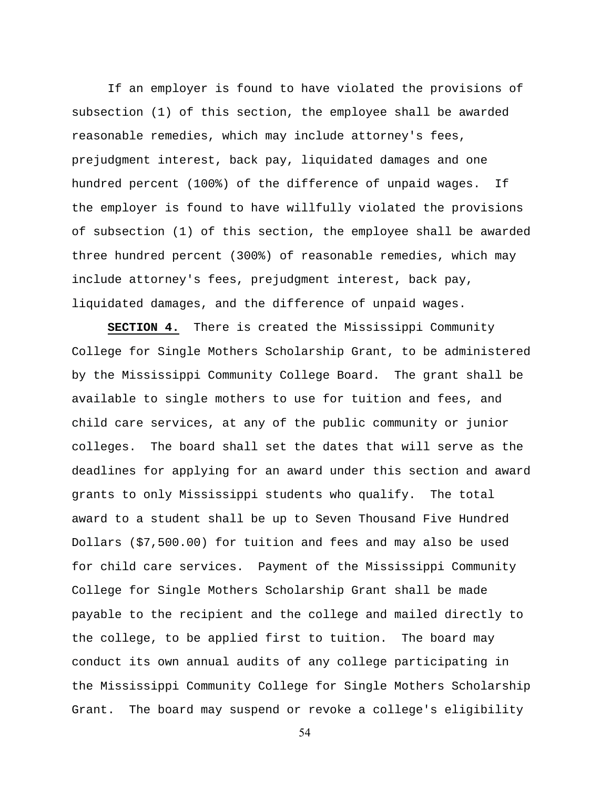If an employer is found to have violated the provisions of subsection (1) of this section, the employee shall be awarded reasonable remedies, which may include attorney's fees, prejudgment interest, back pay, liquidated damages and one hundred percent (100%) of the difference of unpaid wages. If the employer is found to have willfully violated the provisions of subsection (1) of this section, the employee shall be awarded three hundred percent (300%) of reasonable remedies, which may include attorney's fees, prejudgment interest, back pay, liquidated damages, and the difference of unpaid wages.

**SECTION 4.** There is created the Mississippi Community College for Single Mothers Scholarship Grant, to be administered by the Mississippi Community College Board. The grant shall be available to single mothers to use for tuition and fees, and child care services, at any of the public community or junior colleges. The board shall set the dates that will serve as the deadlines for applying for an award under this section and award grants to only Mississippi students who qualify. The total award to a student shall be up to Seven Thousand Five Hundred Dollars (\$7,500.00) for tuition and fees and may also be used for child care services. Payment of the Mississippi Community College for Single Mothers Scholarship Grant shall be made payable to the recipient and the college and mailed directly to the college, to be applied first to tuition. The board may conduct its own annual audits of any college participating in the Mississippi Community College for Single Mothers Scholarship Grant. The board may suspend or revoke a college's eligibility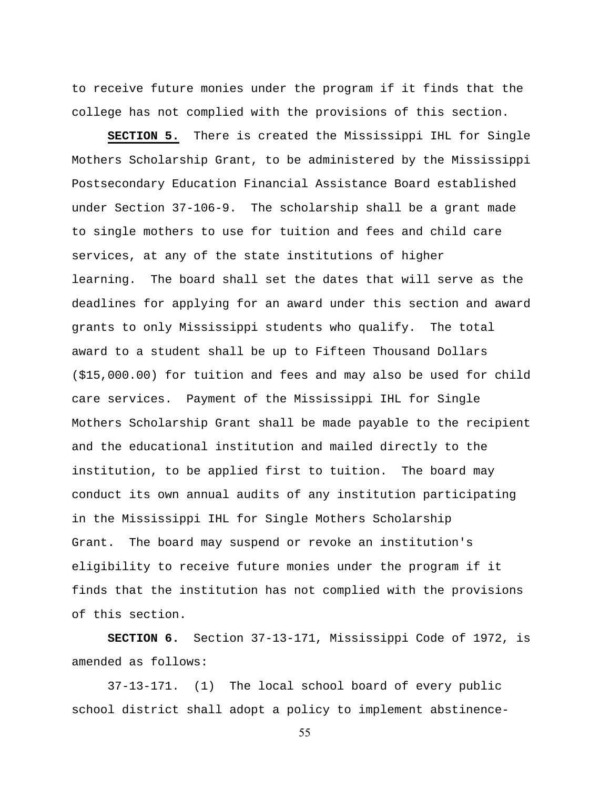to receive future monies under the program if it finds that the college has not complied with the provisions of this section.

**SECTION 5.** There is created the Mississippi IHL for Single Mothers Scholarship Grant, to be administered by the Mississippi Postsecondary Education Financial Assistance Board established under Section 37-106-9. The scholarship shall be a grant made to single mothers to use for tuition and fees and child care services, at any of the state institutions of higher learning. The board shall set the dates that will serve as the deadlines for applying for an award under this section and award grants to only Mississippi students who qualify. The total award to a student shall be up to Fifteen Thousand Dollars (\$15,000.00) for tuition and fees and may also be used for child care services. Payment of the Mississippi IHL for Single Mothers Scholarship Grant shall be made payable to the recipient and the educational institution and mailed directly to the institution, to be applied first to tuition. The board may conduct its own annual audits of any institution participating in the Mississippi IHL for Single Mothers Scholarship Grant. The board may suspend or revoke an institution's eligibility to receive future monies under the program if it finds that the institution has not complied with the provisions of this section.

**SECTION 6.** Section 37-13-171, Mississippi Code of 1972, is amended as follows:

37-13-171. (1) The local school board of every public school district shall adopt a policy to implement abstinence-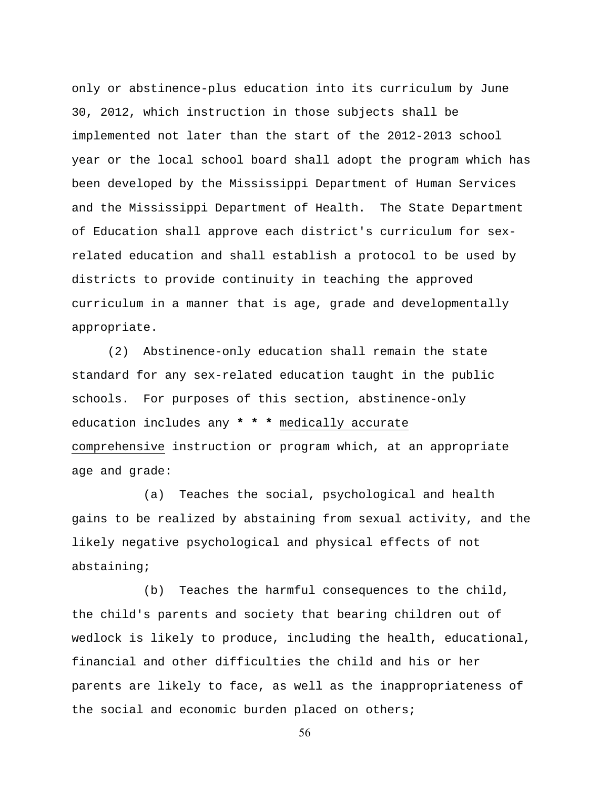only or abstinence-plus education into its curriculum by June 30, 2012, which instruction in those subjects shall be implemented not later than the start of the 2012-2013 school year or the local school board shall adopt the program which has been developed by the Mississippi Department of Human Services and the Mississippi Department of Health. The State Department of Education shall approve each district's curriculum for sexrelated education and shall establish a protocol to be used by districts to provide continuity in teaching the approved curriculum in a manner that is age, grade and developmentally appropriate.

(2) Abstinence-only education shall remain the state standard for any sex-related education taught in the public schools. For purposes of this section, abstinence-only education includes any **\*\*\*** medically accurate comprehensive instruction or program which, at an appropriate age and grade:

(a) Teaches the social, psychological and health gains to be realized by abstaining from sexual activity, and the likely negative psychological and physical effects of not abstaining;

(b) Teaches the harmful consequences to the child, the child's parents and society that bearing children out of wedlock is likely to produce, including the health, educational, financial and other difficulties the child and his or her parents are likely to face, as well as the inappropriateness of the social and economic burden placed on others;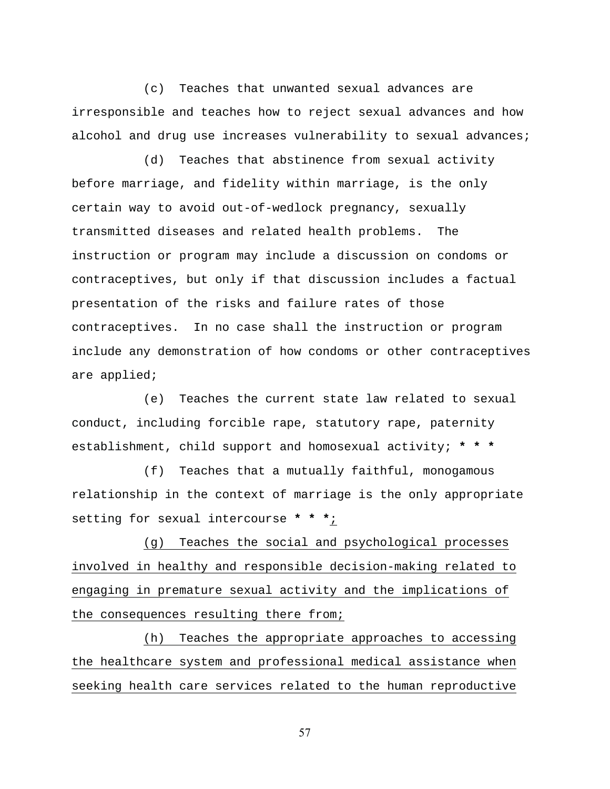(c) Teaches that unwanted sexual advances are irresponsible and teaches how to reject sexual advances and how alcohol and drug use increases vulnerability to sexual advances;

(d) Teaches that abstinence from sexual activity before marriage, and fidelity within marriage, is the only certain way to avoid out-of-wedlock pregnancy, sexually transmitted diseases and related health problems. The instruction or program may include a discussion on condoms or contraceptives, but only if that discussion includes a factual presentation of the risks and failure rates of those contraceptives. In no case shall the instruction or program include any demonstration of how condoms or other contraceptives are applied;

(e) Teaches the current state law related to sexual conduct, including forcible rape, statutory rape, paternity establishment, child support and homosexual activity; **\*\*\***

(f) Teaches that a mutually faithful, monogamous relationship in the context of marriage is the only appropriate setting for sexual intercourse \* \* \*;

(g) Teaches the social and psychological processes involved in healthy and responsible decision-making related to engaging in premature sexual activity and the implications of the consequences resulting there from;

(h) Teaches the appropriate approaches to accessing the healthcare system and professional medical assistance when seeking health care services related to the human reproductive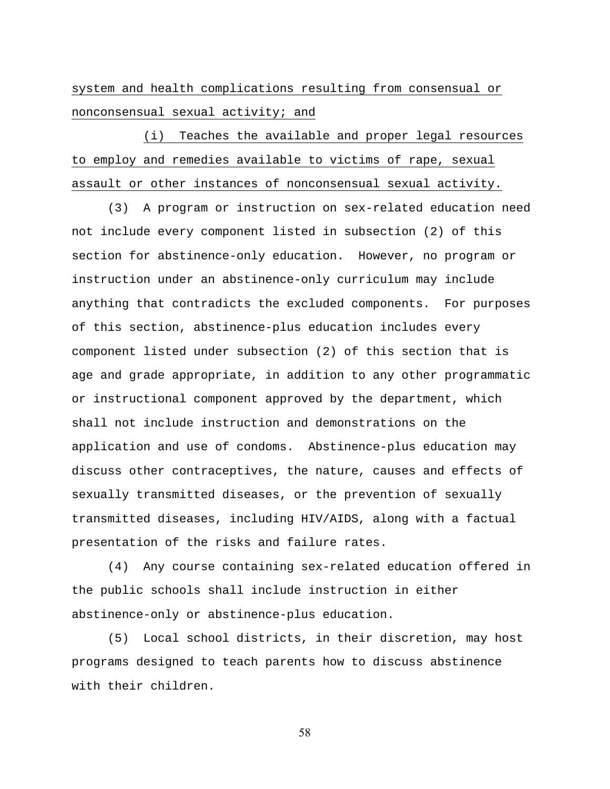system and health complications resulting from consensual or nonconsensual sexual activity; and

(i) Teaches the available and proper legal resources to employ and remedies available to victims of rape, sexual assault or other instances of nonconsensual sexual activity.

(3) A program or instruction on sex-related education need not include every component listed in subsection (2) of this section for abstinence-only education. However, no program or instruction under an abstinence-only curriculum may include anything that contradicts the excluded components. For purposes of this section, abstinence-plus education includes every component listed under subsection (2) of this section that is age and grade appropriate, in addition to any other programmatic or instructional component approved by the department, which shall not include instruction and demonstrations on the application and use of condoms. Abstinence-plus education may discuss other contraceptives, the nature, causes and effects of sexually transmitted diseases, or the prevention of sexually transmitted diseases, including HIV/AIDS, along with a factual presentation of the risks and failure rates.

(4) Any course containing sex-related education offered in the public schools shall include instruction in either abstinence-only or abstinence-plus education.

(5) Local school districts, in their discretion, may host programs designed to teach parents how to discuss abstinence with their children.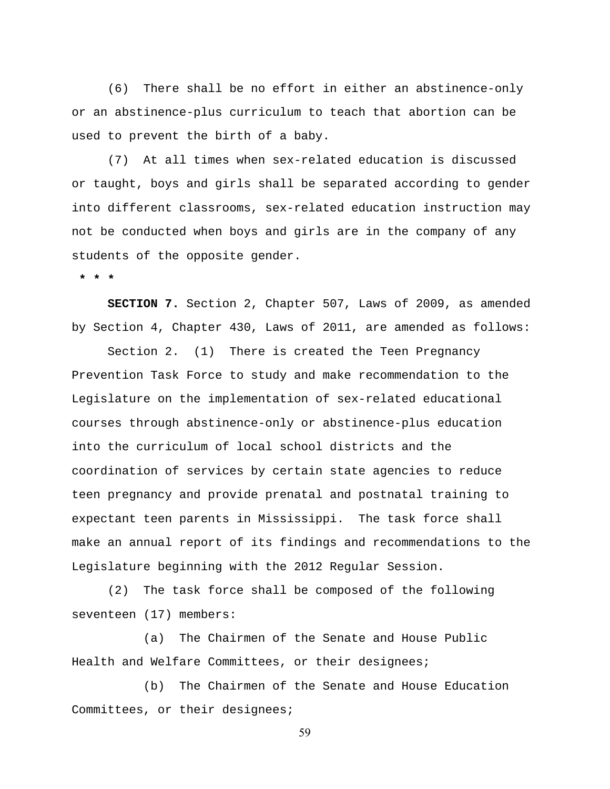(6) There shall be no effort in either an abstinence-only or an abstinence-plus curriculum to teach that abortion can be used to prevent the birth of a baby.

(7) At all times when sex-related education is discussed or taught, boys and girls shall be separated according to gender into different classrooms, sex-related education instruction may not be conducted when boys and girls are in the company of any students of the opposite gender.

**\*\*\***

**SECTION 7.** Section 2, Chapter 507, Laws of 2009, as amended by Section 4, Chapter 430, Laws of 2011, are amended as follows:

Section 2. (1) There is created the Teen Pregnancy Prevention Task Force to study and make recommendation to the Legislature on the implementation of sex-related educational courses through abstinence-only or abstinence-plus education into the curriculum of local school districts and the coordination of services by certain state agencies to reduce teen pregnancy and provide prenatal and postnatal training to expectant teen parents in Mississippi. The task force shall make an annual report of its findings and recommendations to the Legislature beginning with the 2012 Regular Session.

(2) The task force shall be composed of the following seventeen (17) members:

(a) The Chairmen of the Senate and House Public Health and Welfare Committees, or their designees;

(b) The Chairmen of the Senate and House Education Committees, or their designees;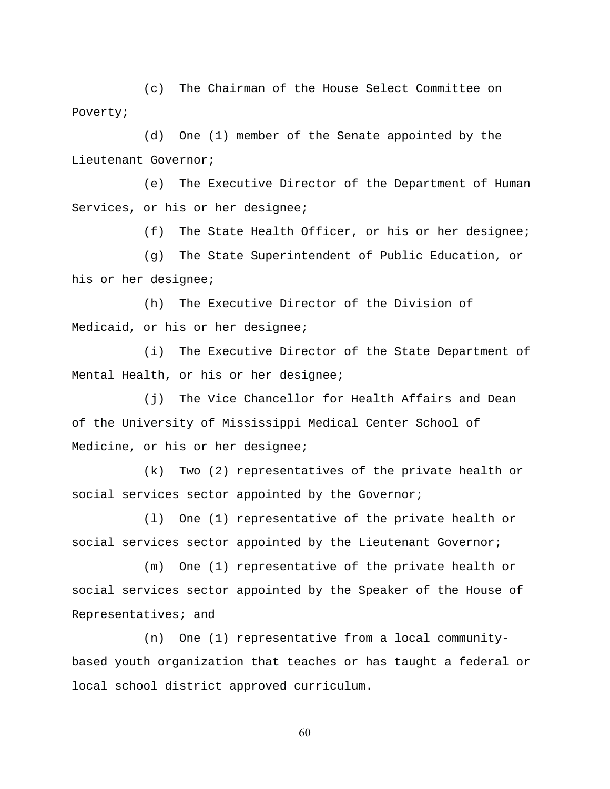(c) The Chairman of the House Select Committee on Poverty;

(d) One (1) member of the Senate appointed by the Lieutenant Governor;

(e) The Executive Director of the Department of Human Services, or his or her designee;

(f) The State Health Officer, or his or her designee;

(g) The State Superintendent of Public Education, or his or her designee;

(h) The Executive Director of the Division of Medicaid, or his or her designee;

(i) The Executive Director of the State Department of Mental Health, or his or her designee;

(j) The Vice Chancellor for Health Affairs and Dean of the University of Mississippi Medical Center School of Medicine, or his or her designee;

(k) Two (2) representatives of the private health or social services sector appointed by the Governor;

(l) One (1) representative of the private health or social services sector appointed by the Lieutenant Governor;

(m) One (1) representative of the private health or social services sector appointed by the Speaker of the House of Representatives; and

(n) One (1) representative from a local communitybased youth organization that teaches or has taught a federal or local school district approved curriculum.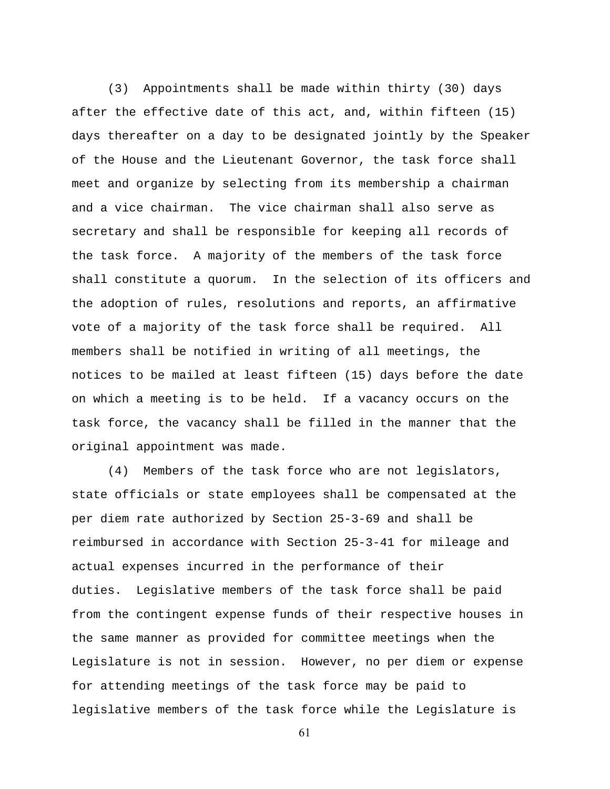(3) Appointments shall be made within thirty (30) days after the effective date of this act, and, within fifteen (15) days thereafter on a day to be designated jointly by the Speaker of the House and the Lieutenant Governor, the task force shall meet and organize by selecting from its membership a chairman and a vice chairman. The vice chairman shall also serve as secretary and shall be responsible for keeping all records of the task force. A majority of the members of the task force shall constitute a quorum. In the selection of its officers and the adoption of rules, resolutions and reports, an affirmative vote of a majority of the task force shall be required. All members shall be notified in writing of all meetings, the notices to be mailed at least fifteen (15) days before the date on which a meeting is to be held. If a vacancy occurs on the task force, the vacancy shall be filled in the manner that the original appointment was made.

(4) Members of the task force who are not legislators, state officials or state employees shall be compensated at the per diem rate authorized by Section 25-3-69 and shall be reimbursed in accordance with Section 25-3-41 for mileage and actual expenses incurred in the performance of their duties. Legislative members of the task force shall be paid from the contingent expense funds of their respective houses in the same manner as provided for committee meetings when the Legislature is not in session. However, no per diem or expense for attending meetings of the task force may be paid to legislative members of the task force while the Legislature is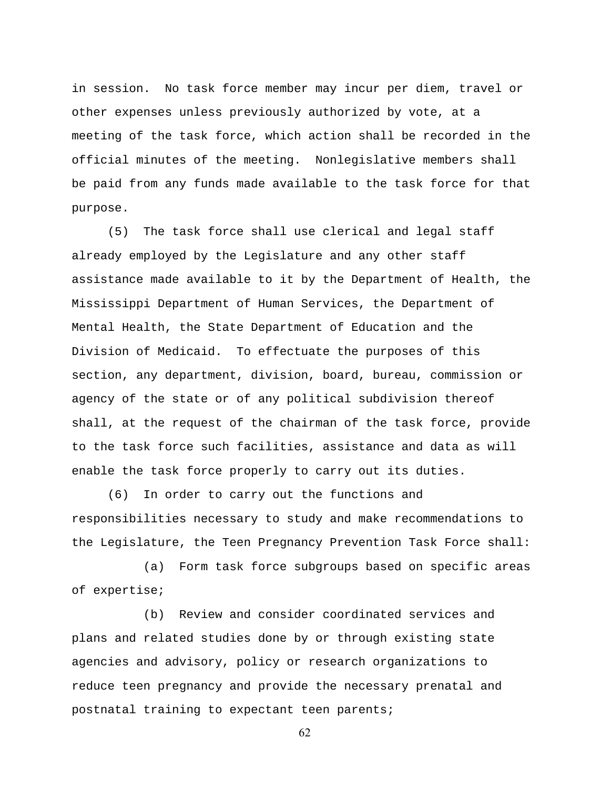in session. No task force member may incur per diem, travel or other expenses unless previously authorized by vote, at a meeting of the task force, which action shall be recorded in the official minutes of the meeting. Nonlegislative members shall be paid from any funds made available to the task force for that purpose.

(5) The task force shall use clerical and legal staff already employed by the Legislature and any other staff assistance made available to it by the Department of Health, the Mississippi Department of Human Services, the Department of Mental Health, the State Department of Education and the Division of Medicaid. To effectuate the purposes of this section, any department, division, board, bureau, commission or agency of the state or of any political subdivision thereof shall, at the request of the chairman of the task force, provide to the task force such facilities, assistance and data as will enable the task force properly to carry out its duties.

(6) In order to carry out the functions and responsibilities necessary to study and make recommendations to the Legislature, the Teen Pregnancy Prevention Task Force shall:

(a) Form task force subgroups based on specific areas of expertise;

(b) Review and consider coordinated services and plans and related studies done by or through existing state agencies and advisory, policy or research organizations to reduce teen pregnancy and provide the necessary prenatal and postnatal training to expectant teen parents;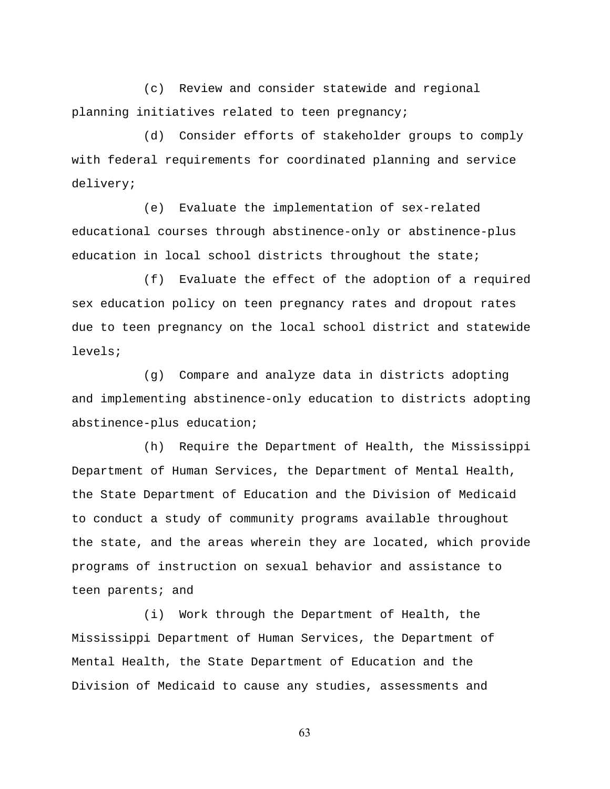(c) Review and consider statewide and regional planning initiatives related to teen pregnancy;

(d) Consider efforts of stakeholder groups to comply with federal requirements for coordinated planning and service delivery;

(e) Evaluate the implementation of sex-related educational courses through abstinence-only or abstinence-plus education in local school districts throughout the state;

(f) Evaluate the effect of the adoption of a required sex education policy on teen pregnancy rates and dropout rates due to teen pregnancy on the local school district and statewide levels;

(g) Compare and analyze data in districts adopting and implementing abstinence-only education to districts adopting abstinence-plus education;

(h) Require the Department of Health, the Mississippi Department of Human Services, the Department of Mental Health, the State Department of Education and the Division of Medicaid to conduct a study of community programs available throughout the state, and the areas wherein they are located, which provide programs of instruction on sexual behavior and assistance to teen parents; and

(i) Work through the Department of Health, the Mississippi Department of Human Services, the Department of Mental Health, the State Department of Education and the Division of Medicaid to cause any studies, assessments and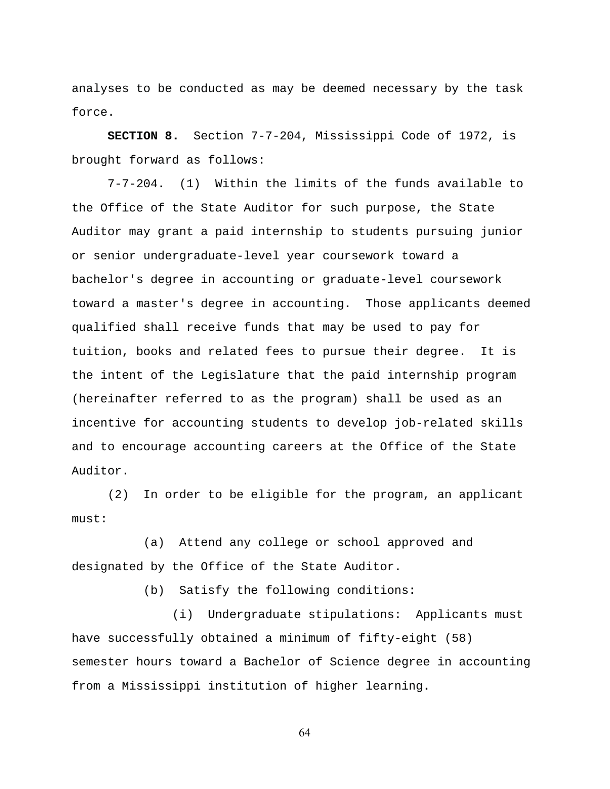analyses to be conducted as may be deemed necessary by the task force.

**SECTION 8.** Section 7-7-204, Mississippi Code of 1972, is brought forward as follows:

7-7-204. (1) Within the limits of the funds available to the Office of the State Auditor for such purpose, the State Auditor may grant a paid internship to students pursuing junior or senior undergraduate-level year coursework toward a bachelor's degree in accounting or graduate-level coursework toward a master's degree in accounting. Those applicants deemed qualified shall receive funds that may be used to pay for tuition, books and related fees to pursue their degree. It is the intent of the Legislature that the paid internship program (hereinafter referred to as the program) shall be used as an incentive for accounting students to develop job-related skills and to encourage accounting careers at the Office of the State Auditor.

(2) In order to be eligible for the program, an applicant must:

(a) Attend any college or school approved and designated by the Office of the State Auditor.

(b) Satisfy the following conditions:

(i) Undergraduate stipulations: Applicants must have successfully obtained a minimum of fifty-eight (58) semester hours toward a Bachelor of Science degree in accounting from a Mississippi institution of higher learning.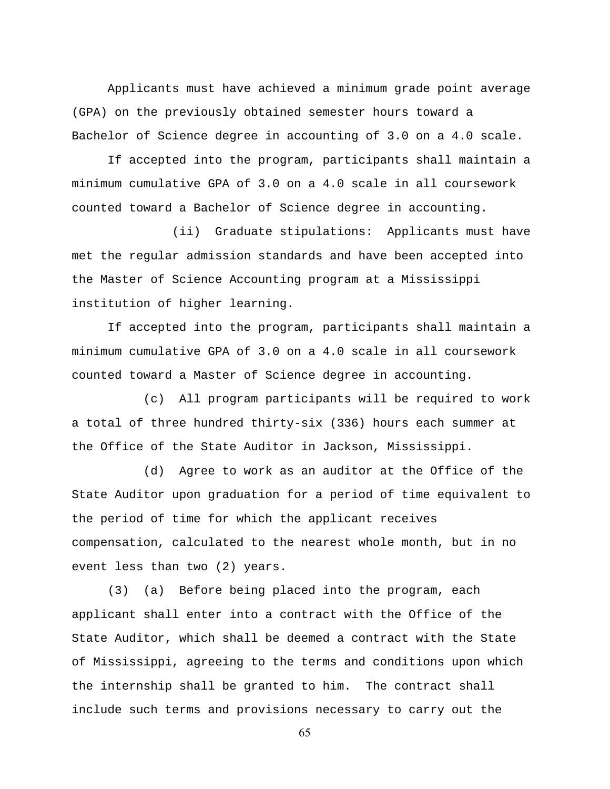Applicants must have achieved a minimum grade point average (GPA) on the previously obtained semester hours toward a Bachelor of Science degree in accounting of 3.0 on a 4.0 scale.

If accepted into the program, participants shall maintain a minimum cumulative GPA of 3.0 on a 4.0 scale in all coursework counted toward a Bachelor of Science degree in accounting.

(ii) Graduate stipulations: Applicants must have met the regular admission standards and have been accepted into the Master of Science Accounting program at a Mississippi institution of higher learning.

If accepted into the program, participants shall maintain a minimum cumulative GPA of 3.0 on a 4.0 scale in all coursework counted toward a Master of Science degree in accounting.

(c) All program participants will be required to work a total of three hundred thirty-six (336) hours each summer at the Office of the State Auditor in Jackson, Mississippi.

(d) Agree to work as an auditor at the Office of the State Auditor upon graduation for a period of time equivalent to the period of time for which the applicant receives compensation, calculated to the nearest whole month, but in no event less than two (2) years.

(3) (a) Before being placed into the program, each applicant shall enter into a contract with the Office of the State Auditor, which shall be deemed a contract with the State of Mississippi, agreeing to the terms and conditions upon which the internship shall be granted to him. The contract shall include such terms and provisions necessary to carry out the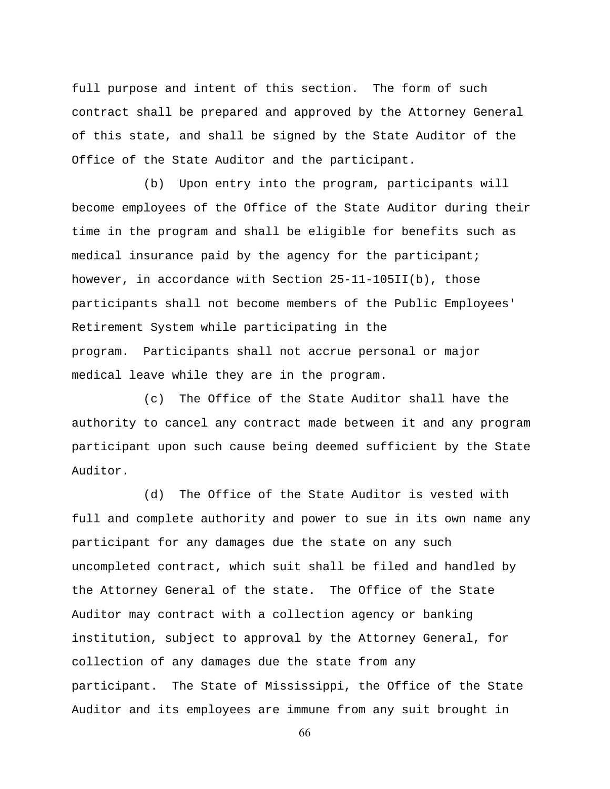full purpose and intent of this section. The form of such contract shall be prepared and approved by the Attorney General of this state, and shall be signed by the State Auditor of the Office of the State Auditor and the participant.

(b) Upon entry into the program, participants will become employees of the Office of the State Auditor during their time in the program and shall be eligible for benefits such as medical insurance paid by the agency for the participant; however, in accordance with Section 25-11-105II(b), those participants shall not become members of the Public Employees' Retirement System while participating in the program. Participants shall not accrue personal or major medical leave while they are in the program.

(c) The Office of the State Auditor shall have the authority to cancel any contract made between it and any program participant upon such cause being deemed sufficient by the State Auditor.

(d) The Office of the State Auditor is vested with full and complete authority and power to sue in its own name any participant for any damages due the state on any such uncompleted contract, which suit shall be filed and handled by the Attorney General of the state. The Office of the State Auditor may contract with a collection agency or banking institution, subject to approval by the Attorney General, for collection of any damages due the state from any participant. The State of Mississippi, the Office of the State Auditor and its employees are immune from any suit brought in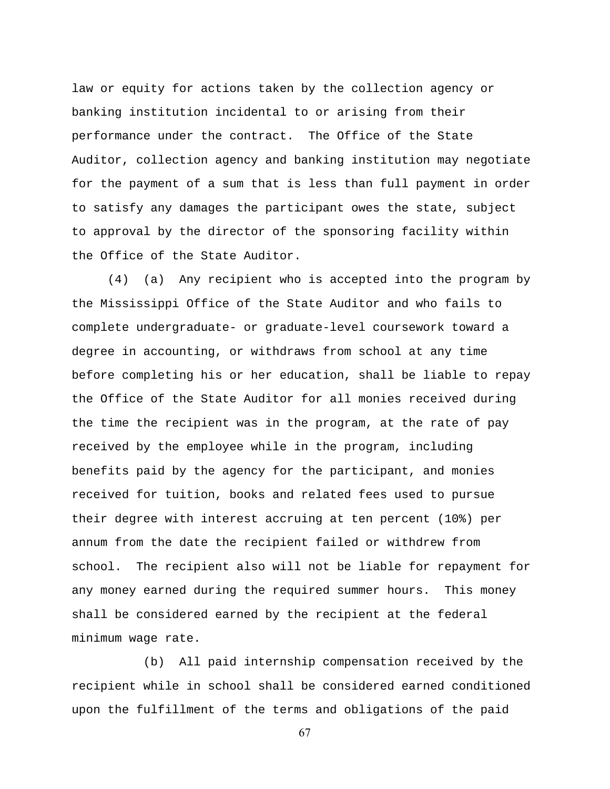law or equity for actions taken by the collection agency or banking institution incidental to or arising from their performance under the contract. The Office of the State Auditor, collection agency and banking institution may negotiate for the payment of a sum that is less than full payment in order to satisfy any damages the participant owes the state, subject to approval by the director of the sponsoring facility within the Office of the State Auditor.

(4) (a) Any recipient who is accepted into the program by the Mississippi Office of the State Auditor and who fails to complete undergraduate- or graduate-level coursework toward a degree in accounting, or withdraws from school at any time before completing his or her education, shall be liable to repay the Office of the State Auditor for all monies received during the time the recipient was in the program, at the rate of pay received by the employee while in the program, including benefits paid by the agency for the participant, and monies received for tuition, books and related fees used to pursue their degree with interest accruing at ten percent (10%) per annum from the date the recipient failed or withdrew from school. The recipient also will not be liable for repayment for any money earned during the required summer hours. This money shall be considered earned by the recipient at the federal minimum wage rate.

(b) All paid internship compensation received by the recipient while in school shall be considered earned conditioned upon the fulfillment of the terms and obligations of the paid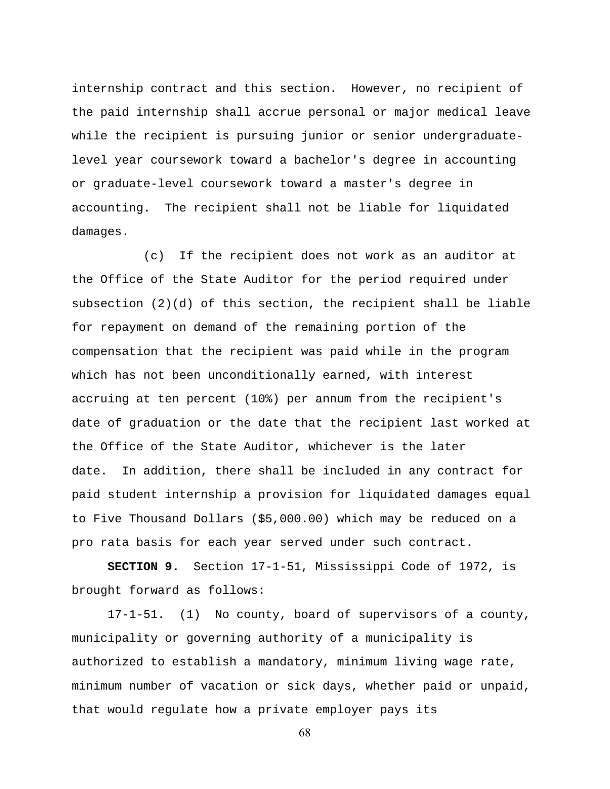internship contract and this section. However, no recipient of the paid internship shall accrue personal or major medical leave while the recipient is pursuing junior or senior undergraduatelevel year coursework toward a bachelor's degree in accounting or graduate-level coursework toward a master's degree in accounting. The recipient shall not be liable for liquidated damages.

(c) If the recipient does not work as an auditor at the Office of the State Auditor for the period required under subsection (2)(d) of this section, the recipient shall be liable for repayment on demand of the remaining portion of the compensation that the recipient was paid while in the program which has not been unconditionally earned, with interest accruing at ten percent (10%) per annum from the recipient's date of graduation or the date that the recipient last worked at the Office of the State Auditor, whichever is the later date. In addition, there shall be included in any contract for paid student internship a provision for liquidated damages equal to Five Thousand Dollars (\$5,000.00) which may be reduced on a pro rata basis for each year served under such contract.

**SECTION 9.** Section 17-1-51, Mississippi Code of 1972, is brought forward as follows:

17-1-51. (1) No county, board of supervisors of a county, municipality or governing authority of a municipality is authorized to establish a mandatory, minimum living wage rate, minimum number of vacation or sick days, whether paid or unpaid, that would regulate how a private employer pays its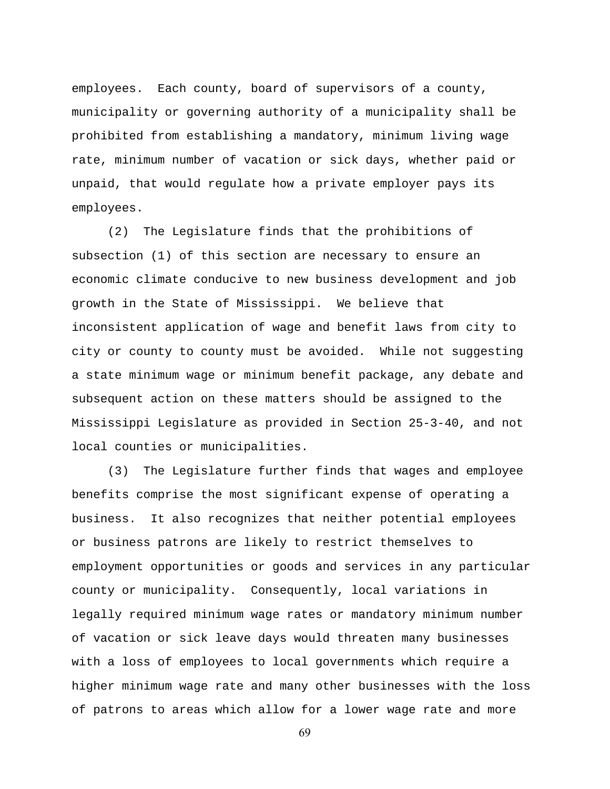employees. Each county, board of supervisors of a county, municipality or governing authority of a municipality shall be prohibited from establishing a mandatory, minimum living wage rate, minimum number of vacation or sick days, whether paid or unpaid, that would regulate how a private employer pays its employees.

(2) The Legislature finds that the prohibitions of subsection (1) of this section are necessary to ensure an economic climate conducive to new business development and job growth in the State of Mississippi. We believe that inconsistent application of wage and benefit laws from city to city or county to county must be avoided. While not suggesting a state minimum wage or minimum benefit package, any debate and subsequent action on these matters should be assigned to the Mississippi Legislature as provided in Section 25-3-40, and not local counties or municipalities.

(3) The Legislature further finds that wages and employee benefits comprise the most significant expense of operating a business. It also recognizes that neither potential employees or business patrons are likely to restrict themselves to employment opportunities or goods and services in any particular county or municipality. Consequently, local variations in legally required minimum wage rates or mandatory minimum number of vacation or sick leave days would threaten many businesses with a loss of employees to local governments which require a higher minimum wage rate and many other businesses with the loss of patrons to areas which allow for a lower wage rate and more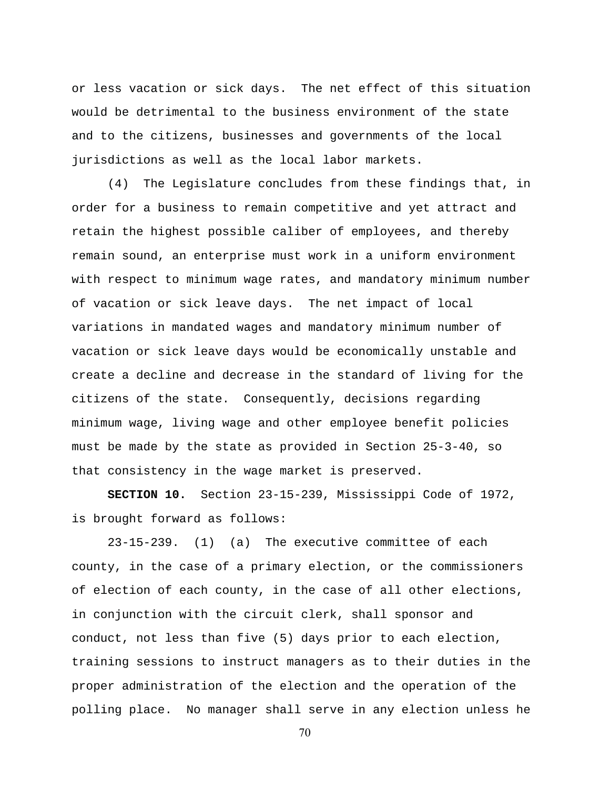or less vacation or sick days. The net effect of this situation would be detrimental to the business environment of the state and to the citizens, businesses and governments of the local jurisdictions as well as the local labor markets.

(4) The Legislature concludes from these findings that, in order for a business to remain competitive and yet attract and retain the highest possible caliber of employees, and thereby remain sound, an enterprise must work in a uniform environment with respect to minimum wage rates, and mandatory minimum number of vacation or sick leave days. The net impact of local variations in mandated wages and mandatory minimum number of vacation or sick leave days would be economically unstable and create a decline and decrease in the standard of living for the citizens of the state. Consequently, decisions regarding minimum wage, living wage and other employee benefit policies must be made by the state as provided in Section 25-3-40, so that consistency in the wage market is preserved.

**SECTION 10.** Section 23-15-239, Mississippi Code of 1972, is brought forward as follows:

23-15-239. (1) (a) The executive committee of each county, in the case of a primary election, or the commissioners of election of each county, in the case of all other elections, in conjunction with the circuit clerk, shall sponsor and conduct, not less than five (5) days prior to each election, training sessions to instruct managers as to their duties in the proper administration of the election and the operation of the polling place. No manager shall serve in any election unless he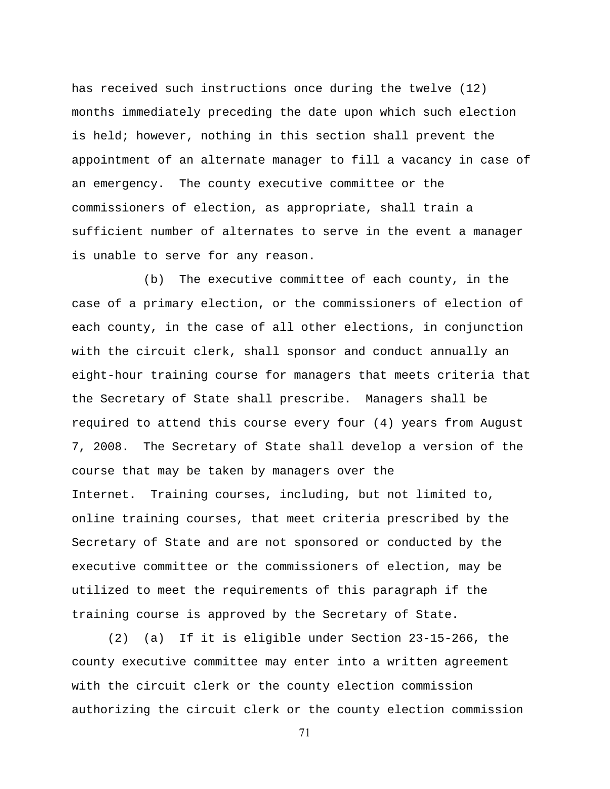has received such instructions once during the twelve (12) months immediately preceding the date upon which such election is held; however, nothing in this section shall prevent the appointment of an alternate manager to fill a vacancy in case of an emergency. The county executive committee or the commissioners of election, as appropriate, shall train a sufficient number of alternates to serve in the event a manager is unable to serve for any reason.

(b) The executive committee of each county, in the case of a primary election, or the commissioners of election of each county, in the case of all other elections, in conjunction with the circuit clerk, shall sponsor and conduct annually an eight-hour training course for managers that meets criteria that the Secretary of State shall prescribe. Managers shall be required to attend this course every four (4) years from August 7, 2008. The Secretary of State shall develop a version of the course that may be taken by managers over the Internet. Training courses, including, but not limited to, online training courses, that meet criteria prescribed by the Secretary of State and are not sponsored or conducted by the executive committee or the commissioners of election, may be utilized to meet the requirements of this paragraph if the training course is approved by the Secretary of State.

(2) (a) If it is eligible under Section 23-15-266, the county executive committee may enter into a written agreement with the circuit clerk or the county election commission authorizing the circuit clerk or the county election commission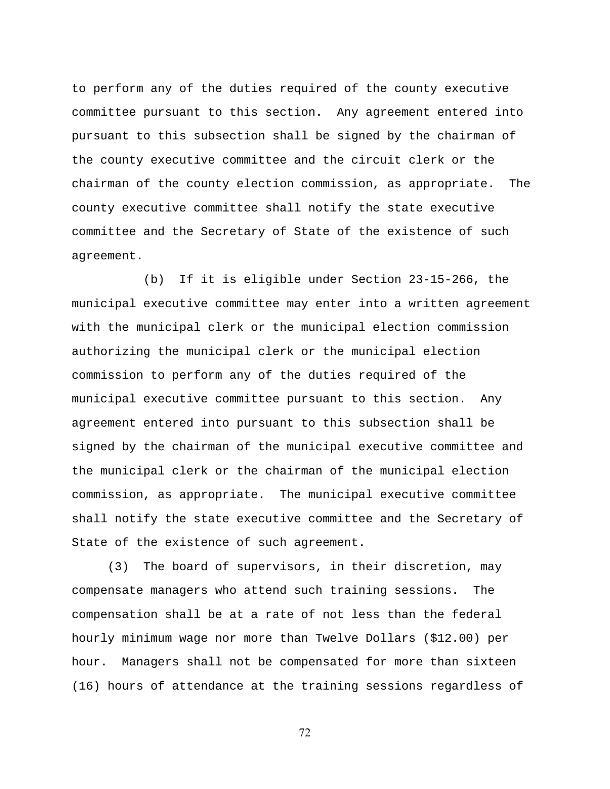to perform any of the duties required of the county executive committee pursuant to this section. Any agreement entered into pursuant to this subsection shall be signed by the chairman of the county executive committee and the circuit clerk or the chairman of the county election commission, as appropriate. The county executive committee shall notify the state executive committee and the Secretary of State of the existence of such agreement.

(b) If it is eligible under Section 23-15-266, the municipal executive committee may enter into a written agreement with the municipal clerk or the municipal election commission authorizing the municipal clerk or the municipal election commission to perform any of the duties required of the municipal executive committee pursuant to this section. Any agreement entered into pursuant to this subsection shall be signed by the chairman of the municipal executive committee and the municipal clerk or the chairman of the municipal election commission, as appropriate. The municipal executive committee shall notify the state executive committee and the Secretary of State of the existence of such agreement.

(3) The board of supervisors, in their discretion, may compensate managers who attend such training sessions. The compensation shall be at a rate of not less than the federal hourly minimum wage nor more than Twelve Dollars (\$12.00) per hour. Managers shall not be compensated for more than sixteen (16) hours of attendance at the training sessions regardless of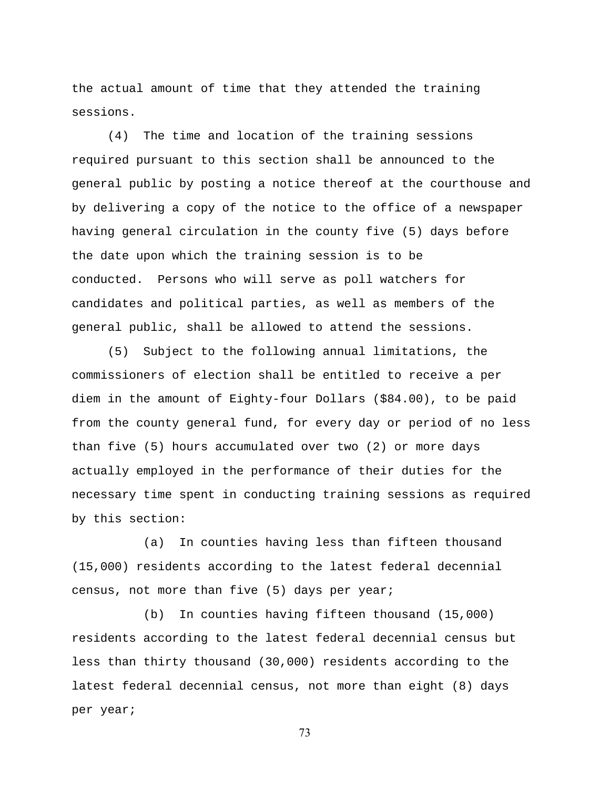the actual amount of time that they attended the training sessions.

(4) The time and location of the training sessions required pursuant to this section shall be announced to the general public by posting a notice thereof at the courthouse and by delivering a copy of the notice to the office of a newspaper having general circulation in the county five (5) days before the date upon which the training session is to be conducted. Persons who will serve as poll watchers for candidates and political parties, as well as members of the general public, shall be allowed to attend the sessions.

(5) Subject to the following annual limitations, the commissioners of election shall be entitled to receive a per diem in the amount of Eighty-four Dollars (\$84.00), to be paid from the county general fund, for every day or period of no less than five (5) hours accumulated over two (2) or more days actually employed in the performance of their duties for the necessary time spent in conducting training sessions as required by this section:

(a) In counties having less than fifteen thousand (15,000) residents according to the latest federal decennial census, not more than five (5) days per year;

(b) In counties having fifteen thousand (15,000) residents according to the latest federal decennial census but less than thirty thousand (30,000) residents according to the latest federal decennial census, not more than eight (8) days per year;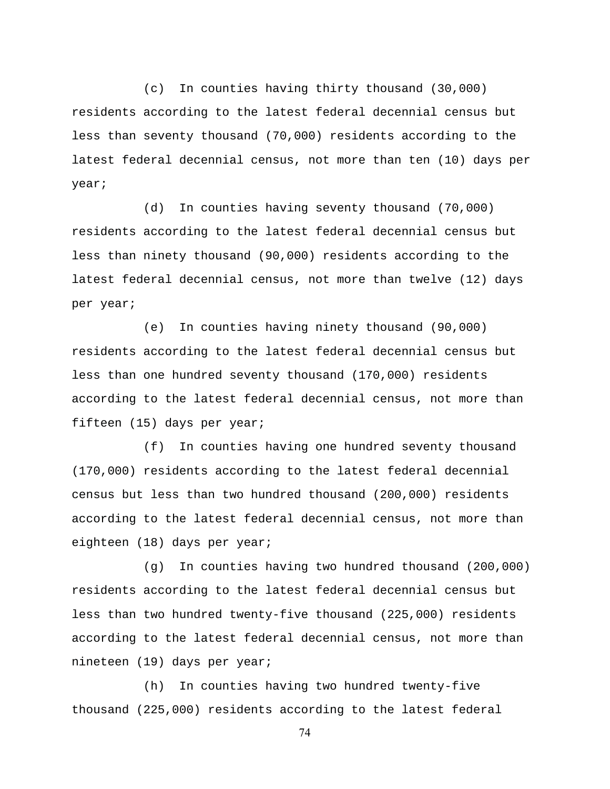(c) In counties having thirty thousand (30,000) residents according to the latest federal decennial census but less than seventy thousand (70,000) residents according to the latest federal decennial census, not more than ten (10) days per year;

(d) In counties having seventy thousand (70,000) residents according to the latest federal decennial census but less than ninety thousand (90,000) residents according to the latest federal decennial census, not more than twelve (12) days per year;

(e) In counties having ninety thousand (90,000) residents according to the latest federal decennial census but less than one hundred seventy thousand (170,000) residents according to the latest federal decennial census, not more than fifteen (15) days per year;

(f) In counties having one hundred seventy thousand (170,000) residents according to the latest federal decennial census but less than two hundred thousand (200,000) residents according to the latest federal decennial census, not more than eighteen (18) days per year;

(g) In counties having two hundred thousand (200,000) residents according to the latest federal decennial census but less than two hundred twenty-five thousand (225,000) residents according to the latest federal decennial census, not more than nineteen (19) days per year;

(h) In counties having two hundred twenty-five thousand (225,000) residents according to the latest federal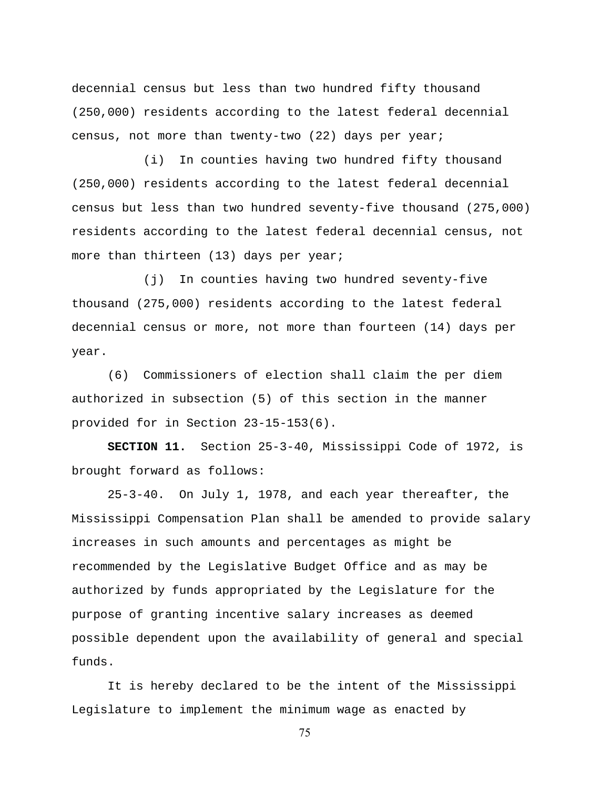decennial census but less than two hundred fifty thousand (250,000) residents according to the latest federal decennial census, not more than twenty-two (22) days per year;

(i) In counties having two hundred fifty thousand (250,000) residents according to the latest federal decennial census but less than two hundred seventy-five thousand (275,000) residents according to the latest federal decennial census, not more than thirteen (13) days per year;

(j) In counties having two hundred seventy-five thousand (275,000) residents according to the latest federal decennial census or more, not more than fourteen (14) days per year.

(6) Commissioners of election shall claim the per diem authorized in subsection (5) of this section in the manner provided for in Section 23-15-153(6).

**SECTION 11.** Section 25-3-40, Mississippi Code of 1972, is brought forward as follows:

25-3-40. On July 1, 1978, and each year thereafter, the Mississippi Compensation Plan shall be amended to provide salary increases in such amounts and percentages as might be recommended by the Legislative Budget Office and as may be authorized by funds appropriated by the Legislature for the purpose of granting incentive salary increases as deemed possible dependent upon the availability of general and special funds.

It is hereby declared to be the intent of the Mississippi Legislature to implement the minimum wage as enacted by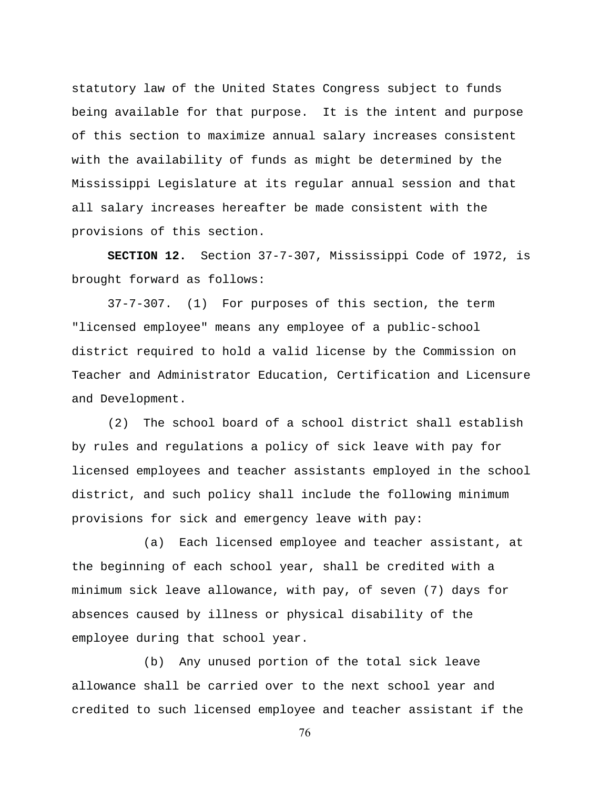statutory law of the United States Congress subject to funds being available for that purpose. It is the intent and purpose of this section to maximize annual salary increases consistent with the availability of funds as might be determined by the Mississippi Legislature at its regular annual session and that all salary increases hereafter be made consistent with the provisions of this section.

**SECTION 12.** Section 37-7-307, Mississippi Code of 1972, is brought forward as follows:

37-7-307. (1) For purposes of this section, the term "licensed employee" means any employee of a public-school district required to hold a valid license by the Commission on Teacher and Administrator Education, Certification and Licensure and Development.

(2) The school board of a school district shall establish by rules and regulations a policy of sick leave with pay for licensed employees and teacher assistants employed in the school district, and such policy shall include the following minimum provisions for sick and emergency leave with pay:

(a) Each licensed employee and teacher assistant, at the beginning of each school year, shall be credited with a minimum sick leave allowance, with pay, of seven (7) days for absences caused by illness or physical disability of the employee during that school year.

(b) Any unused portion of the total sick leave allowance shall be carried over to the next school year and credited to such licensed employee and teacher assistant if the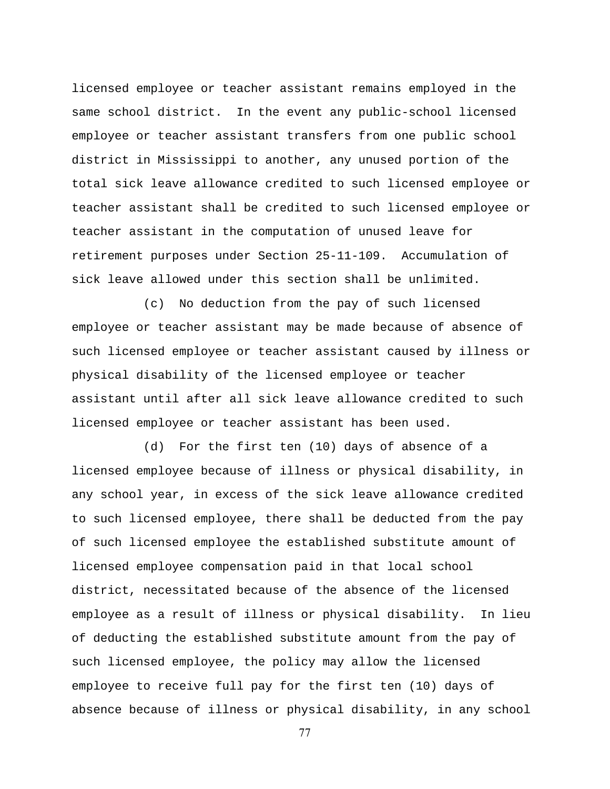licensed employee or teacher assistant remains employed in the same school district. In the event any public-school licensed employee or teacher assistant transfers from one public school district in Mississippi to another, any unused portion of the total sick leave allowance credited to such licensed employee or teacher assistant shall be credited to such licensed employee or teacher assistant in the computation of unused leave for retirement purposes under Section 25-11-109. Accumulation of sick leave allowed under this section shall be unlimited.

(c) No deduction from the pay of such licensed employee or teacher assistant may be made because of absence of such licensed employee or teacher assistant caused by illness or physical disability of the licensed employee or teacher assistant until after all sick leave allowance credited to such licensed employee or teacher assistant has been used.

(d) For the first ten (10) days of absence of a licensed employee because of illness or physical disability, in any school year, in excess of the sick leave allowance credited to such licensed employee, there shall be deducted from the pay of such licensed employee the established substitute amount of licensed employee compensation paid in that local school district, necessitated because of the absence of the licensed employee as a result of illness or physical disability. In lieu of deducting the established substitute amount from the pay of such licensed employee, the policy may allow the licensed employee to receive full pay for the first ten (10) days of absence because of illness or physical disability, in any school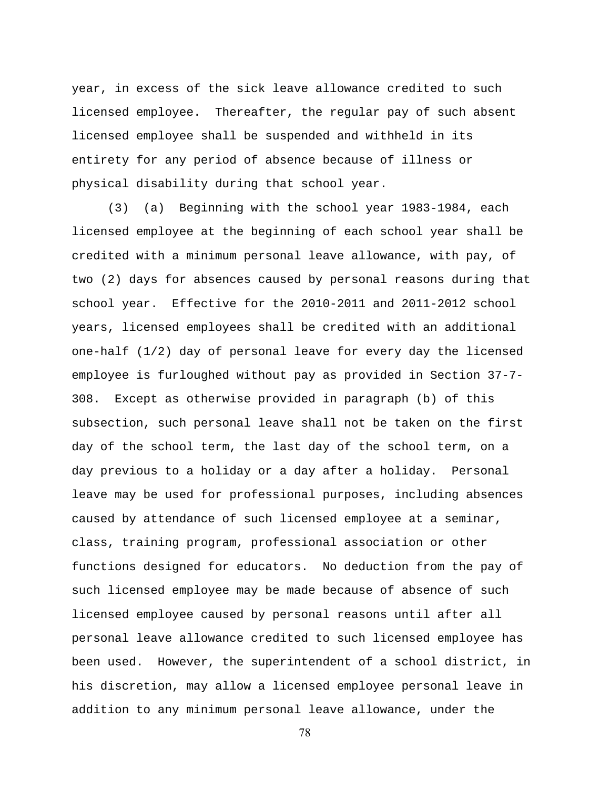year, in excess of the sick leave allowance credited to such licensed employee. Thereafter, the regular pay of such absent licensed employee shall be suspended and withheld in its entirety for any period of absence because of illness or physical disability during that school year.

(3) (a) Beginning with the school year 1983-1984, each licensed employee at the beginning of each school year shall be credited with a minimum personal leave allowance, with pay, of two (2) days for absences caused by personal reasons during that school year. Effective for the 2010-2011 and 2011-2012 school years, licensed employees shall be credited with an additional one-half (1/2) day of personal leave for every day the licensed employee is furloughed without pay as provided in Section 37-7- 308. Except as otherwise provided in paragraph (b) of this subsection, such personal leave shall not be taken on the first day of the school term, the last day of the school term, on a day previous to a holiday or a day after a holiday. Personal leave may be used for professional purposes, including absences caused by attendance of such licensed employee at a seminar, class, training program, professional association or other functions designed for educators. No deduction from the pay of such licensed employee may be made because of absence of such licensed employee caused by personal reasons until after all personal leave allowance credited to such licensed employee has been used. However, the superintendent of a school district, in his discretion, may allow a licensed employee personal leave in addition to any minimum personal leave allowance, under the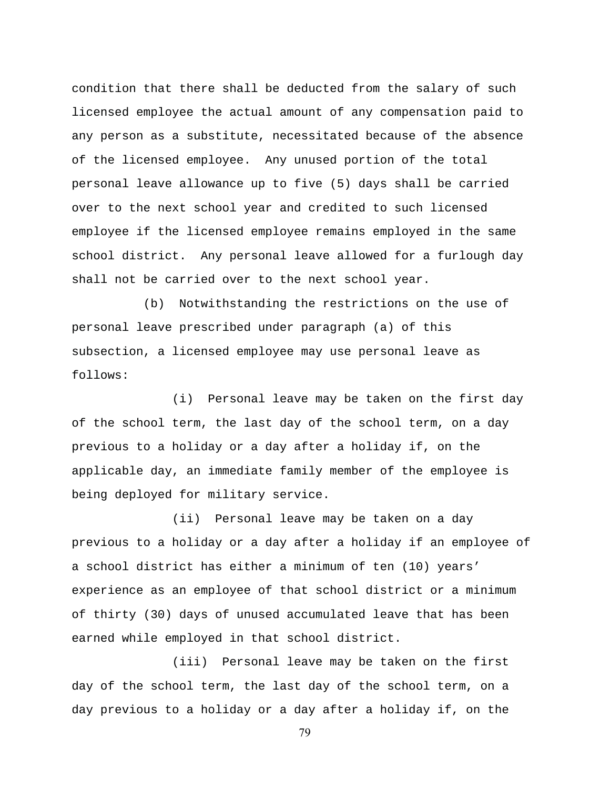condition that there shall be deducted from the salary of such licensed employee the actual amount of any compensation paid to any person as a substitute, necessitated because of the absence of the licensed employee. Any unused portion of the total personal leave allowance up to five (5) days shall be carried over to the next school year and credited to such licensed employee if the licensed employee remains employed in the same school district. Any personal leave allowed for a furlough day shall not be carried over to the next school year.

(b) Notwithstanding the restrictions on the use of personal leave prescribed under paragraph (a) of this subsection, a licensed employee may use personal leave as follows:

(i) Personal leave may be taken on the first day of the school term, the last day of the school term, on a day previous to a holiday or a day after a holiday if, on the applicable day, an immediate family member of the employee is being deployed for military service.

(ii) Personal leave may be taken on a day previous to a holiday or a day after a holiday if an employee of a school district has either a minimum of ten (10) years' experience as an employee of that school district or a minimum of thirty (30) days of unused accumulated leave that has been earned while employed in that school district.

(iii) Personal leave may be taken on the first day of the school term, the last day of the school term, on a day previous to a holiday or a day after a holiday if, on the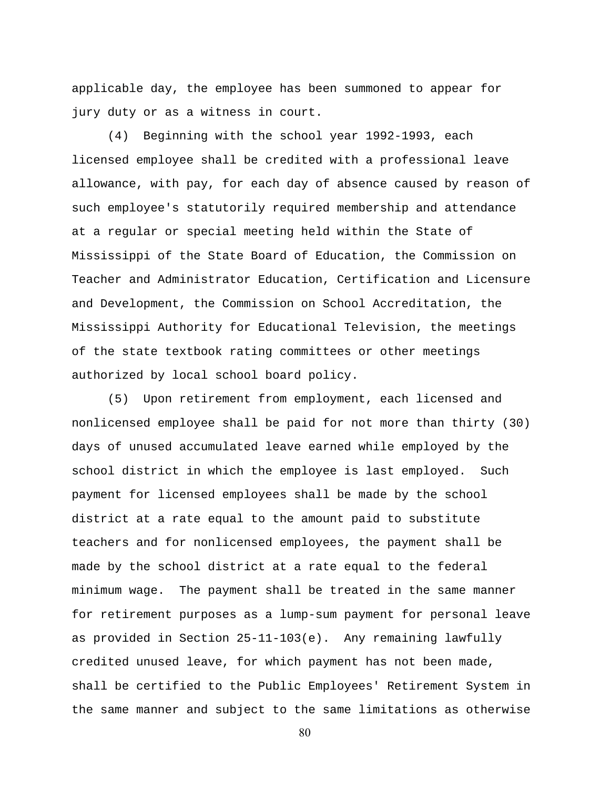applicable day, the employee has been summoned to appear for jury duty or as a witness in court.

(4) Beginning with the school year 1992-1993, each licensed employee shall be credited with a professional leave allowance, with pay, for each day of absence caused by reason of such employee's statutorily required membership and attendance at a regular or special meeting held within the State of Mississippi of the State Board of Education, the Commission on Teacher and Administrator Education, Certification and Licensure and Development, the Commission on School Accreditation, the Mississippi Authority for Educational Television, the meetings of the state textbook rating committees or other meetings authorized by local school board policy.

(5) Upon retirement from employment, each licensed and nonlicensed employee shall be paid for not more than thirty (30) days of unused accumulated leave earned while employed by the school district in which the employee is last employed. Such payment for licensed employees shall be made by the school district at a rate equal to the amount paid to substitute teachers and for nonlicensed employees, the payment shall be made by the school district at a rate equal to the federal minimum wage. The payment shall be treated in the same manner for retirement purposes as a lump-sum payment for personal leave as provided in Section 25-11-103(e). Any remaining lawfully credited unused leave, for which payment has not been made, shall be certified to the Public Employees' Retirement System in the same manner and subject to the same limitations as otherwise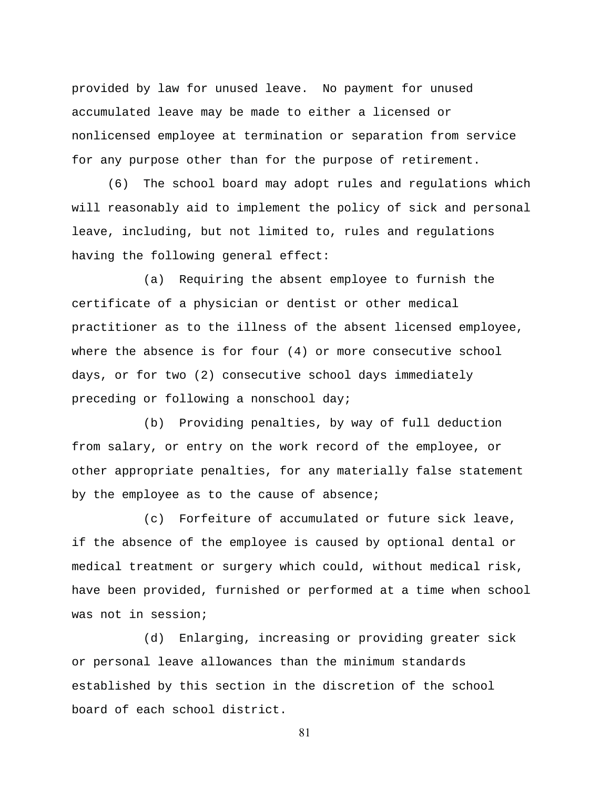provided by law for unused leave. No payment for unused accumulated leave may be made to either a licensed or nonlicensed employee at termination or separation from service for any purpose other than for the purpose of retirement.

(6) The school board may adopt rules and regulations which will reasonably aid to implement the policy of sick and personal leave, including, but not limited to, rules and regulations having the following general effect:

(a) Requiring the absent employee to furnish the certificate of a physician or dentist or other medical practitioner as to the illness of the absent licensed employee, where the absence is for four (4) or more consecutive school days, or for two (2) consecutive school days immediately preceding or following a nonschool day;

(b) Providing penalties, by way of full deduction from salary, or entry on the work record of the employee, or other appropriate penalties, for any materially false statement by the employee as to the cause of absence;

(c) Forfeiture of accumulated or future sick leave, if the absence of the employee is caused by optional dental or medical treatment or surgery which could, without medical risk, have been provided, furnished or performed at a time when school was not in session;

(d) Enlarging, increasing or providing greater sick or personal leave allowances than the minimum standards established by this section in the discretion of the school board of each school district.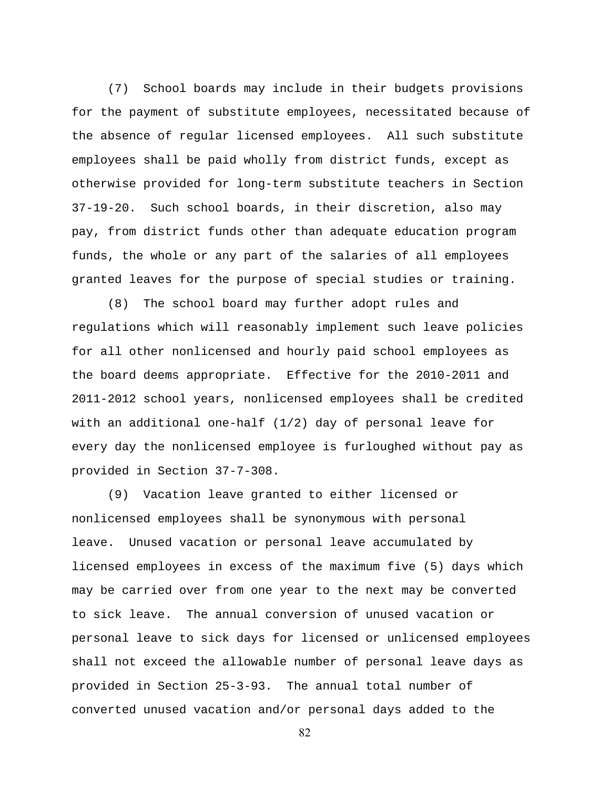(7) School boards may include in their budgets provisions for the payment of substitute employees, necessitated because of the absence of regular licensed employees. All such substitute employees shall be paid wholly from district funds, except as otherwise provided for long-term substitute teachers in Section 37-19-20. Such school boards, in their discretion, also may pay, from district funds other than adequate education program funds, the whole or any part of the salaries of all employees granted leaves for the purpose of special studies or training.

(8) The school board may further adopt rules and regulations which will reasonably implement such leave policies for all other nonlicensed and hourly paid school employees as the board deems appropriate. Effective for the 2010-2011 and 2011-2012 school years, nonlicensed employees shall be credited with an additional one-half (1/2) day of personal leave for every day the nonlicensed employee is furloughed without pay as provided in Section 37-7-308.

(9) Vacation leave granted to either licensed or nonlicensed employees shall be synonymous with personal leave. Unused vacation or personal leave accumulated by licensed employees in excess of the maximum five (5) days which may be carried over from one year to the next may be converted to sick leave. The annual conversion of unused vacation or personal leave to sick days for licensed or unlicensed employees shall not exceed the allowable number of personal leave days as provided in Section 25-3-93. The annual total number of converted unused vacation and/or personal days added to the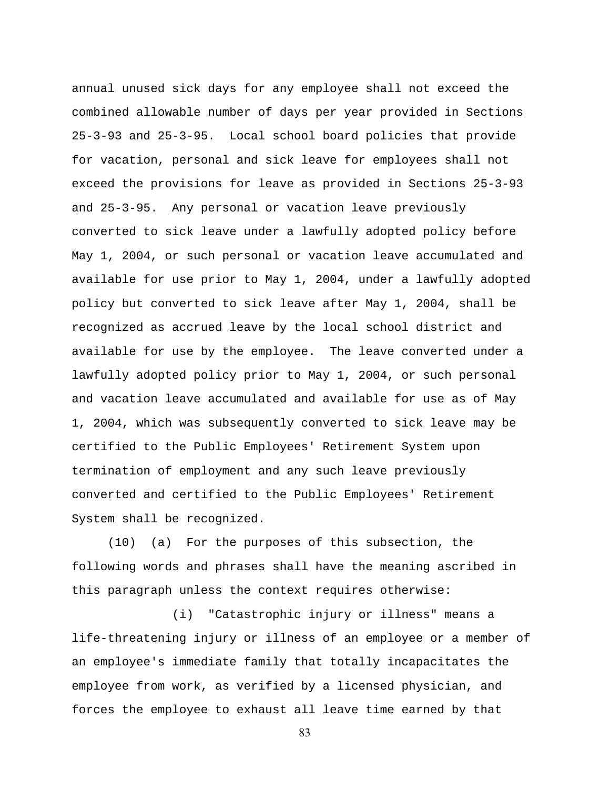annual unused sick days for any employee shall not exceed the combined allowable number of days per year provided in Sections 25-3-93 and 25-3-95. Local school board policies that provide for vacation, personal and sick leave for employees shall not exceed the provisions for leave as provided in Sections 25-3-93 and 25-3-95. Any personal or vacation leave previously converted to sick leave under a lawfully adopted policy before May 1, 2004, or such personal or vacation leave accumulated and available for use prior to May 1, 2004, under a lawfully adopted policy but converted to sick leave after May 1, 2004, shall be recognized as accrued leave by the local school district and available for use by the employee. The leave converted under a lawfully adopted policy prior to May 1, 2004, or such personal and vacation leave accumulated and available for use as of May 1, 2004, which was subsequently converted to sick leave may be certified to the Public Employees' Retirement System upon termination of employment and any such leave previously converted and certified to the Public Employees' Retirement System shall be recognized.

(10) (a) For the purposes of this subsection, the following words and phrases shall have the meaning ascribed in this paragraph unless the context requires otherwise:

(i) "Catastrophic injury or illness" means a life-threatening injury or illness of an employee or a member of an employee's immediate family that totally incapacitates the employee from work, as verified by a licensed physician, and forces the employee to exhaust all leave time earned by that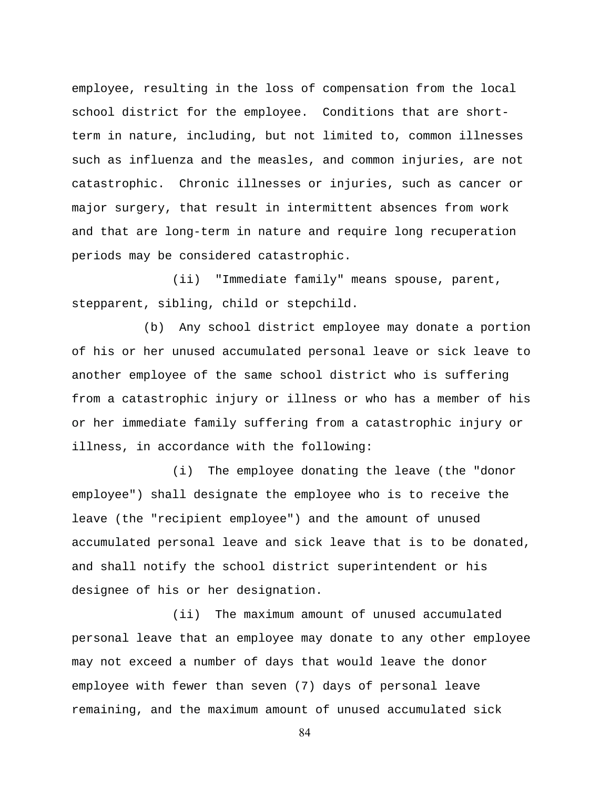employee, resulting in the loss of compensation from the local school district for the employee. Conditions that are shortterm in nature, including, but not limited to, common illnesses such as influenza and the measles, and common injuries, are not catastrophic. Chronic illnesses or injuries, such as cancer or major surgery, that result in intermittent absences from work and that are long-term in nature and require long recuperation periods may be considered catastrophic.

(ii) "Immediate family" means spouse, parent, stepparent, sibling, child or stepchild.

(b) Any school district employee may donate a portion of his or her unused accumulated personal leave or sick leave to another employee of the same school district who is suffering from a catastrophic injury or illness or who has a member of his or her immediate family suffering from a catastrophic injury or illness, in accordance with the following:

(i) The employee donating the leave (the "donor employee") shall designate the employee who is to receive the leave (the "recipient employee") and the amount of unused accumulated personal leave and sick leave that is to be donated, and shall notify the school district superintendent or his designee of his or her designation.

(ii) The maximum amount of unused accumulated personal leave that an employee may donate to any other employee may not exceed a number of days that would leave the donor employee with fewer than seven (7) days of personal leave remaining, and the maximum amount of unused accumulated sick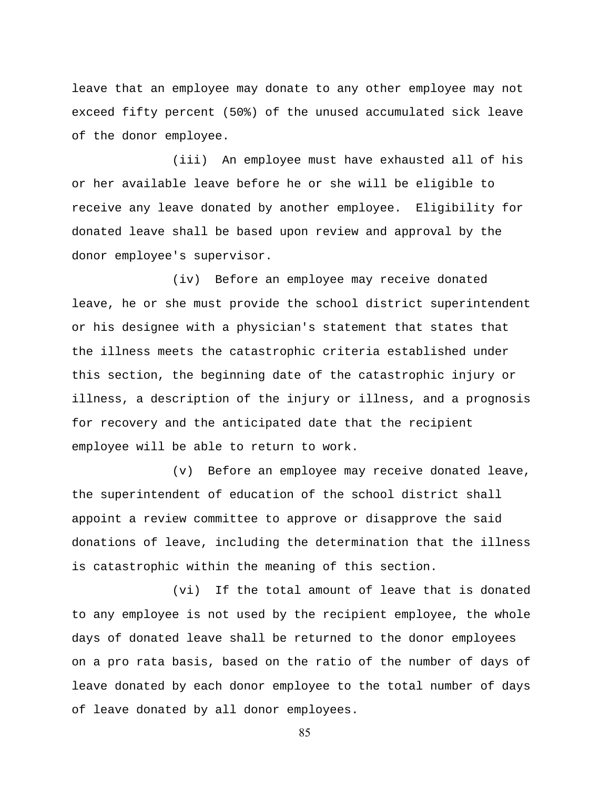leave that an employee may donate to any other employee may not exceed fifty percent (50%) of the unused accumulated sick leave of the donor employee.

(iii) An employee must have exhausted all of his or her available leave before he or she will be eligible to receive any leave donated by another employee. Eligibility for donated leave shall be based upon review and approval by the donor employee's supervisor.

(iv) Before an employee may receive donated leave, he or she must provide the school district superintendent or his designee with a physician's statement that states that the illness meets the catastrophic criteria established under this section, the beginning date of the catastrophic injury or illness, a description of the injury or illness, and a prognosis for recovery and the anticipated date that the recipient employee will be able to return to work.

(v) Before an employee may receive donated leave, the superintendent of education of the school district shall appoint a review committee to approve or disapprove the said donations of leave, including the determination that the illness is catastrophic within the meaning of this section.

(vi) If the total amount of leave that is donated to any employee is not used by the recipient employee, the whole days of donated leave shall be returned to the donor employees on a pro rata basis, based on the ratio of the number of days of leave donated by each donor employee to the total number of days of leave donated by all donor employees.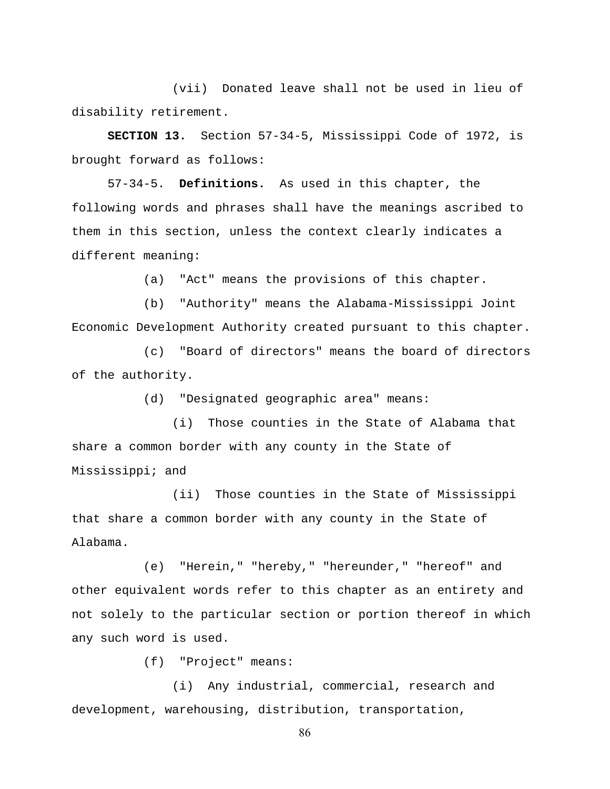(vii) Donated leave shall not be used in lieu of disability retirement.

**SECTION 13.** Section 57-34-5, Mississippi Code of 1972, is brought forward as follows:

57-34-5. **Definitions.** As used in this chapter, the following words and phrases shall have the meanings ascribed to them in this section, unless the context clearly indicates a different meaning:

(a) "Act" means the provisions of this chapter.

(b) "Authority" means the Alabama-Mississippi Joint Economic Development Authority created pursuant to this chapter.

(c) "Board of directors" means the board of directors of the authority.

(d) "Designated geographic area" means:

(i) Those counties in the State of Alabama that share a common border with any county in the State of Mississippi; and

(ii) Those counties in the State of Mississippi that share a common border with any county in the State of Alabama.

(e) "Herein," "hereby," "hereunder," "hereof" and other equivalent words refer to this chapter as an entirety and not solely to the particular section or portion thereof in which any such word is used.

(f) "Project" means:

(i) Any industrial, commercial, research and development, warehousing, distribution, transportation,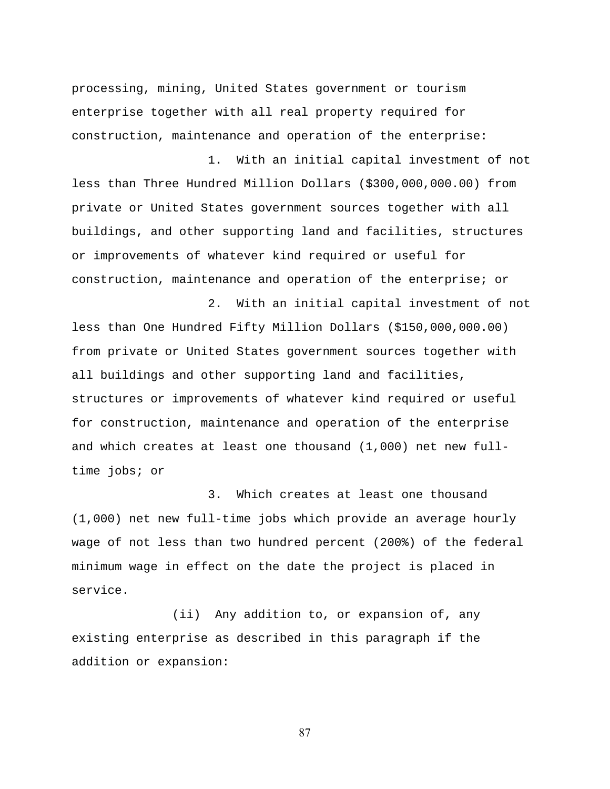processing, mining, United States government or tourism enterprise together with all real property required for construction, maintenance and operation of the enterprise:

1. With an initial capital investment of not less than Three Hundred Million Dollars (\$300,000,000.00) from private or United States government sources together with all buildings, and other supporting land and facilities, structures or improvements of whatever kind required or useful for construction, maintenance and operation of the enterprise; or

2. With an initial capital investment of not less than One Hundred Fifty Million Dollars (\$150,000,000.00) from private or United States government sources together with all buildings and other supporting land and facilities, structures or improvements of whatever kind required or useful for construction, maintenance and operation of the enterprise and which creates at least one thousand (1,000) net new fulltime jobs; or

3. Which creates at least one thousand (1,000) net new full-time jobs which provide an average hourly wage of not less than two hundred percent (200%) of the federal minimum wage in effect on the date the project is placed in service.

(ii) Any addition to, or expansion of, any existing enterprise as described in this paragraph if the addition or expansion: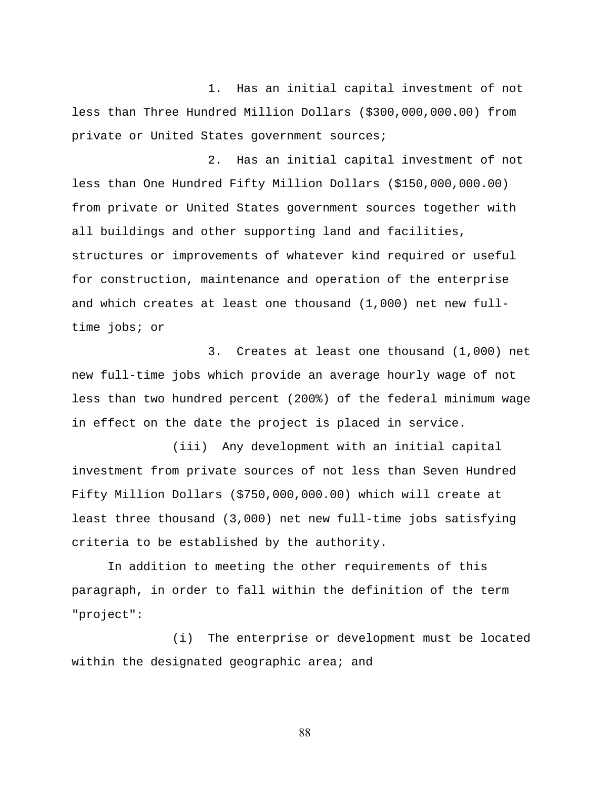1. Has an initial capital investment of not less than Three Hundred Million Dollars (\$300,000,000.00) from private or United States government sources;

2. Has an initial capital investment of not less than One Hundred Fifty Million Dollars (\$150,000,000.00) from private or United States government sources together with all buildings and other supporting land and facilities, structures or improvements of whatever kind required or useful for construction, maintenance and operation of the enterprise and which creates at least one thousand (1,000) net new fulltime jobs; or

3. Creates at least one thousand (1,000) net new full-time jobs which provide an average hourly wage of not less than two hundred percent (200%) of the federal minimum wage in effect on the date the project is placed in service.

(iii) Any development with an initial capital investment from private sources of not less than Seven Hundred Fifty Million Dollars (\$750,000,000.00) which will create at least three thousand (3,000) net new full-time jobs satisfying criteria to be established by the authority.

In addition to meeting the other requirements of this paragraph, in order to fall within the definition of the term "project":

(i) The enterprise or development must be located within the designated geographic area; and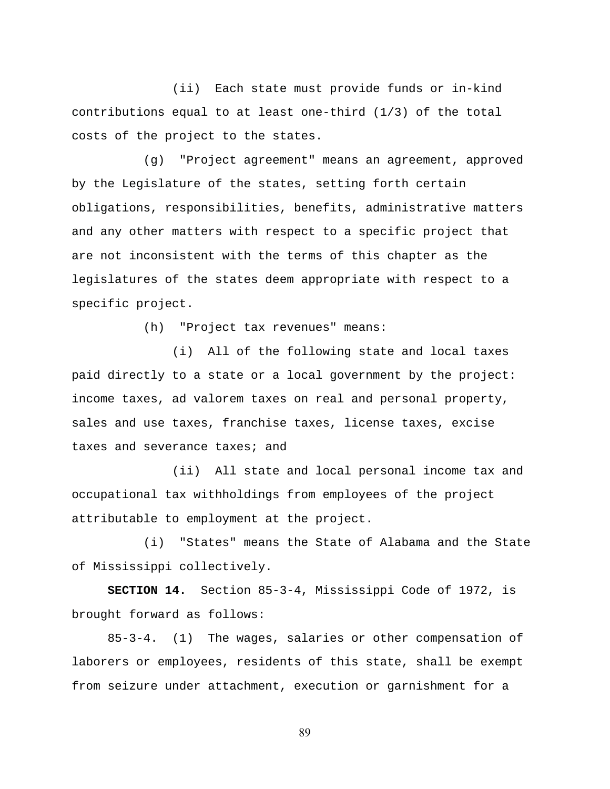(ii) Each state must provide funds or in-kind contributions equal to at least one-third (1/3) of the total costs of the project to the states.

(g) "Project agreement" means an agreement, approved by the Legislature of the states, setting forth certain obligations, responsibilities, benefits, administrative matters and any other matters with respect to a specific project that are not inconsistent with the terms of this chapter as the legislatures of the states deem appropriate with respect to a specific project.

(h) "Project tax revenues" means:

(i) All of the following state and local taxes paid directly to a state or a local government by the project: income taxes, ad valorem taxes on real and personal property, sales and use taxes, franchise taxes, license taxes, excise taxes and severance taxes; and

(ii) All state and local personal income tax and occupational tax withholdings from employees of the project attributable to employment at the project.

(i) "States" means the State of Alabama and the State of Mississippi collectively.

**SECTION 14.** Section 85-3-4, Mississippi Code of 1972, is brought forward as follows:

85-3-4. (1) The wages, salaries or other compensation of laborers or employees, residents of this state, shall be exempt from seizure under attachment, execution or garnishment for a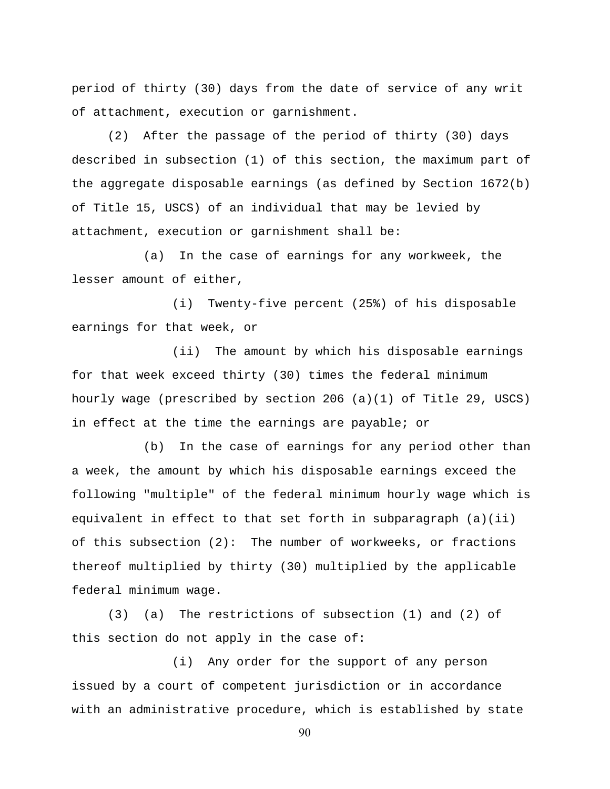period of thirty (30) days from the date of service of any writ of attachment, execution or garnishment.

(2) After the passage of the period of thirty (30) days described in subsection (1) of this section, the maximum part of the aggregate disposable earnings (as defined by Section 1672(b) of Title 15, USCS) of an individual that may be levied by attachment, execution or garnishment shall be:

(a) In the case of earnings for any workweek, the lesser amount of either,

(i) Twenty-five percent (25%) of his disposable earnings for that week, or

(ii) The amount by which his disposable earnings for that week exceed thirty (30) times the federal minimum hourly wage (prescribed by section 206 (a)(1) of Title 29, USCS) in effect at the time the earnings are payable; or

(b) In the case of earnings for any period other than a week, the amount by which his disposable earnings exceed the following "multiple" of the federal minimum hourly wage which is equivalent in effect to that set forth in subparagraph (a)(ii) of this subsection (2): The number of workweeks, or fractions thereof multiplied by thirty (30) multiplied by the applicable federal minimum wage.

(3) (a) The restrictions of subsection (1) and (2) of this section do not apply in the case of:

(i) Any order for the support of any person issued by a court of competent jurisdiction or in accordance with an administrative procedure, which is established by state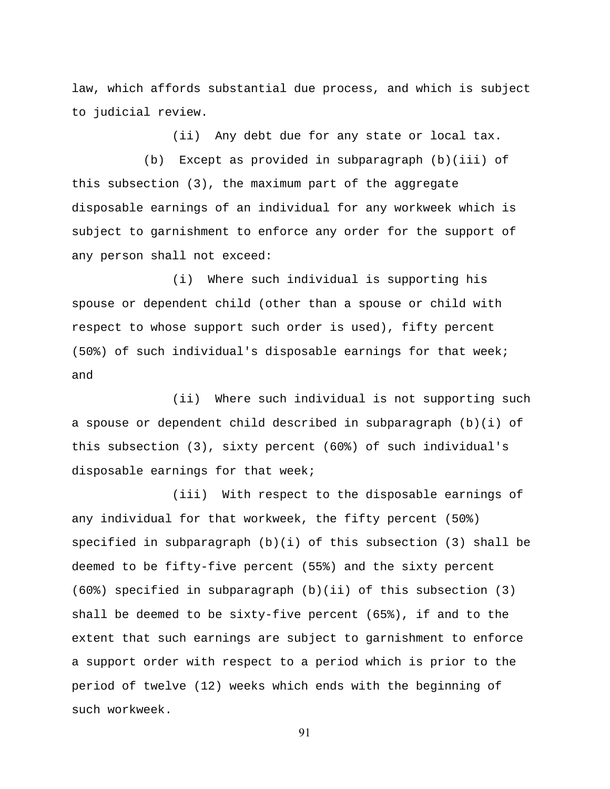law, which affords substantial due process, and which is subject to judicial review.

(ii) Any debt due for any state or local tax.

(b) Except as provided in subparagraph (b)(iii) of this subsection (3), the maximum part of the aggregate disposable earnings of an individual for any workweek which is subject to garnishment to enforce any order for the support of any person shall not exceed:

(i) Where such individual is supporting his spouse or dependent child (other than a spouse or child with respect to whose support such order is used), fifty percent (50%) of such individual's disposable earnings for that week; and

(ii) Where such individual is not supporting such a spouse or dependent child described in subparagraph (b)(i) of this subsection (3), sixty percent (60%) of such individual's disposable earnings for that week;

(iii) With respect to the disposable earnings of any individual for that workweek, the fifty percent (50%) specified in subparagraph (b)(i) of this subsection (3) shall be deemed to be fifty-five percent (55%) and the sixty percent (60%) specified in subparagraph (b)(ii) of this subsection (3) shall be deemed to be sixty-five percent (65%), if and to the extent that such earnings are subject to garnishment to enforce a support order with respect to a period which is prior to the period of twelve (12) weeks which ends with the beginning of such workweek.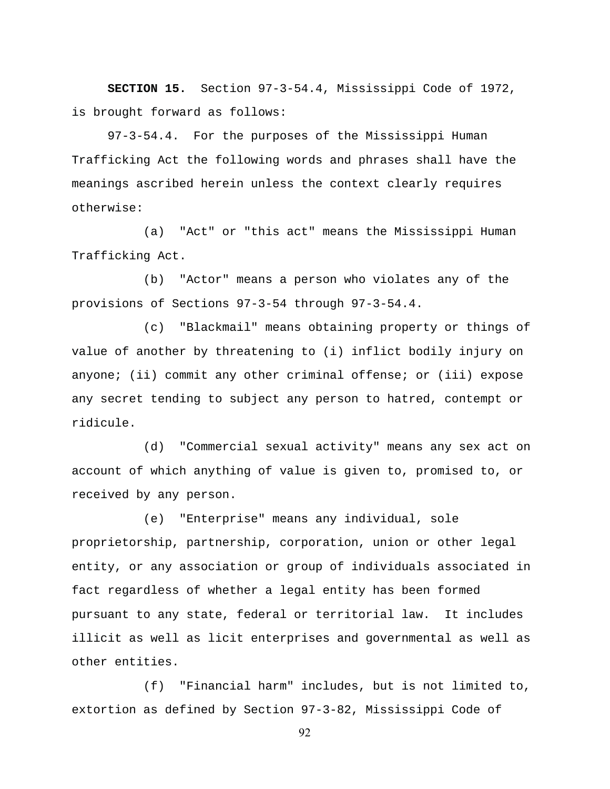**SECTION 15.** Section 97-3-54.4, Mississippi Code of 1972, is brought forward as follows:

97-3-54.4. For the purposes of the Mississippi Human Trafficking Act the following words and phrases shall have the meanings ascribed herein unless the context clearly requires otherwise:

(a) "Act" or "this act" means the Mississippi Human Trafficking Act.

(b) "Actor" means a person who violates any of the provisions of Sections 97-3-54 through 97-3-54.4.

(c) "Blackmail" means obtaining property or things of value of another by threatening to (i) inflict bodily injury on anyone; (ii) commit any other criminal offense; or (iii) expose any secret tending to subject any person to hatred, contempt or ridicule.

(d) "Commercial sexual activity" means any sex act on account of which anything of value is given to, promised to, or received by any person.

(e) "Enterprise" means any individual, sole proprietorship, partnership, corporation, union or other legal entity, or any association or group of individuals associated in fact regardless of whether a legal entity has been formed pursuant to any state, federal or territorial law. It includes illicit as well as licit enterprises and governmental as well as other entities.

(f) "Financial harm" includes, but is not limited to, extortion as defined by Section 97-3-82, Mississippi Code of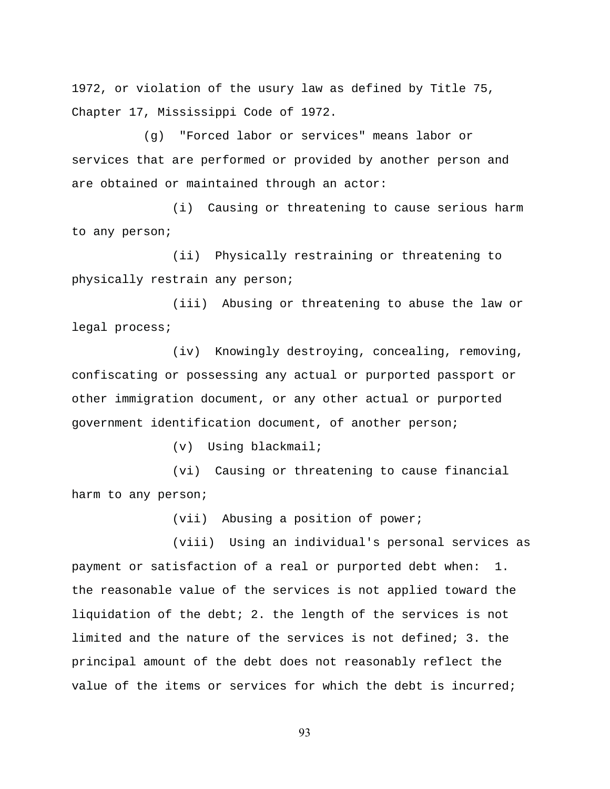1972, or violation of the usury law as defined by Title 75, Chapter 17, Mississippi Code of 1972.

(g) "Forced labor or services" means labor or services that are performed or provided by another person and are obtained or maintained through an actor:

(i) Causing or threatening to cause serious harm to any person;

(ii) Physically restraining or threatening to physically restrain any person;

(iii) Abusing or threatening to abuse the law or legal process;

(iv) Knowingly destroying, concealing, removing, confiscating or possessing any actual or purported passport or other immigration document, or any other actual or purported government identification document, of another person;

(v) Using blackmail;

(vi) Causing or threatening to cause financial harm to any person;

(vii) Abusing a position of power;

(viii) Using an individual's personal services as payment or satisfaction of a real or purported debt when: 1. the reasonable value of the services is not applied toward the liquidation of the debt; 2. the length of the services is not limited and the nature of the services is not defined; 3. the principal amount of the debt does not reasonably reflect the value of the items or services for which the debt is incurred;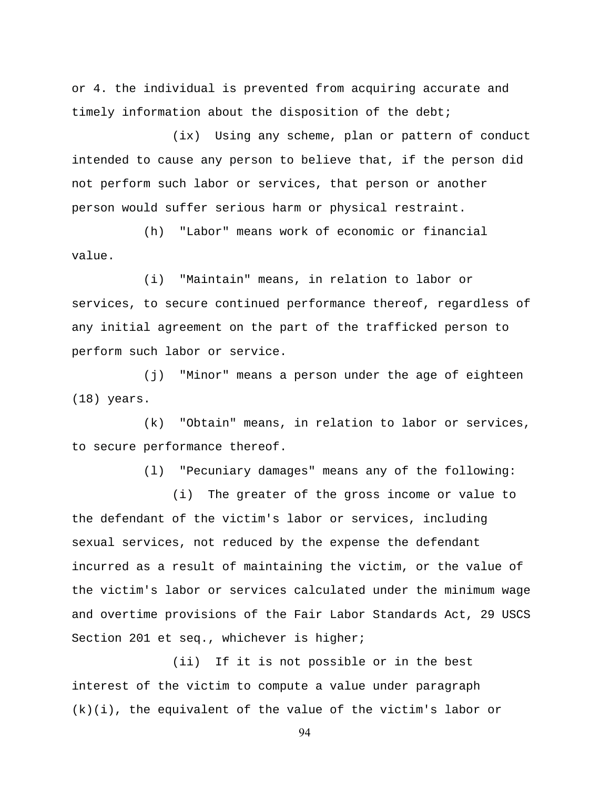or 4. the individual is prevented from acquiring accurate and timely information about the disposition of the debt;

(ix) Using any scheme, plan or pattern of conduct intended to cause any person to believe that, if the person did not perform such labor or services, that person or another person would suffer serious harm or physical restraint.

(h) "Labor" means work of economic or financial value.

(i) "Maintain" means, in relation to labor or services, to secure continued performance thereof, regardless of any initial agreement on the part of the trafficked person to perform such labor or service.

(j) "Minor" means a person under the age of eighteen (18) years.

(k) "Obtain" means, in relation to labor or services, to secure performance thereof.

(l) "Pecuniary damages" means any of the following:

(i) The greater of the gross income or value to the defendant of the victim's labor or services, including sexual services, not reduced by the expense the defendant incurred as a result of maintaining the victim, or the value of the victim's labor or services calculated under the minimum wage and overtime provisions of the Fair Labor Standards Act, 29 USCS Section 201 et seq., whichever is higher;

(ii) If it is not possible or in the best interest of the victim to compute a value under paragraph  $(k)(i)$ , the equivalent of the value of the victim's labor or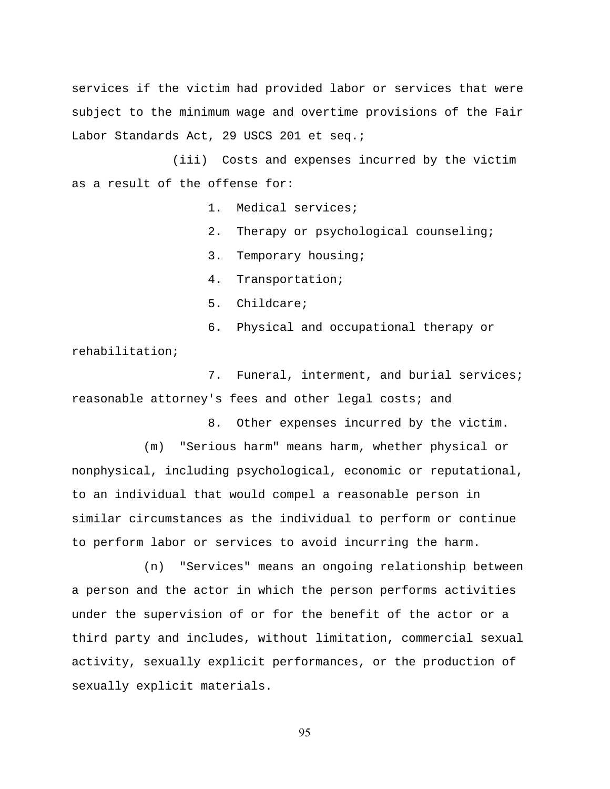services if the victim had provided labor or services that were subject to the minimum wage and overtime provisions of the Fair Labor Standards Act, 29 USCS 201 et seq.;

(iii) Costs and expenses incurred by the victim as a result of the offense for:

1. Medical services;

- 2. Therapy or psychological counseling;
- 3. Temporary housing;
- 4. Transportation;
- 5. Childcare;
- 6. Physical and occupational therapy or

rehabilitation;

7. Funeral, interment, and burial services; reasonable attorney's fees and other legal costs; and

8. Other expenses incurred by the victim.

(m) "Serious harm" means harm, whether physical or nonphysical, including psychological, economic or reputational, to an individual that would compel a reasonable person in similar circumstances as the individual to perform or continue to perform labor or services to avoid incurring the harm.

(n) "Services" means an ongoing relationship between a person and the actor in which the person performs activities under the supervision of or for the benefit of the actor or a third party and includes, without limitation, commercial sexual activity, sexually explicit performances, or the production of sexually explicit materials.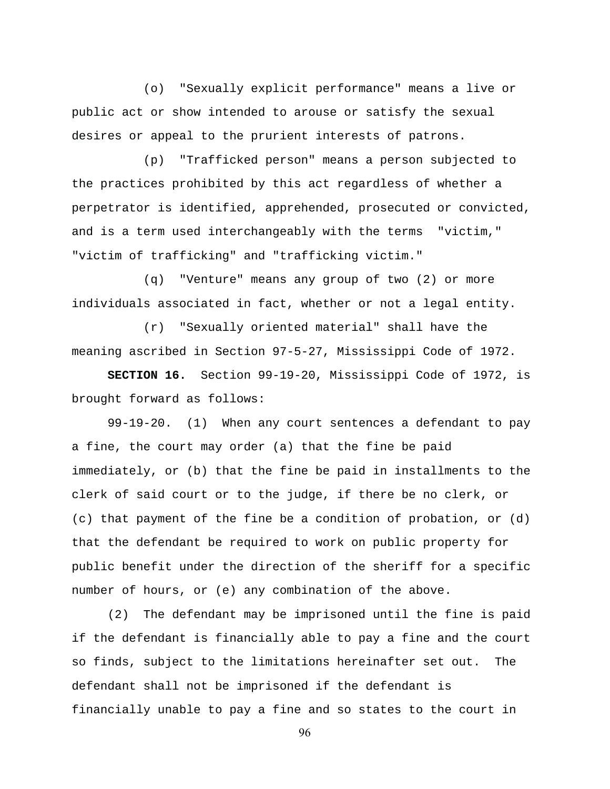(o) "Sexually explicit performance" means a live or public act or show intended to arouse or satisfy the sexual desires or appeal to the prurient interests of patrons.

(p) "Trafficked person" means a person subjected to the practices prohibited by this act regardless of whether a perpetrator is identified, apprehended, prosecuted or convicted, and is a term used interchangeably with the terms "victim," "victim of trafficking" and "trafficking victim."

(q) "Venture" means any group of two (2) or more individuals associated in fact, whether or not a legal entity.

(r) "Sexually oriented material" shall have the meaning ascribed in Section 97-5-27, Mississippi Code of 1972.

**SECTION 16.** Section 99-19-20, Mississippi Code of 1972, is brought forward as follows:

99-19-20. (1) When any court sentences a defendant to pay a fine, the court may order (a) that the fine be paid immediately, or (b) that the fine be paid in installments to the clerk of said court or to the judge, if there be no clerk, or (c) that payment of the fine be a condition of probation, or (d) that the defendant be required to work on public property for public benefit under the direction of the sheriff for a specific number of hours, or (e) any combination of the above.

(2) The defendant may be imprisoned until the fine is paid if the defendant is financially able to pay a fine and the court so finds, subject to the limitations hereinafter set out. The defendant shall not be imprisoned if the defendant is financially unable to pay a fine and so states to the court in